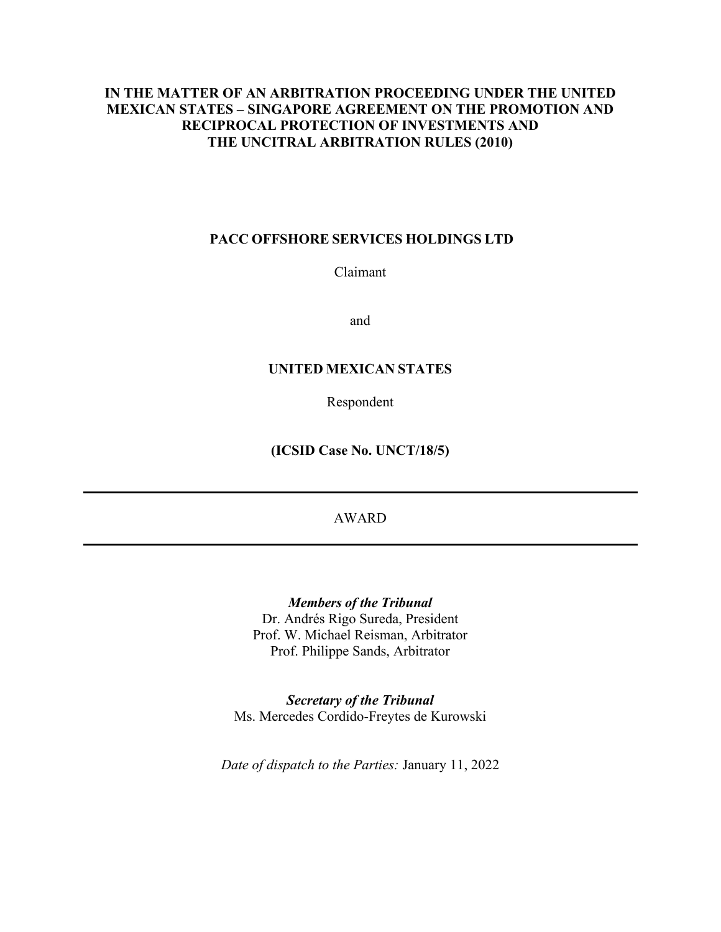## **IN THE MATTER OF AN ARBITRATION PROCEEDING UNDER THE UNITED MEXICAN STATES – SINGAPORE AGREEMENT ON THE PROMOTION AND RECIPROCAL PROTECTION OF INVESTMENTS AND THE UNCITRAL ARBITRATION RULES (2010)**

### **PACC OFFSHORE SERVICES HOLDINGS LTD**

Claimant

and

## **UNITED MEXICAN STATES**

Respondent

**(ICSID Case No. UNCT/18/5)** 

## AWARD

*Members of the Tribunal* Dr. Andrés Rigo Sureda, President Prof. W. Michael Reisman, Arbitrator Prof. Philippe Sands, Arbitrator

*Secretary of the Tribunal* Ms. Mercedes Cordido-Freytes de Kurowski

*Date of dispatch to the Parties:* January 11, 2022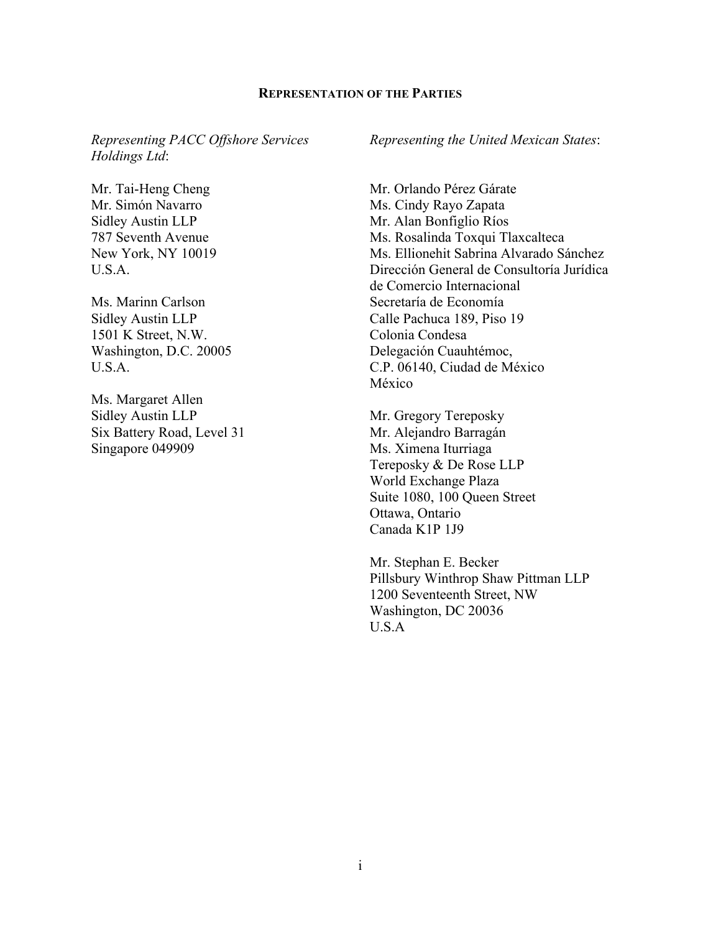#### **REPRESENTATION OF THE PARTIES**

*Representing PACC Offshore Services Holdings Ltd*:

Mr. Tai-Heng Cheng Mr. Simón Navarro Sidley Austin LLP 787 Seventh Avenue New York, NY 10019 U.S.A.

Ms. Marinn Carlson Sidley Austin LLP 1501 K Street, N.W. Washington, D.C. 20005 U.S.A.

Ms. Margaret Allen Sidley Austin LLP Six Battery Road, Level 31 Singapore 049909

*Representing the United Mexican States*:

Mr. Orlando Pérez Gárate Ms. Cindy Rayo Zapata Mr. Alan Bonfiglio Ríos Ms. Rosalinda Toxqui Tlaxcalteca Ms. Ellionehit Sabrina Alvarado Sánchez Dirección General de Consultoría Jurídica de Comercio Internacional Secretaría de Economía Calle Pachuca 189, Piso 19 Colonia Condesa Delegación Cuauhtémoc, C.P. 06140, Ciudad de México México

Mr. Gregory Tereposky Mr. Alejandro Barragán Ms. Ximena Iturriaga Tereposky & De Rose LLP World Exchange Plaza Suite 1080, 100 Queen Street Ottawa, Ontario Canada K1P 1J9

Mr. Stephan E. Becker Pillsbury Winthrop Shaw Pittman LLP 1200 Seventeenth Street, NW Washington, DC 20036 U.S.A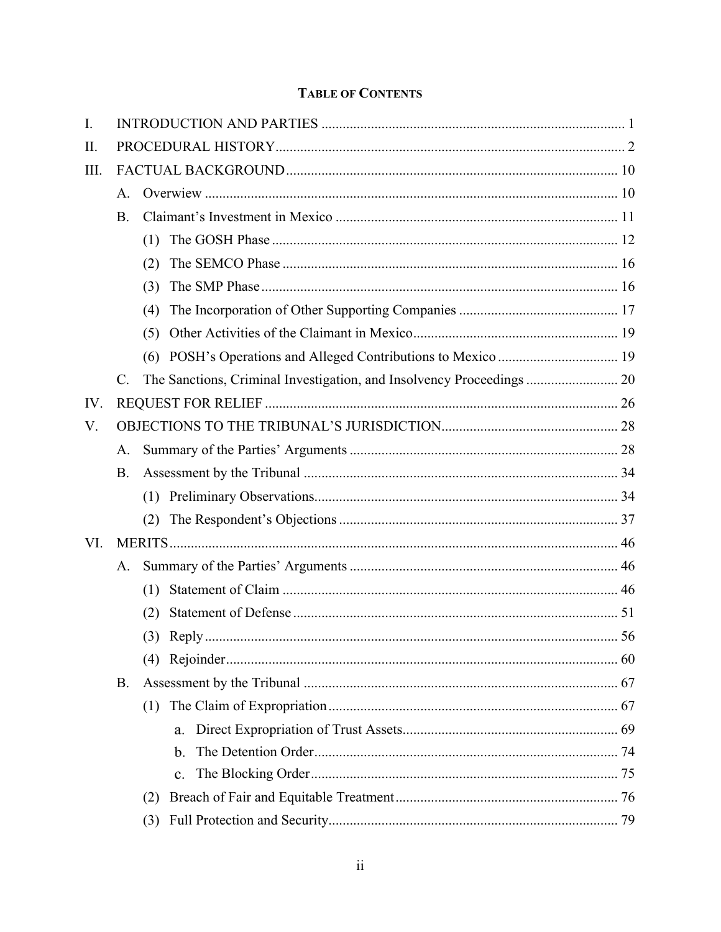# **TABLE OF CONTENTS**

| I.  |                 |     |                                                                       |  |
|-----|-----------------|-----|-----------------------------------------------------------------------|--|
| Π.  |                 |     |                                                                       |  |
| Ш.  |                 |     |                                                                       |  |
|     | A.              |     |                                                                       |  |
|     | <b>B.</b>       |     |                                                                       |  |
|     |                 | (1) |                                                                       |  |
|     |                 | (2) |                                                                       |  |
|     |                 | (3) |                                                                       |  |
|     |                 | (4) |                                                                       |  |
|     |                 | (5) |                                                                       |  |
|     |                 | (6) | POSH's Operations and Alleged Contributions to Mexico  19             |  |
|     | $\mathcal{C}$ . |     | The Sanctions, Criminal Investigation, and Insolvency Proceedings  20 |  |
| IV. |                 |     |                                                                       |  |
| V.  |                 |     |                                                                       |  |
|     | A.              |     |                                                                       |  |
|     | <b>B.</b>       |     |                                                                       |  |
|     |                 | (1) |                                                                       |  |
|     |                 | (2) |                                                                       |  |
| VI. |                 |     |                                                                       |  |
|     | A.              |     |                                                                       |  |
|     |                 | (1) |                                                                       |  |
|     |                 | (2) |                                                                       |  |
|     |                 |     |                                                                       |  |
|     |                 |     |                                                                       |  |
|     | В.              |     |                                                                       |  |
|     |                 | (1) |                                                                       |  |
|     |                 |     | a.                                                                    |  |
|     |                 |     | b.                                                                    |  |
|     |                 |     | $\mathbf{c}$ .                                                        |  |
|     |                 | (2) |                                                                       |  |
|     |                 | (3) |                                                                       |  |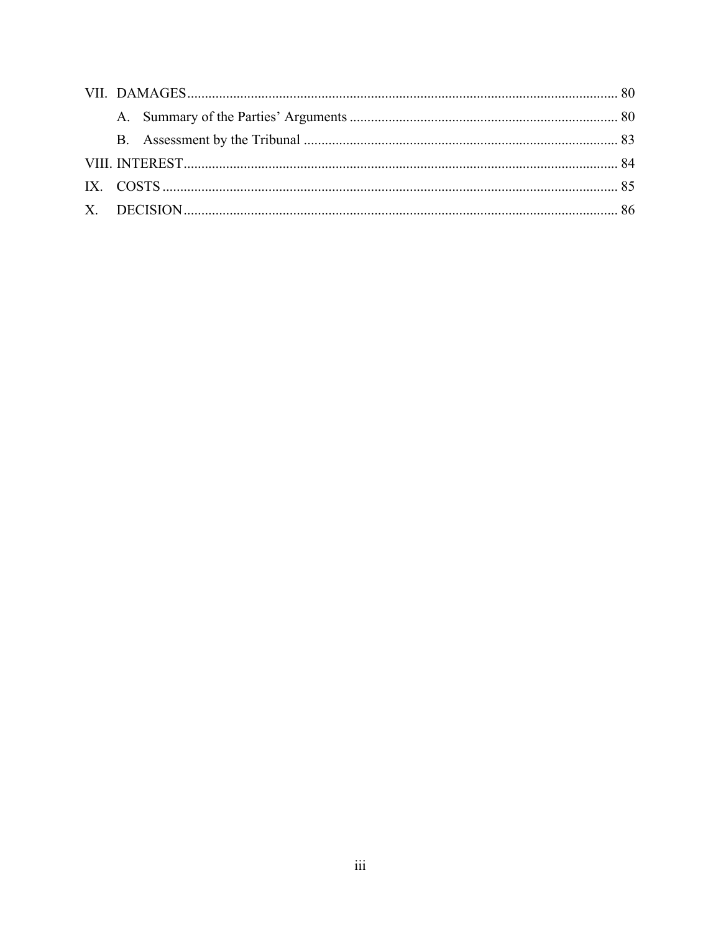|  | IX. COSTS $\ldots$ 65 |  |
|--|-----------------------|--|
|  |                       |  |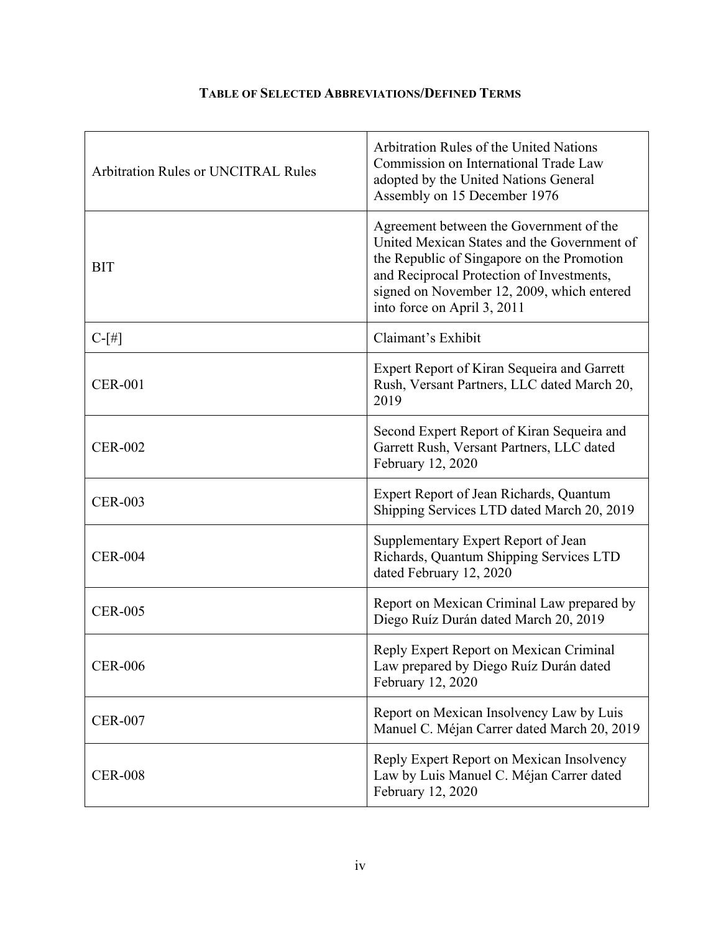| <b>Arbitration Rules or UNCITRAL Rules</b> | Arbitration Rules of the United Nations<br>Commission on International Trade Law<br>adopted by the United Nations General<br>Assembly on 15 December 1976                                                                                                      |
|--------------------------------------------|----------------------------------------------------------------------------------------------------------------------------------------------------------------------------------------------------------------------------------------------------------------|
| <b>BIT</b>                                 | Agreement between the Government of the<br>United Mexican States and the Government of<br>the Republic of Singapore on the Promotion<br>and Reciprocal Protection of Investments,<br>signed on November 12, 2009, which entered<br>into force on April 3, 2011 |
| $C-[#]$                                    | Claimant's Exhibit                                                                                                                                                                                                                                             |
| <b>CER-001</b>                             | Expert Report of Kiran Sequeira and Garrett<br>Rush, Versant Partners, LLC dated March 20,<br>2019                                                                                                                                                             |
| <b>CER-002</b>                             | Second Expert Report of Kiran Sequeira and<br>Garrett Rush, Versant Partners, LLC dated<br>February 12, 2020                                                                                                                                                   |
| <b>CER-003</b>                             | Expert Report of Jean Richards, Quantum<br>Shipping Services LTD dated March 20, 2019                                                                                                                                                                          |
| <b>CER-004</b>                             | Supplementary Expert Report of Jean<br>Richards, Quantum Shipping Services LTD<br>dated February 12, 2020                                                                                                                                                      |
| <b>CER-005</b>                             | Report on Mexican Criminal Law prepared by<br>Diego Ruíz Durán dated March 20, 2019                                                                                                                                                                            |
| <b>CER-006</b>                             | Reply Expert Report on Mexican Criminal<br>Law prepared by Diego Ruíz Durán dated<br>February 12, 2020                                                                                                                                                         |
| <b>CER-007</b>                             | Report on Mexican Insolvency Law by Luis<br>Manuel C. Méjan Carrer dated March 20, 2019                                                                                                                                                                        |
| <b>CER-008</b>                             | Reply Expert Report on Mexican Insolvency<br>Law by Luis Manuel C. Méjan Carrer dated<br>February 12, 2020                                                                                                                                                     |

## **TABLE OF SELECTED ABBREVIATIONS/DEFINED TERMS**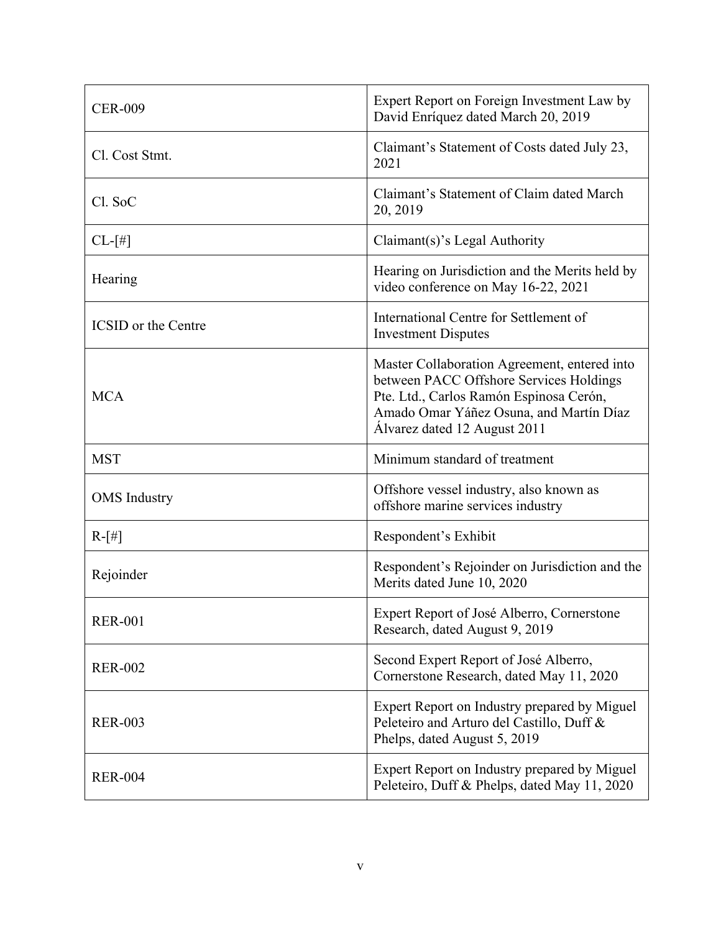| <b>CER-009</b>             | Expert Report on Foreign Investment Law by<br>David Enríquez dated March 20, 2019                                                                                                                             |  |
|----------------------------|---------------------------------------------------------------------------------------------------------------------------------------------------------------------------------------------------------------|--|
| Cl. Cost Stmt.             | Claimant's Statement of Costs dated July 23,<br>2021                                                                                                                                                          |  |
| Cl. SoC                    | Claimant's Statement of Claim dated March<br>20, 2019                                                                                                                                                         |  |
| $CL-[#]$                   | Claimant(s)'s Legal Authority                                                                                                                                                                                 |  |
| Hearing                    | Hearing on Jurisdiction and the Merits held by<br>video conference on May 16-22, 2021                                                                                                                         |  |
| <b>ICSID</b> or the Centre | International Centre for Settlement of<br><b>Investment Disputes</b>                                                                                                                                          |  |
| <b>MCA</b>                 | Master Collaboration Agreement, entered into<br>between PACC Offshore Services Holdings<br>Pte. Ltd., Carlos Ramón Espinosa Cerón,<br>Amado Omar Yáñez Osuna, and Martín Díaz<br>Álvarez dated 12 August 2011 |  |
| <b>MST</b>                 | Minimum standard of treatment                                                                                                                                                                                 |  |
| <b>OMS</b> Industry        | Offshore vessel industry, also known as<br>offshore marine services industry                                                                                                                                  |  |
| $R-[#]$                    | Respondent's Exhibit                                                                                                                                                                                          |  |
| Rejoinder                  | Respondent's Rejoinder on Jurisdiction and the<br>Merits dated June 10, 2020                                                                                                                                  |  |
| <b>RER-001</b>             | Expert Report of José Alberro, Cornerstone<br>Research, dated August 9, 2019                                                                                                                                  |  |
| <b>RER-002</b>             | Second Expert Report of José Alberro,<br>Cornerstone Research, dated May 11, 2020                                                                                                                             |  |
| <b>RER-003</b>             | Expert Report on Industry prepared by Miguel<br>Peleteiro and Arturo del Castillo, Duff &<br>Phelps, dated August 5, 2019                                                                                     |  |
| <b>RER-004</b>             | Expert Report on Industry prepared by Miguel<br>Peleteiro, Duff & Phelps, dated May 11, 2020                                                                                                                  |  |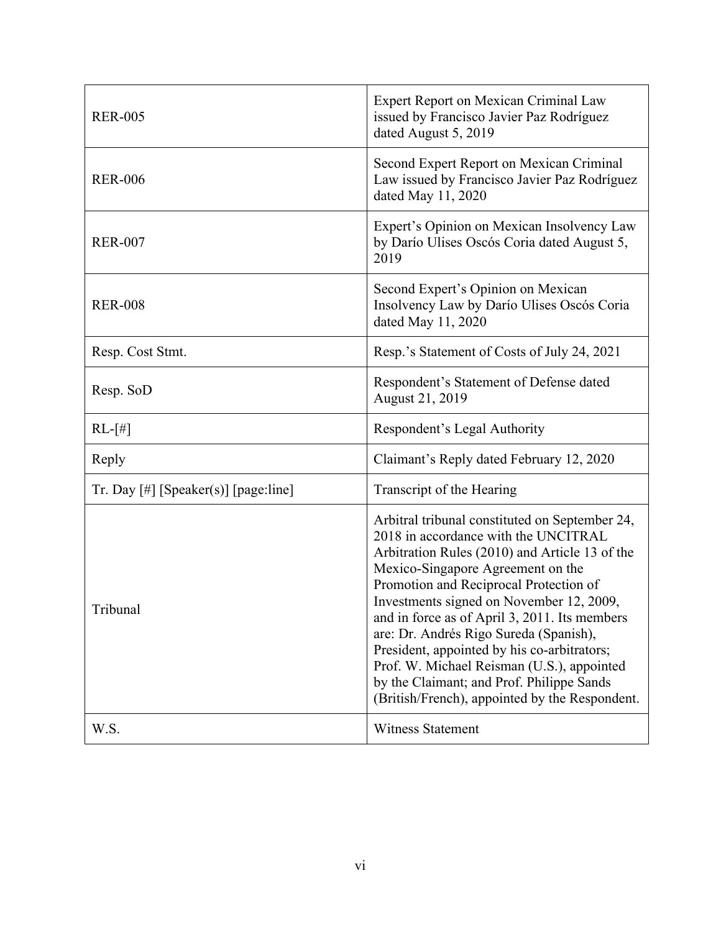| <b>RER-005</b>                       | Expert Report on Mexican Criminal Law<br>issued by Francisco Javier Paz Rodríguez<br>dated August 5, 2019                                                                                                                                                                                                                                                                                                                                                                                                                                                  |  |
|--------------------------------------|------------------------------------------------------------------------------------------------------------------------------------------------------------------------------------------------------------------------------------------------------------------------------------------------------------------------------------------------------------------------------------------------------------------------------------------------------------------------------------------------------------------------------------------------------------|--|
| <b>RER-006</b>                       | Second Expert Report on Mexican Criminal<br>Law issued by Francisco Javier Paz Rodríguez<br>dated May 11, 2020                                                                                                                                                                                                                                                                                                                                                                                                                                             |  |
| <b>RER-007</b>                       | Expert's Opinion on Mexican Insolvency Law<br>by Darío Ulises Oscós Coria dated August 5,<br>2019                                                                                                                                                                                                                                                                                                                                                                                                                                                          |  |
| <b>RER-008</b>                       | Second Expert's Opinion on Mexican<br>Insolvency Law by Darío Ulises Oscós Coria<br>dated May 11, 2020                                                                                                                                                                                                                                                                                                                                                                                                                                                     |  |
| Resp. Cost Stmt.                     | Resp.'s Statement of Costs of July 24, 2021                                                                                                                                                                                                                                                                                                                                                                                                                                                                                                                |  |
| Resp. SoD                            | Respondent's Statement of Defense dated<br>August 21, 2019                                                                                                                                                                                                                                                                                                                                                                                                                                                                                                 |  |
| $RL-[#]$                             | Respondent's Legal Authority                                                                                                                                                                                                                                                                                                                                                                                                                                                                                                                               |  |
| Reply                                | Claimant's Reply dated February 12, 2020                                                                                                                                                                                                                                                                                                                                                                                                                                                                                                                   |  |
| Tr. Day [#] [Speaker(s)] [page:line] | Transcript of the Hearing                                                                                                                                                                                                                                                                                                                                                                                                                                                                                                                                  |  |
| Tribunal                             | Arbitral tribunal constituted on September 24,<br>2018 in accordance with the UNCITRAL<br>Arbitration Rules (2010) and Article 13 of the<br>Mexico-Singapore Agreement on the<br>Promotion and Reciprocal Protection of<br>Investments signed on November 12, 2009,<br>and in force as of April 3, 2011. Its members<br>are: Dr. Andrés Rigo Sureda (Spanish),<br>President, appointed by his co-arbitrators;<br>Prof. W. Michael Reisman (U.S.), appointed<br>by the Claimant; and Prof. Philippe Sands<br>(British/French), appointed by the Respondent. |  |
| W.S.                                 | <b>Witness Statement</b>                                                                                                                                                                                                                                                                                                                                                                                                                                                                                                                                   |  |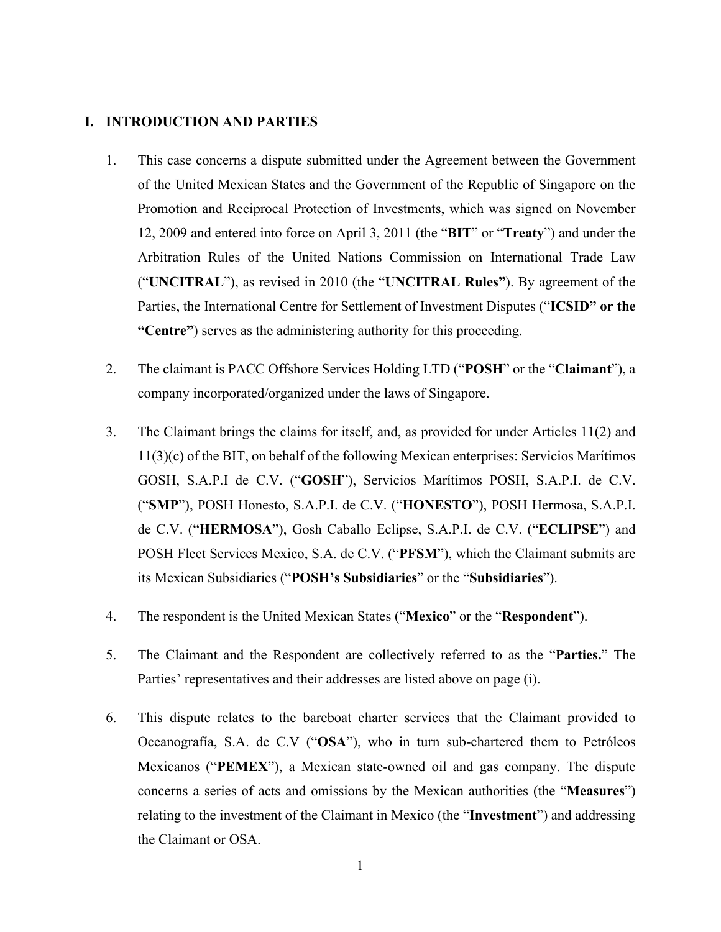#### <span id="page-7-0"></span>**I. INTRODUCTION AND PARTIES**

- 1. This case concerns a dispute submitted under the Agreement between the Government of the United Mexican States and the Government of the Republic of Singapore on the Promotion and Reciprocal Protection of Investments, which was signed on November 12, 2009 and entered into force on April 3, 2011 (the "**BIT**" or "**Treaty**") and under the Arbitration Rules of the United Nations Commission on International Trade Law ("**UNCITRAL**"), as revised in 2010 (the "**UNCITRAL Rules"**). By agreement of the Parties, the International Centre for Settlement of Investment Disputes ("**ICSID" or the "Centre"**) serves as the administering authority for this proceeding.
- 2. The claimant is PACC Offshore Services Holding LTD ("**POSH**" or the "**Claimant**"), a company incorporated/organized under the laws of Singapore.
- 3. The Claimant brings the claims for itself, and, as provided for under Articles 11(2) and 11(3)(c) of the BIT, on behalf of the following Mexican enterprises: Servicios Marítimos GOSH, S.A.P.I de C.V. ("**GOSH**"), Servicios Marítimos POSH, S.A.P.I. de C.V. ("**SMP**"), POSH Honesto, S.A.P.I. de C.V. ("**HONESTO**"), POSH Hermosa, S.A.P.I. de C.V. ("**HERMOSA**"), Gosh Caballo Eclipse, S.A.P.I. de C.V. ("**ECLIPSE**") and POSH Fleet Services Mexico, S.A. de C.V. ("**PFSM**"), which the Claimant submits are its Mexican Subsidiaries ("**POSH's Subsidiaries**" or the "**Subsidiaries**").
- 4. The respondent is the United Mexican States ("**Mexico**" or the "**Respondent**").
- 5. The Claimant and the Respondent are collectively referred to as the "**Parties.**" The Parties' representatives and their addresses are listed above on page (i).
- 6. This dispute relates to the bareboat charter services that the Claimant provided to Oceanografía, S.A. de C.V ("**OSA**"), who in turn sub-chartered them to Petróleos Mexicanos ("**PEMEX**"), a Mexican state-owned oil and gas company. The dispute concerns a series of acts and omissions by the Mexican authorities (the "**Measures**") relating to the investment of the Claimant in Mexico (the "**Investment**") and addressing the Claimant or OSA.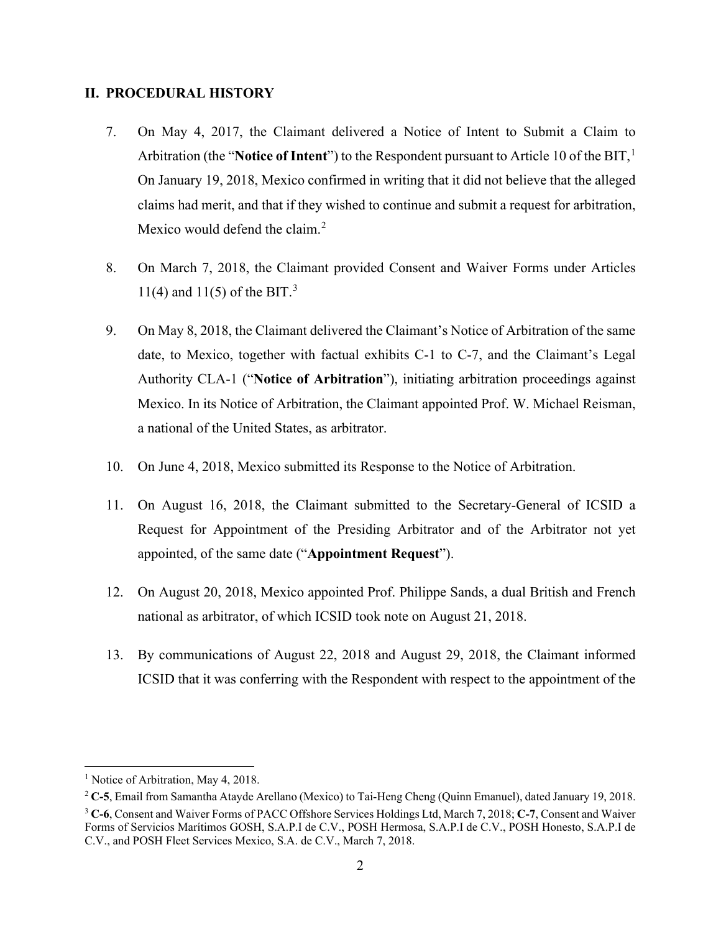### <span id="page-8-0"></span>**II. PROCEDURAL HISTORY**

- 7. On May 4, 2017, the Claimant delivered a Notice of Intent to Submit a Claim to Arbitration (the "**Notice of Intent**") to the Respondent pursuant to Article [1](#page-8-1)0 of the BIT,<sup>1</sup> On January 19, 2018, Mexico confirmed in writing that it did not believe that the alleged claims had merit, and that if they wished to continue and submit a request for arbitration, Mexico would defend the claim.<sup>[2](#page-8-2)</sup>
- 8. On March 7, 2018, the Claimant provided Consent and Waiver Forms under Articles 11(4) and 11(5) of the BIT.<sup>[3](#page-8-3)</sup>
- 9. On May 8, 2018, the Claimant delivered the Claimant's Notice of Arbitration of the same date, to Mexico, together with factual exhibits C-1 to C-7, and the Claimant's Legal Authority CLA-1 ("**Notice of Arbitration**"), initiating arbitration proceedings against Mexico. In its Notice of Arbitration, the Claimant appointed Prof. W. Michael Reisman, a national of the United States, as arbitrator.
- 10. On June 4, 2018, Mexico submitted its Response to the Notice of Arbitration.
- 11. On August 16, 2018, the Claimant submitted to the Secretary-General of ICSID a Request for Appointment of the Presiding Arbitrator and of the Arbitrator not yet appointed, of the same date ("**Appointment Request**").
- 12. On August 20, 2018, Mexico appointed Prof. Philippe Sands, a dual British and French national as arbitrator, of which ICSID took note on August 21, 2018.
- 13. By communications of August 22, 2018 and August 29, 2018, the Claimant informed ICSID that it was conferring with the Respondent with respect to the appointment of the

<span id="page-8-1"></span><sup>&</sup>lt;sup>1</sup> Notice of Arbitration, May 4, 2018.

<span id="page-8-2"></span><sup>2</sup> **C-5**, Email from Samantha Atayde Arellano (Mexico) to Tai-Heng Cheng (Quinn Emanuel), dated January 19, 2018.

<span id="page-8-3"></span><sup>3</sup> **C-6**, Consent and Waiver Forms of PACC Offshore Services Holdings Ltd, March 7, 2018; **C-7**, Consent and Waiver Forms of Servicios Marítimos GOSH, S.A.P.I de C.V., POSH Hermosa, S.A.P.I de C.V., POSH Honesto, S.A.P.I de C.V., and POSH Fleet Services Mexico, S.A. de C.V., March 7, 2018.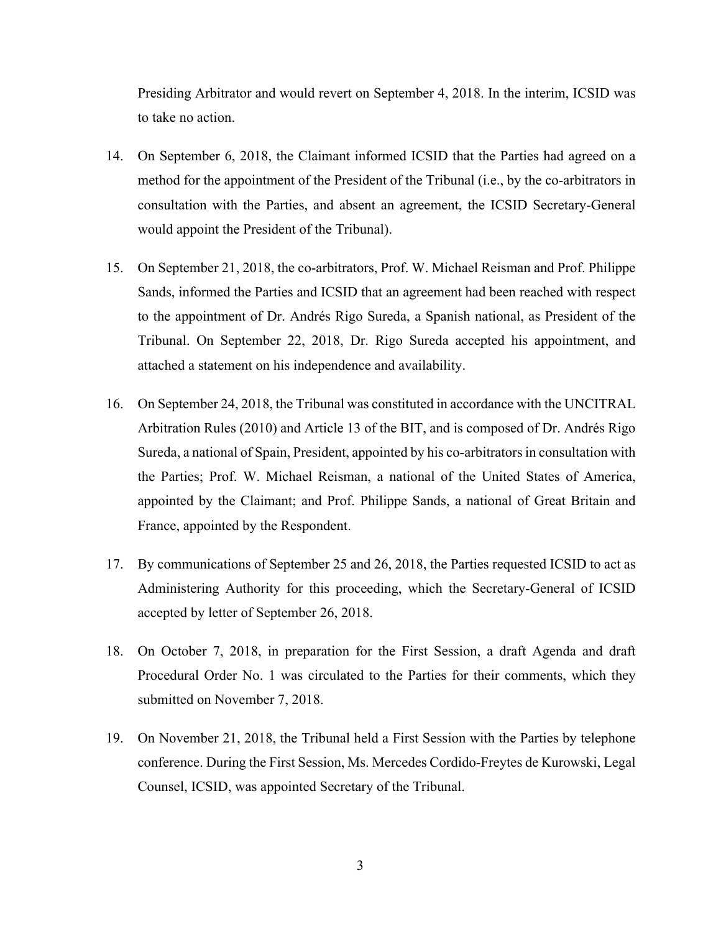Presiding Arbitrator and would revert on September 4, 2018. In the interim, ICSID was to take no action.

- 14. On September 6, 2018, the Claimant informed ICSID that the Parties had agreed on a method for the appointment of the President of the Tribunal (i.e., by the co-arbitrators in consultation with the Parties, and absent an agreement, the ICSID Secretary-General would appoint the President of the Tribunal).
- 15. On September 21, 2018, the co-arbitrators, Prof. W. Michael Reisman and Prof. Philippe Sands, informed the Parties and ICSID that an agreement had been reached with respect to the appointment of Dr. Andrés Rigo Sureda, a Spanish national, as President of the Tribunal. On September 22, 2018, Dr. Rigo Sureda accepted his appointment, and attached a statement on his independence and availability.
- 16. On September 24, 2018, the Tribunal was constituted in accordance with the UNCITRAL Arbitration Rules (2010) and Article 13 of the BIT, and is composed of Dr. Andrés Rigo Sureda, a national of Spain, President, appointed by his co-arbitrators in consultation with the Parties; Prof. W. Michael Reisman, a national of the United States of America, appointed by the Claimant; and Prof. Philippe Sands, a national of Great Britain and France, appointed by the Respondent.
- 17. By communications of September 25 and 26, 2018, the Parties requested ICSID to act as Administering Authority for this proceeding, which the Secretary-General of ICSID accepted by letter of September 26, 2018.
- 18. On October 7, 2018, in preparation for the First Session, a draft Agenda and draft Procedural Order No. 1 was circulated to the Parties for their comments, which they submitted on November 7, 2018.
- 19. On November 21, 2018, the Tribunal held a First Session with the Parties by telephone conference. During the First Session, Ms. Mercedes Cordido-Freytes de Kurowski, Legal Counsel, ICSID, was appointed Secretary of the Tribunal.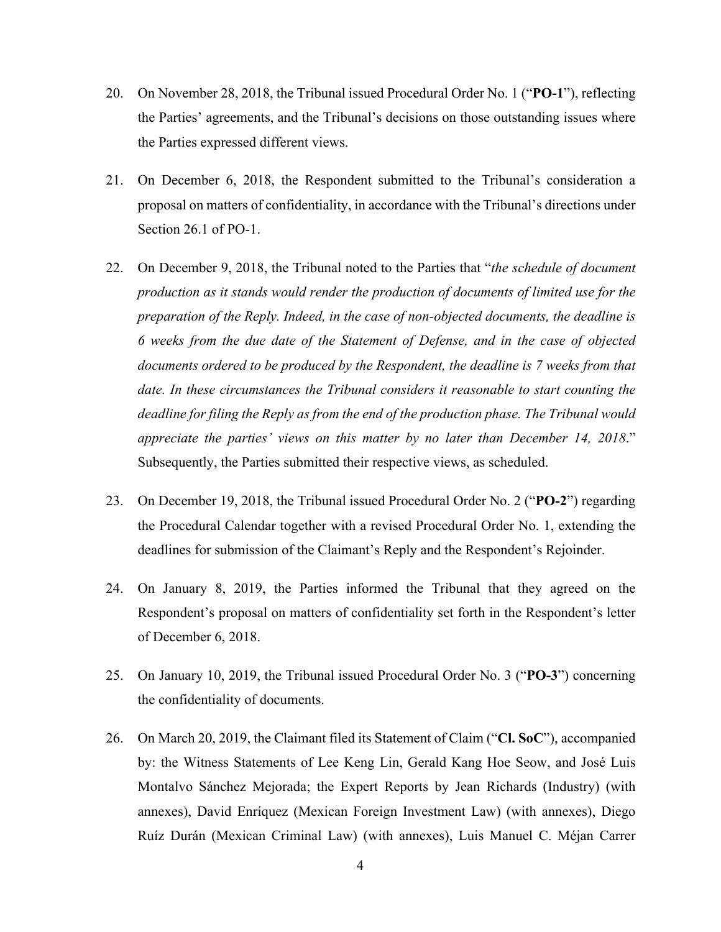- 20. On November 28, 2018, the Tribunal issued Procedural Order No. 1 ("**PO-1**"), reflecting the Parties' agreements, and the Tribunal's decisions on those outstanding issues where the Parties expressed different views.
- 21. On December 6, 2018, the Respondent submitted to the Tribunal's consideration a proposal on matters of confidentiality, in accordance with the Tribunal's directions under Section 26.1 of PO-1.
- 22. On December 9, 2018, the Tribunal noted to the Parties that "*the schedule of document production as it stands would render the production of documents of limited use for the preparation of the Reply. Indeed, in the case of non-objected documents, the deadline is 6 weeks from the due date of the Statement of Defense, and in the case of objected documents ordered to be produced by the Respondent, the deadline is 7 weeks from that date. In these circumstances the Tribunal considers it reasonable to start counting the deadline for filing the Reply as from the end of the production phase. The Tribunal would appreciate the parties' views on this matter by no later than December 14, 2018*." Subsequently, the Parties submitted their respective views, as scheduled.
- 23. On December 19, 2018, the Tribunal issued Procedural Order No. 2 ("**PO-2**") regarding the Procedural Calendar together with a revised Procedural Order No. 1, extending the deadlines for submission of the Claimant's Reply and the Respondent's Rejoinder.
- 24. On January 8, 2019, the Parties informed the Tribunal that they agreed on the Respondent's proposal on matters of confidentiality set forth in the Respondent's letter of December 6, 2018.
- 25. On January 10, 2019, the Tribunal issued Procedural Order No. 3 ("**PO-3**") concerning the confidentiality of documents.
- 26. On March 20, 2019, the Claimant filed its Statement of Claim ("**Cl. SoC**"), accompanied by: the Witness Statements of Lee Keng Lin, Gerald Kang Hoe Seow, and José Luis Montalvo Sánchez Mejorada; the Expert Reports by Jean Richards (Industry) (with annexes), David Enríquez (Mexican Foreign Investment Law) (with annexes), Diego Ruíz Durán (Mexican Criminal Law) (with annexes), Luis Manuel C. Méjan Carrer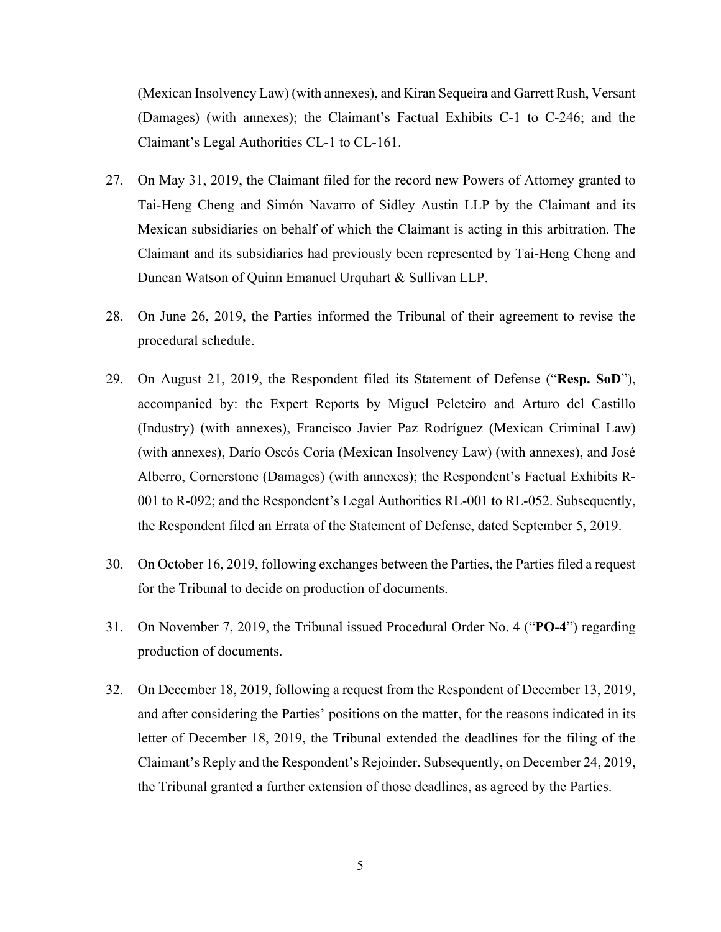(Mexican Insolvency Law) (with annexes), and Kiran Sequeira and Garrett Rush, Versant (Damages) (with annexes); the Claimant's Factual Exhibits C-1 to C-246; and the Claimant's Legal Authorities CL-1 to CL-161.

- 27. On May 31, 2019, the Claimant filed for the record new Powers of Attorney granted to Tai-Heng Cheng and Simón Navarro of Sidley Austin LLP by the Claimant and its Mexican subsidiaries on behalf of which the Claimant is acting in this arbitration. The Claimant and its subsidiaries had previously been represented by Tai-Heng Cheng and Duncan Watson of Quinn Emanuel Urquhart & Sullivan LLP.
- 28. On June 26, 2019, the Parties informed the Tribunal of their agreement to revise the procedural schedule.
- 29. On August 21, 2019, the Respondent filed its Statement of Defense ("**Resp. SoD**"), accompanied by: the Expert Reports by Miguel Peleteiro and Arturo del Castillo (Industry) (with annexes), Francisco Javier Paz Rodríguez (Mexican Criminal Law) (with annexes), Darío Oscós Coria (Mexican Insolvency Law) (with annexes), and José Alberro, Cornerstone (Damages) (with annexes); the Respondent's Factual Exhibits R-001 to R-092; and the Respondent's Legal Authorities RL-001 to RL-052. Subsequently, the Respondent filed an Errata of the Statement of Defense, dated September 5, 2019.
- 30. On October 16, 2019, following exchanges between the Parties, the Parties filed a request for the Tribunal to decide on production of documents.
- 31. On November 7, 2019, the Tribunal issued Procedural Order No. 4 ("**PO-4**") regarding production of documents.
- 32. On December 18, 2019, following a request from the Respondent of December 13, 2019, and after considering the Parties' positions on the matter, for the reasons indicated in its letter of December 18, 2019, the Tribunal extended the deadlines for the filing of the Claimant's Reply and the Respondent's Rejoinder. Subsequently, on December 24, 2019, the Tribunal granted a further extension of those deadlines, as agreed by the Parties.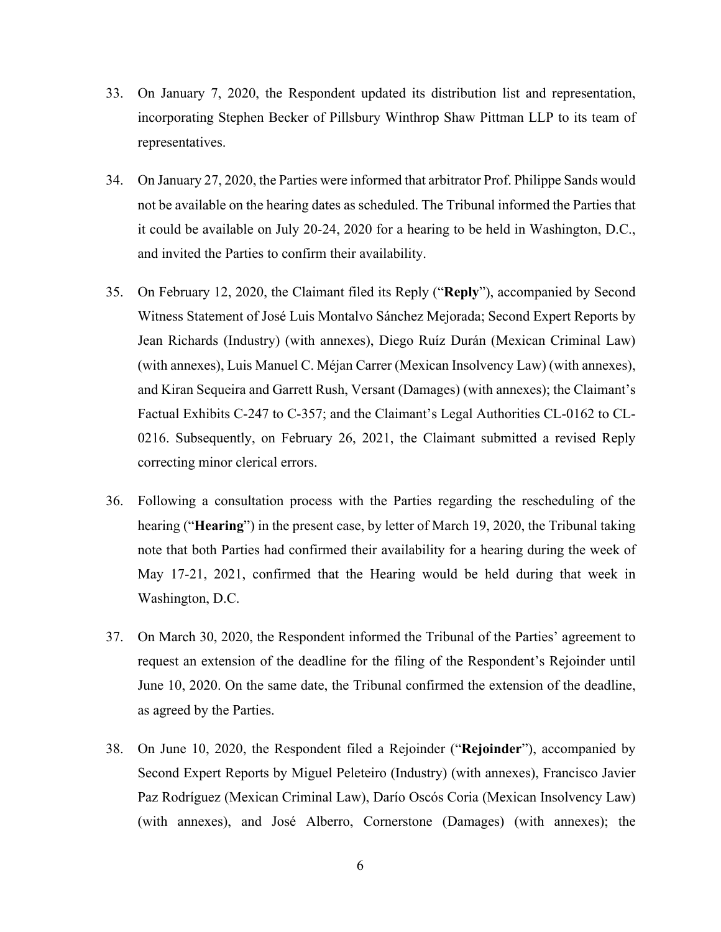- 33. On January 7, 2020, the Respondent updated its distribution list and representation, incorporating Stephen Becker of Pillsbury Winthrop Shaw Pittman LLP to its team of representatives.
- 34. On January 27, 2020, the Parties were informed that arbitrator Prof. Philippe Sands would not be available on the hearing dates as scheduled. The Tribunal informed the Parties that it could be available on July 20-24, 2020 for a hearing to be held in Washington, D.C., and invited the Parties to confirm their availability.
- 35. On February 12, 2020, the Claimant filed its Reply ("**Reply**"), accompanied by Second Witness Statement of José Luis Montalvo Sánchez Mejorada; Second Expert Reports by Jean Richards (Industry) (with annexes), Diego Ruíz Durán (Mexican Criminal Law) (with annexes), Luis Manuel C. Méjan Carrer (Mexican Insolvency Law) (with annexes), and Kiran Sequeira and Garrett Rush, Versant (Damages) (with annexes); the Claimant's Factual Exhibits C-247 to C-357; and the Claimant's Legal Authorities CL-0162 to CL-0216. Subsequently, on February 26, 2021, the Claimant submitted a revised Reply correcting minor clerical errors.
- 36. Following a consultation process with the Parties regarding the rescheduling of the hearing ("**Hearing**") in the present case, by letter of March 19, 2020, the Tribunal taking note that both Parties had confirmed their availability for a hearing during the week of May 17-21, 2021, confirmed that the Hearing would be held during that week in Washington, D.C.
- 37. On March 30, 2020, the Respondent informed the Tribunal of the Parties' agreement to request an extension of the deadline for the filing of the Respondent's Rejoinder until June 10, 2020. On the same date, the Tribunal confirmed the extension of the deadline, as agreed by the Parties.
- 38. On June 10, 2020, the Respondent filed a Rejoinder ("**Rejoinder**"), accompanied by Second Expert Reports by Miguel Peleteiro (Industry) (with annexes), Francisco Javier Paz Rodríguez (Mexican Criminal Law), Darío Oscós Coria (Mexican Insolvency Law) (with annexes), and José Alberro, Cornerstone (Damages) (with annexes); the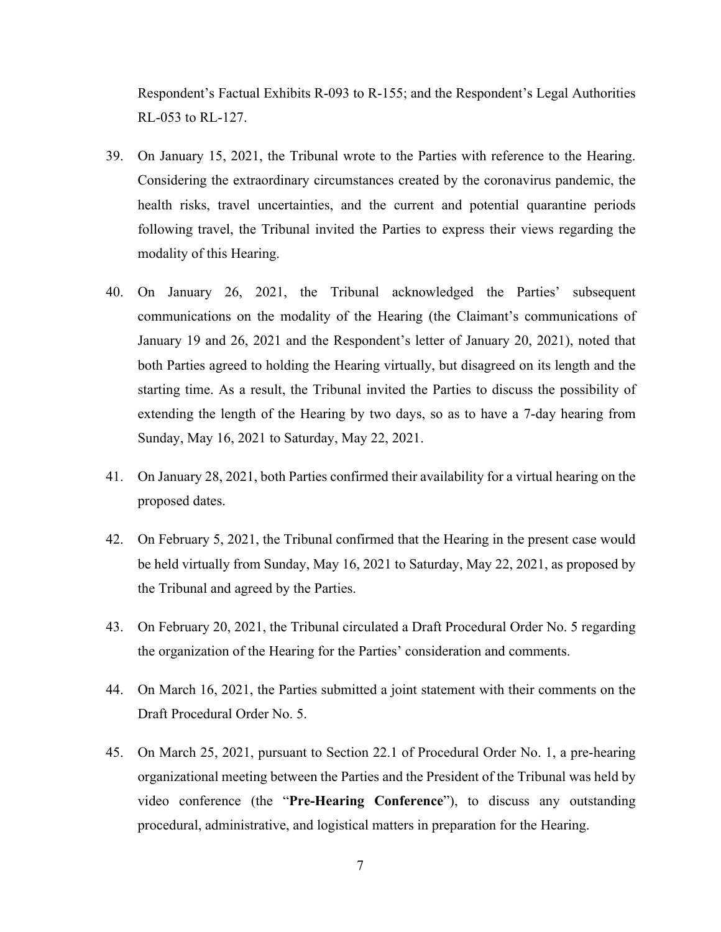Respondent's Factual Exhibits R-093 to R-155; and the Respondent's Legal Authorities RL-053 to RL-127.

- 39. On January 15, 2021, the Tribunal wrote to the Parties with reference to the Hearing. Considering the extraordinary circumstances created by the coronavirus pandemic, the health risks, travel uncertainties, and the current and potential quarantine periods following travel, the Tribunal invited the Parties to express their views regarding the modality of this Hearing.
- 40. On January 26, 2021, the Tribunal acknowledged the Parties' subsequent communications on the modality of the Hearing (the Claimant's communications of January 19 and 26, 2021 and the Respondent's letter of January 20, 2021), noted that both Parties agreed to holding the Hearing virtually, but disagreed on its length and the starting time. As a result, the Tribunal invited the Parties to discuss the possibility of extending the length of the Hearing by two days, so as to have a 7-day hearing from Sunday, May 16, 2021 to Saturday, May 22, 2021.
- 41. On January 28, 2021, both Parties confirmed their availability for a virtual hearing on the proposed dates.
- 42. On February 5, 2021, the Tribunal confirmed that the Hearing in the present case would be held virtually from Sunday, May 16, 2021 to Saturday, May 22, 2021, as proposed by the Tribunal and agreed by the Parties.
- 43. On February 20, 2021, the Tribunal circulated a Draft Procedural Order No. 5 regarding the organization of the Hearing for the Parties' consideration and comments.
- 44. On March 16, 2021, the Parties submitted a joint statement with their comments on the Draft Procedural Order No. 5.
- 45. On March 25, 2021, pursuant to Section 22.1 of Procedural Order No. 1, a pre-hearing organizational meeting between the Parties and the President of the Tribunal was held by video conference (the "**Pre-Hearing Conference**"), to discuss any outstanding procedural, administrative, and logistical matters in preparation for the Hearing.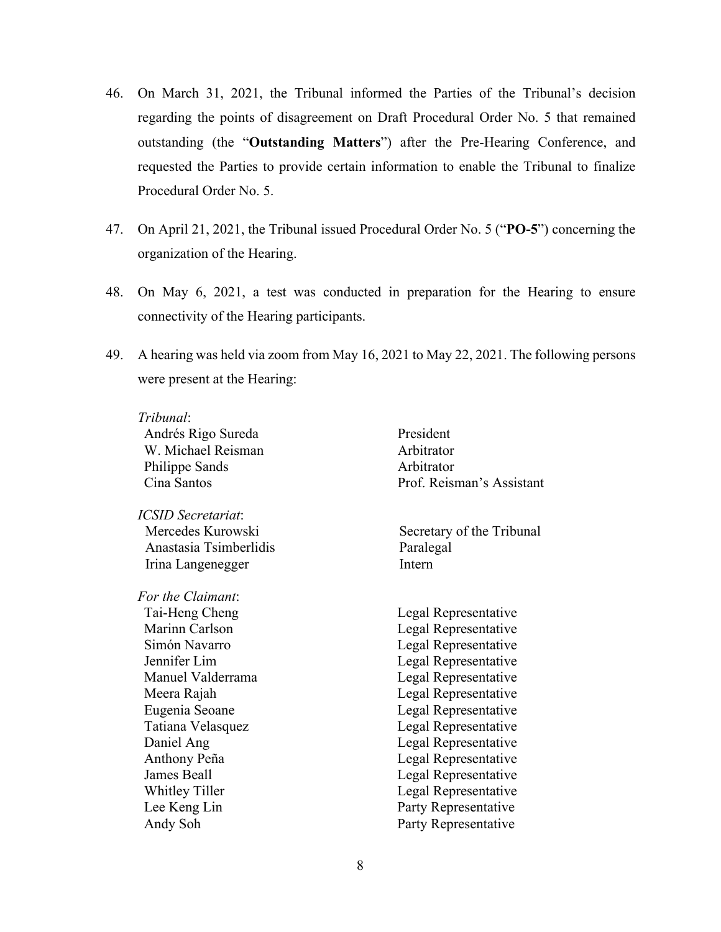- 46. On March 31, 2021, the Tribunal informed the Parties of the Tribunal's decision regarding the points of disagreement on Draft Procedural Order No. 5 that remained outstanding (the "**Outstanding Matters**") after the Pre-Hearing Conference, and requested the Parties to provide certain information to enable the Tribunal to finalize Procedural Order No. 5.
- 47. On April 21, 2021, the Tribunal issued Procedural Order No. 5 ("**PO-5**") concerning the organization of the Hearing.
- 48. On May 6, 2021, a test was conducted in preparation for the Hearing to ensure connectivity of the Hearing participants.
- 49. A hearing was held via zoom from May 16, 2021 to May 22, 2021. The following persons were present at the Hearing:

| Tribunal:              |                           |
|------------------------|---------------------------|
| Andrés Rigo Sureda     | President                 |
| W. Michael Reisman     | Arbitrator                |
| Philippe Sands         | Arbitrator                |
| Cina Santos            | Prof. Reisman's Assistant |
| ICSID Secretariat:     |                           |
| Mercedes Kurowski      | Secretary of the Tribunal |
| Anastasia Tsimberlidis | Paralegal                 |
| Irina Langenegger      | Intern                    |
| For the Claimant:      |                           |
| Tai-Heng Cheng         | Legal Representative      |
| Marinn Carlson         | Legal Representative      |
| Simón Navarro          | Legal Representative      |
| Jennifer Lim           | Legal Representative      |
| Manuel Valderrama      | Legal Representative      |
| Meera Rajah            | Legal Representative      |
| Eugenia Seoane         | Legal Representative      |
| Tatiana Velasquez      | Legal Representative      |
| Daniel Ang             | Legal Representative      |
| Anthony Peña           | Legal Representative      |
| James Beall            | Legal Representative      |
| <b>Whitley Tiller</b>  | Legal Representative      |
| Lee Keng Lin           | Party Representative      |
| Andy Soh               | Party Representative      |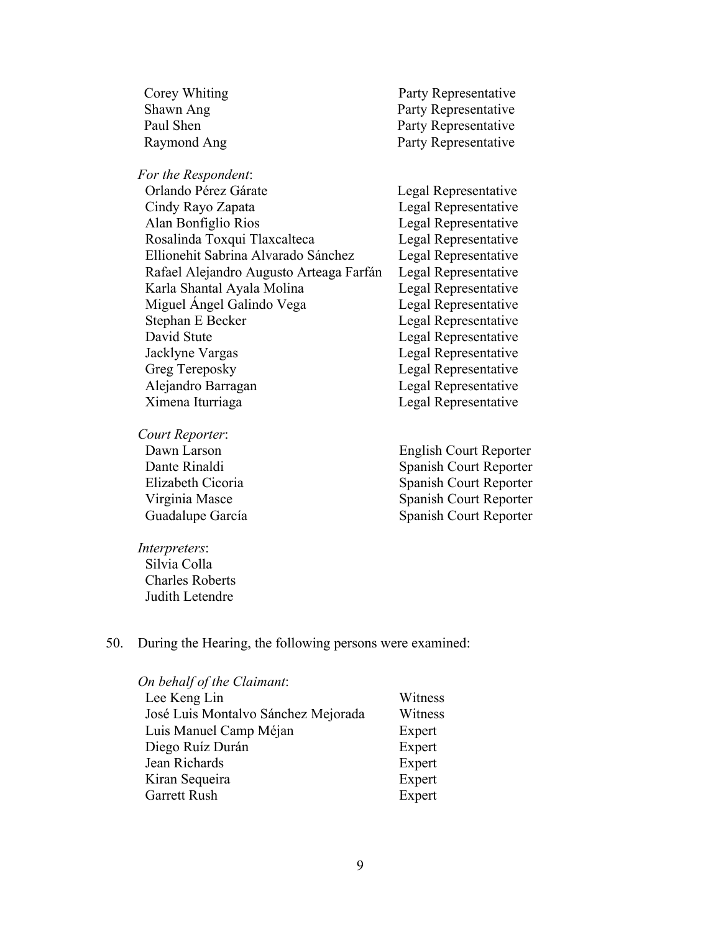| Corey Whiting | Party Representative |
|---------------|----------------------|
| Shawn Ang     | Party Representative |
| Paul Shen     | Party Representative |
| Raymond Ang   | Party Representative |

| For the Respondent:                     |                      |
|-----------------------------------------|----------------------|
| Orlando Pérez Gárate                    | Legal Representative |
| Cindy Rayo Zapata                       | Legal Representative |
| Alan Bonfiglio Rios                     | Legal Representative |
| Rosalinda Toxqui Tlaxcalteca            | Legal Representative |
| Ellionehit Sabrina Alvarado Sánchez     | Legal Representative |
| Rafael Alejandro Augusto Arteaga Farfán | Legal Representative |
| Karla Shantal Ayala Molina              | Legal Representative |
| Miguel Ángel Galindo Vega               | Legal Representative |
| Stephan E Becker                        | Legal Representative |
| David Stute                             | Legal Representative |
| Jacklyne Vargas                         | Legal Representative |
| Greg Tereposky                          | Legal Representative |
| Alejandro Barragan                      | Legal Representative |
| Ximena Iturriaga                        | Legal Representative |
|                                         |                      |

*Court Reporter*:

Dawn Larson Dante Rinaldi Elizabeth Cicoria Virginia Masce Guadalupe García English Court Reporter Spanish Court Reporter Spanish Court Reporter Spanish Court Reporter Spanish Court Reporter

*Interpreters*: Silvia Colla Charles Roberts Judith Letendre

## 50. During the Hearing, the following persons were examined:

| On behalf of the Claimant:          |         |
|-------------------------------------|---------|
| Lee Keng Lin                        | Witness |
| José Luis Montalvo Sánchez Mejorada | Witness |
| Luis Manuel Camp Méjan              | Expert  |
| Diego Ruíz Durán                    | Expert  |
| Jean Richards                       | Expert  |
| Kiran Sequeira                      | Expert  |
| <b>Garrett Rush</b>                 | Expert  |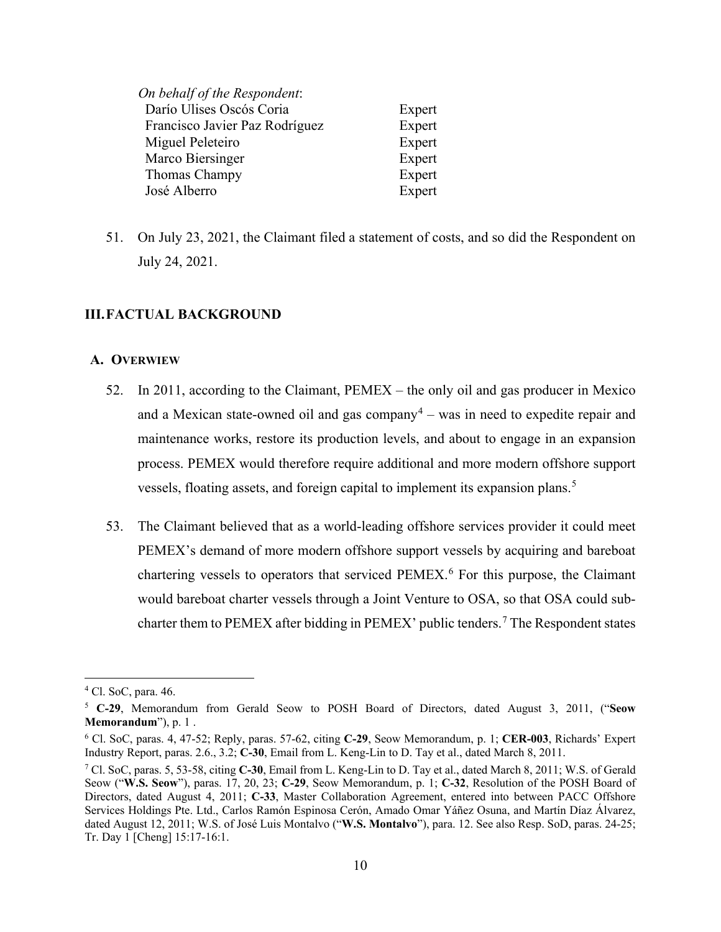| On behalf of the Respondent:   |        |
|--------------------------------|--------|
| Darío Ulises Oscós Coria       | Expert |
| Francisco Javier Paz Rodríguez | Expert |
| Miguel Peleteiro               | Expert |
| Marco Biersinger               | Expert |
| Thomas Champy                  | Expert |
| José Alberro                   | Expert |
|                                |        |

51. On July 23, 2021, the Claimant filed a statement of costs, and so did the Respondent on July 24, 2021.

### <span id="page-16-0"></span>**III.FACTUAL BACKGROUND**

#### <span id="page-16-1"></span>**A. OVERWIEW**

- 52. In 2011, according to the Claimant, PEMEX the only oil and gas producer in Mexico and a Mexican state-owned oil and gas company<sup>[4](#page-16-2)</sup> – was in need to expedite repair and maintenance works, restore its production levels, and about to engage in an expansion process. PEMEX would therefore require additional and more modern offshore support vessels, floating assets, and foreign capital to implement its expansion plans.<sup>[5](#page-16-3)</sup>
- 53. The Claimant believed that as a world-leading offshore services provider it could meet PEMEX's demand of more modern offshore support vessels by acquiring and bareboat chartering vessels to operators that serviced PEMEX.[6](#page-16-4) For this purpose, the Claimant would bareboat charter vessels through a Joint Venture to OSA, so that OSA could sub-charter them to PEMEX after bidding in PEMEX' public tenders.<sup>[7](#page-16-5)</sup> The Respondent states

<span id="page-16-2"></span><sup>4</sup> Cl. SoC, para. 46.

<span id="page-16-3"></span><sup>5</sup> **C-29**, Memorandum from Gerald Seow to POSH Board of Directors, dated August 3, 2011, ("**Seow Memorandum**"), p. 1 .

<span id="page-16-4"></span><sup>6</sup> Cl. SoC, paras. 4, 47-52; Reply, paras. 57-62, citing **C-29**, Seow Memorandum, p. 1; **CER-003**, Richards' Expert Industry Report, paras. 2.6., 3.2; **C-30**, Email from L. Keng-Lin to D. Tay et al., dated March 8, 2011.

<span id="page-16-5"></span><sup>7</sup> Cl. SoC, paras. 5, 53-58, citing **C-30**, Email from L. Keng-Lin to D. Tay et al., dated March 8, 2011; W.S. of Gerald Seow ("**W.S. Seow**"), paras. 17, 20, 23; **C-29**, Seow Memorandum, p. 1; **C-32**, Resolution of the POSH Board of Directors, dated August 4, 2011; **C-33**, Master Collaboration Agreement, entered into between PACC Offshore Services Holdings Pte. Ltd., Carlos Ramón Espinosa Cerón, Amado Omar Yáñez Osuna, and Martín Díaz Álvarez, dated August 12, 2011; W.S. of José Luis Montalvo ("**W.S. Montalvo**"), para. 12. See also Resp. SoD, paras. 24-25; Tr. Day 1 [Cheng] 15:17-16:1.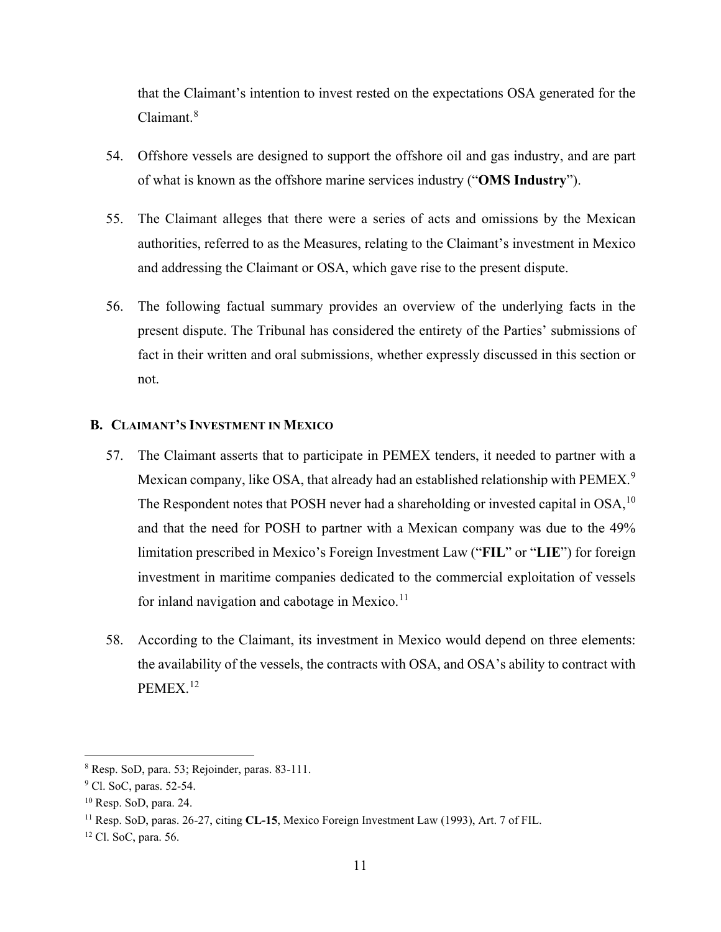that the Claimant's intention to invest rested on the expectations OSA generated for the Claimant.<sup>[8](#page-17-1)</sup>

- 54. Offshore vessels are designed to support the offshore oil and gas industry, and are part of what is known as the offshore marine services industry ("**OMS Industry**").
- 55. The Claimant alleges that there were a series of acts and omissions by the Mexican authorities, referred to as the Measures, relating to the Claimant's investment in Mexico and addressing the Claimant or OSA, which gave rise to the present dispute.
- 56. The following factual summary provides an overview of the underlying facts in the present dispute. The Tribunal has considered the entirety of the Parties' submissions of fact in their written and oral submissions, whether expressly discussed in this section or not.

#### <span id="page-17-0"></span>**B. CLAIMANT'S INVESTMENT IN MEXICO**

- 57. The Claimant asserts that to participate in PEMEX tenders, it needed to partner with a Mexican company, like OSA, that already had an established relationship with PEMEX.<sup>[9](#page-17-2)</sup> The Respondent notes that POSH never had a shareholding or invested capital in OSA,  $^{10}$  $^{10}$  $^{10}$ and that the need for POSH to partner with a Mexican company was due to the 49% limitation prescribed in Mexico's Foreign Investment Law ("**FIL**" or "**LIE**") for foreign investment in maritime companies dedicated to the commercial exploitation of vessels for inland navigation and cabotage in Mexico. $11$
- 58. According to the Claimant, its investment in Mexico would depend on three elements: the availability of the vessels, the contracts with OSA, and OSA's ability to contract with PEMEX.[12](#page-17-5)

<span id="page-17-1"></span><sup>8</sup> Resp. SoD, para. 53; Rejoinder, paras. 83-111.

<span id="page-17-2"></span><sup>&</sup>lt;sup>9</sup> Cl. SoC, paras. 52-54.

<span id="page-17-3"></span><sup>10</sup> Resp. SoD, para. 24.

<span id="page-17-4"></span><sup>11</sup> Resp. SoD, paras. 26-27, citing **CL-15**, Mexico Foreign Investment Law (1993), Art. 7 of FIL.

<span id="page-17-5"></span><sup>12</sup> Cl. SoC, para. 56.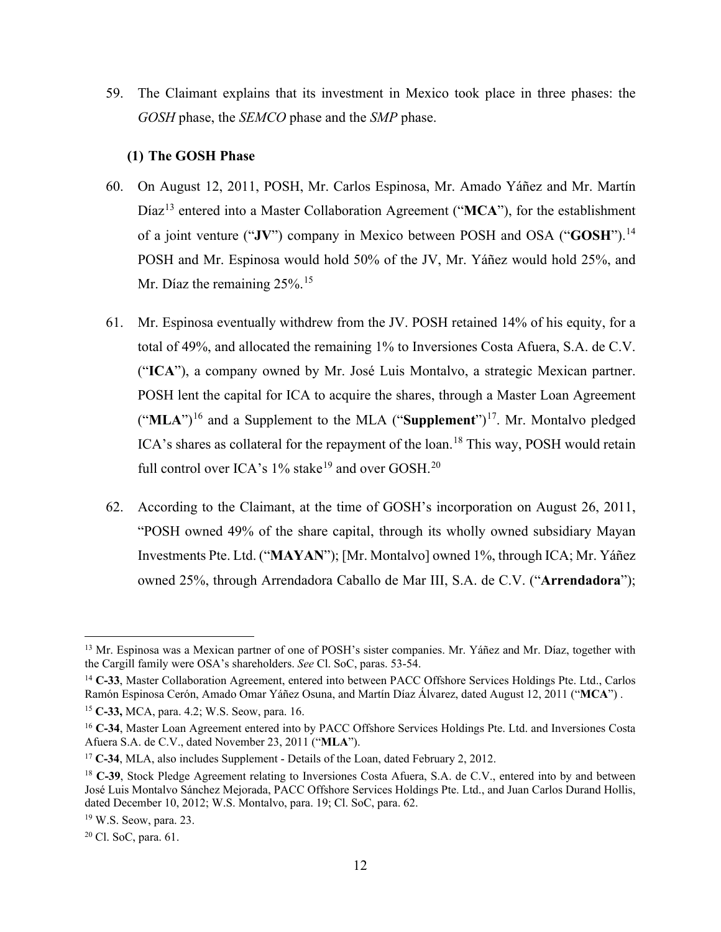59. The Claimant explains that its investment in Mexico took place in three phases: the *GOSH* phase, the *SEMCO* phase and the *SMP* phase.

#### **(1) The GOSH Phase**

- <span id="page-18-0"></span>60. On August 12, 2011, POSH, Mr. Carlos Espinosa, Mr. Amado Yáñez and Mr. Martín Díaz<sup>[13](#page-18-1)</sup> entered into a Master Collaboration Agreement ("MCA"), for the establishment of a joint venture ("**JV**") company in Mexico between POSH and OSA ("**GOSH**").[14](#page-18-2) POSH and Mr. Espinosa would hold 50% of the JV, Mr. Yáñez would hold 25%, and Mr. Díaz the remaining 25%.<sup>[15](#page-18-3)</sup>
- 61. Mr. Espinosa eventually withdrew from the JV. POSH retained 14% of his equity, for a total of 49%, and allocated the remaining 1% to Inversiones Costa Afuera, S.A. de C.V. ("**ICA**"), a company owned by Mr. José Luis Montalvo, a strategic Mexican partner. POSH lent the capital for ICA to acquire the shares, through a Master Loan Agreement ("**MLA**") [16](#page-18-4) and a Supplement to the MLA ("**Supplement**")[17.](#page-18-5) Mr. Montalvo pledged ICA's shares as collateral for the repayment of the loan.<sup>[18](#page-18-6)</sup> This way, POSH would retain full control over ICA's  $1\%$  stake<sup>[19](#page-18-7)</sup> and over GOSH.<sup>[20](#page-18-8)</sup>
- 62. According to the Claimant, at the time of GOSH's incorporation on August 26, 2011, "POSH owned 49% of the share capital, through its wholly owned subsidiary Mayan Investments Pte. Ltd. ("**MAYAN**"); [Mr. Montalvo] owned 1%, through ICA; Mr. Yáñez owned 25%, through Arrendadora Caballo de Mar III, S.A. de C.V. ("**Arrendadora**");

<span id="page-18-1"></span><sup>&</sup>lt;sup>13</sup> Mr. Espinosa was a Mexican partner of one of POSH's sister companies. Mr. Yáñez and Mr. Díaz, together with the Cargill family were OSA's shareholders. *See* Cl. SoC, paras. 53-54.

<span id="page-18-2"></span><sup>14</sup> **C-33**, Master Collaboration Agreement, entered into between PACC Offshore Services Holdings Pte. Ltd., Carlos Ramón Espinosa Cerón, Amado Omar Yáñez Osuna, and Martín Díaz Álvarez, dated August 12, 2011 ("**MCA**") .

<span id="page-18-3"></span><sup>15</sup> **C-33,** MCA, para. 4.2; W.S. Seow, para. 16.

<span id="page-18-4"></span><sup>16</sup> **C-34**, Master Loan Agreement entered into by PACC Offshore Services Holdings Pte. Ltd. and Inversiones Costa Afuera S.A. de C.V., dated November 23, 2011 ("**MLA**").

<span id="page-18-5"></span><sup>17</sup> **C-34**, MLA, also includes Supplement - Details of the Loan, dated February 2, 2012.

<span id="page-18-6"></span><sup>&</sup>lt;sup>18</sup> **C-39**, Stock Pledge Agreement relating to Inversiones Costa Afuera, S.A. de C.V., entered into by and between José Luis Montalvo Sánchez Mejorada, PACC Offshore Services Holdings Pte. Ltd., and Juan Carlos Durand Hollis, dated December 10, 2012; W.S. Montalvo, para. 19; Cl. SoC, para. 62.

<span id="page-18-7"></span><sup>19</sup> W.S. Seow, para. 23.

<span id="page-18-8"></span><sup>20</sup> Cl. SoC, para. 61.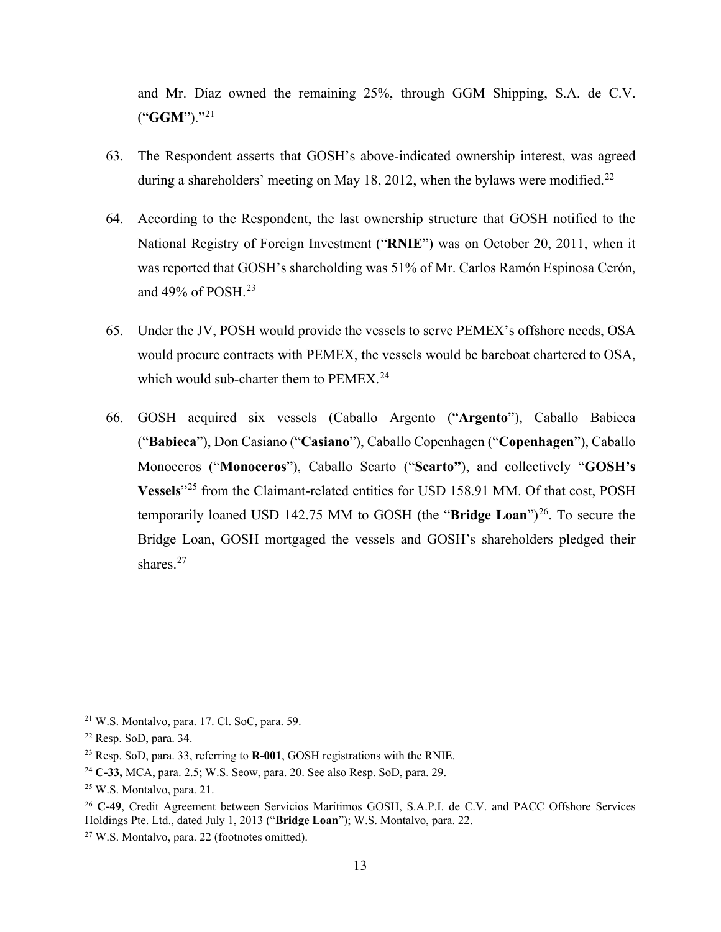and Mr. Díaz owned the remaining 25%, through GGM Shipping, S.A. de C.V. ("**GGM**")."[21](#page-19-0)

- 63. The Respondent asserts that GOSH's above-indicated ownership interest, was agreed during a shareholders' meeting on May 18, 2012, when the bylaws were modified.<sup>[22](#page-19-1)</sup>
- 64. According to the Respondent, the last ownership structure that GOSH notified to the National Registry of Foreign Investment ("**RNIE**") was on October 20, 2011, when it was reported that GOSH's shareholding was 51% of Mr. Carlos Ramón Espinosa Cerón, and 49% of POSH. $^{23}$  $^{23}$  $^{23}$
- 65. Under the JV, POSH would provide the vessels to serve PEMEX's offshore needs, OSA would procure contracts with PEMEX, the vessels would be bareboat chartered to OSA, which would sub-charter them to  $PEMEX<sup>24</sup>$  $PEMEX<sup>24</sup>$  $PEMEX<sup>24</sup>$ .
- 66. GOSH acquired six vessels (Caballo Argento ("**Argento**"), Caballo Babieca ("**Babieca**"), Don Casiano ("**Casiano**"), Caballo Copenhagen ("**Copenhagen**"), Caballo Monoceros ("**Monoceros**"), Caballo Scarto ("**Scarto"**), and collectively "**GOSH's Vessels**"[25](#page-19-4) from the Claimant-related entities for USD 158.91 MM. Of that cost, POSH temporarily loaned USD 142.75 MM to GOSH (the "**Bridge Loan**")<sup>26</sup>. To secure the Bridge Loan, GOSH mortgaged the vessels and GOSH's shareholders pledged their shares.<sup>[27](#page-19-6)</sup>

<span id="page-19-0"></span> $21$  W.S. Montalvo, para. 17. Cl. SoC, para. 59.

<span id="page-19-1"></span><sup>22</sup> Resp. SoD, para. 34.

<span id="page-19-2"></span><sup>23</sup> Resp. SoD, para. 33, referring to **R-001**, GOSH registrations with the RNIE.

<span id="page-19-3"></span><sup>24</sup> **C-33,** MCA, para. 2.5; W.S. Seow, para. 20. See also Resp. SoD, para. 29.

<span id="page-19-4"></span><sup>25</sup> W.S. Montalvo, para. 21.

<span id="page-19-5"></span><sup>26</sup> **C-49**, Credit Agreement between Servicios Marítimos GOSH, S.A.P.I. de C.V. and PACC Offshore Services Holdings Pte. Ltd., dated July 1, 2013 ("**Bridge Loan**"); W.S. Montalvo, para. 22.

<span id="page-19-6"></span><sup>27</sup> W.S. Montalvo, para. 22 (footnotes omitted).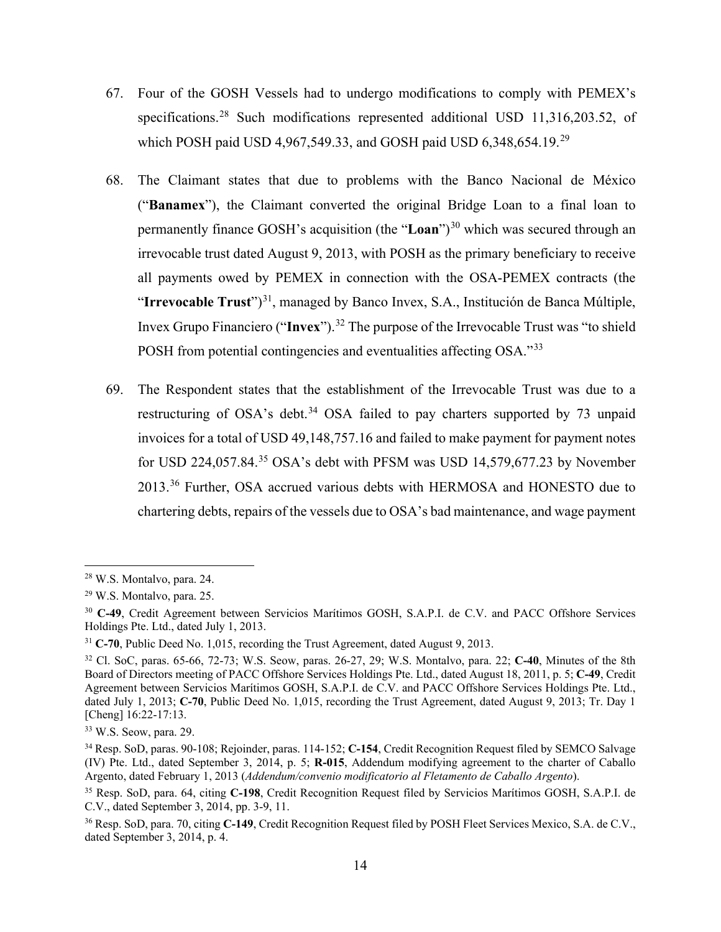- 67. Four of the GOSH Vessels had to undergo modifications to comply with PEMEX's specifications.[28](#page-20-0) Such modifications represented additional USD 11,316,203.52, of which POSH paid USD 4,967,549.33, and GOSH paid USD 6,348,654.19.<sup>[29](#page-20-1)</sup>
- 68. The Claimant states that due to problems with the Banco Nacional de México ("**Banamex**"), the Claimant converted the original Bridge Loan to a final loan to permanently finance GOSH's acquisition (the "**Loan**")<sup>[30](#page-20-2)</sup> which was secured through an irrevocable trust dated August 9, 2013, with POSH as the primary beneficiary to receive all payments owed by PEMEX in connection with the OSA-PEMEX contracts (the "**Irrevocable Trust**")<sup>[31](#page-20-3)</sup>, managed by Banco Invex, S.A., Institución de Banca Múltiple, Invex Grupo Financiero ("**Invex**").[32](#page-20-4) The purpose of the Irrevocable Trust was "to shield POSH from potential contingencies and eventualities affecting OSA."[33](#page-20-5)
- 69. The Respondent states that the establishment of the Irrevocable Trust was due to a restructuring of OSA's debt.<sup>[34](#page-20-6)</sup> OSA failed to pay charters supported by 73 unpaid invoices for a total of USD 49,148,757.16 and failed to make payment for payment notes for USD 224,057.84.<sup>[35](#page-20-7)</sup> OSA's debt with PFSM was USD 14,579,677.23 by November 2013.[36](#page-20-8) Further, OSA accrued various debts with HERMOSA and HONESTO due to chartering debts, repairs of the vessels due to OSA's bad maintenance, and wage payment

<span id="page-20-0"></span><sup>28</sup> W.S. Montalvo, para. 24.

<span id="page-20-1"></span><sup>29</sup> W.S. Montalvo, para. 25.

<span id="page-20-2"></span><sup>30</sup> **C-49**, Credit Agreement between Servicios Marítimos GOSH, S.A.P.I. de C.V. and PACC Offshore Services Holdings Pte. Ltd., dated July 1, 2013.

<span id="page-20-3"></span><sup>31</sup> **C-70**, Public Deed No. 1,015, recording the Trust Agreement, dated August 9, 2013.

<span id="page-20-4"></span><sup>32</sup> Cl. SoC, paras. 65-66, 72-73; W.S. Seow, paras. 26-27, 29; W.S. Montalvo, para. 22; **C-40**, Minutes of the 8th Board of Directors meeting of PACC Offshore Services Holdings Pte. Ltd., dated August 18, 2011, p. 5; **C-49**, Credit Agreement between Servicios Marítimos GOSH, S.A.P.I. de C.V. and PACC Offshore Services Holdings Pte. Ltd., dated July 1, 2013; **C-70**, Public Deed No. 1,015, recording the Trust Agreement, dated August 9, 2013; Tr. Day 1 [Cheng] 16:22-17:13.

<span id="page-20-5"></span><sup>33</sup> W.S. Seow, para. 29.

<span id="page-20-6"></span><sup>34</sup> Resp. SoD, paras. 90-108; Rejoinder, paras. 114-152; **C-154**, Credit Recognition Request filed by SEMCO Salvage (IV) Pte. Ltd., dated September 3, 2014, p. 5; **R-015**, Addendum modifying agreement to the charter of Caballo Argento, dated February 1, 2013 (*Addendum/convenio modificatorio al Fletamento de Caballo Argento*).

<span id="page-20-7"></span><sup>35</sup> Resp. SoD, para. 64, citing **C-198**, Credit Recognition Request filed by Servicios Marítimos GOSH, S.A.P.I. de C.V., dated September 3, 2014, pp. 3-9, 11.

<span id="page-20-8"></span><sup>36</sup> Resp. SoD, para. 70, citing **C-149**, Credit Recognition Request filed by POSH Fleet Services Mexico, S.A. de C.V., dated September 3, 2014, p. 4.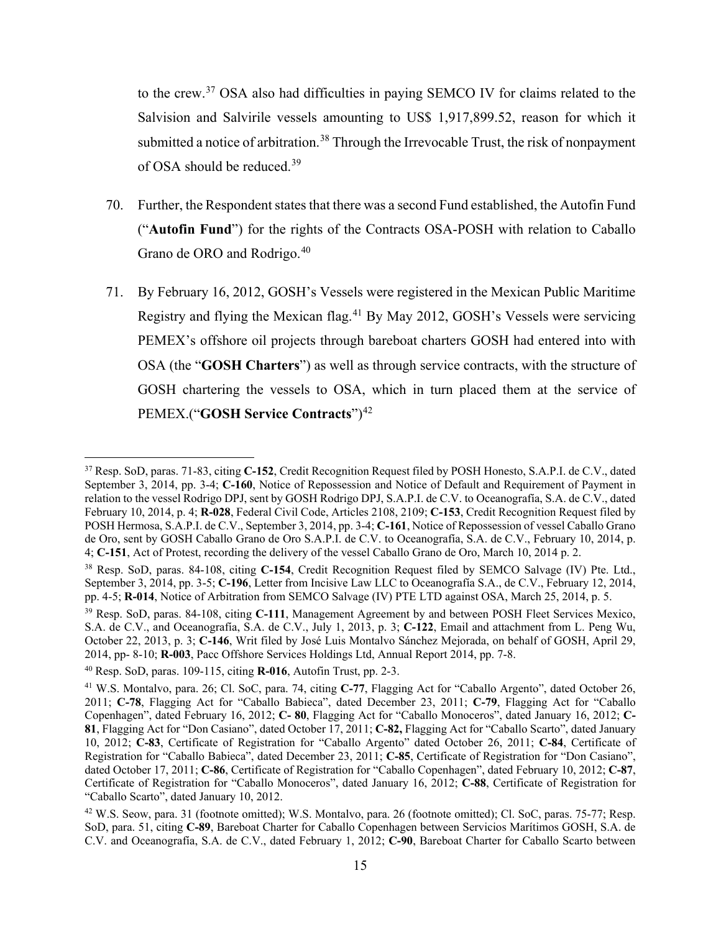to the crew.[37](#page-21-0) OSA also had difficulties in paying SEMCO IV for claims related to the Salvision and Salvirile vessels amounting to US\$ 1,917,899.52, reason for which it submitted a notice of arbitration.<sup>[38](#page-21-1)</sup> Through the Irrevocable Trust, the risk of nonpayment of OSA should be reduced.<sup>[39](#page-21-2)</sup>

- 70. Further, the Respondent states that there was a second Fund established, the Autofin Fund ("**Autofin Fund**") for the rights of the Contracts OSA-POSH with relation to Caballo Grano de ORO and Rodrigo.[40](#page-21-3)
- 71. By February 16, 2012, GOSH's Vessels were registered in the Mexican Public Maritime Registry and flying the Mexican flag.[41](#page-21-4) By May 2012, GOSH's Vessels were servicing PEMEX's offshore oil projects through bareboat charters GOSH had entered into with OSA (the "**GOSH Charters**") as well as through service contracts, with the structure of GOSH chartering the vessels to OSA, which in turn placed them at the service of PEMEX.("**GOSH Service Contracts**")[42](#page-21-5)

<span id="page-21-0"></span><sup>37</sup> Resp. SoD, paras. 71-83, citing **C-152**, Credit Recognition Request filed by POSH Honesto, S.A.P.I. de C.V., dated September 3, 2014, pp. 3-4; **C-160**, Notice of Repossession and Notice of Default and Requirement of Payment in relation to the vessel Rodrigo DPJ, sent by GOSH Rodrigo DPJ, S.A.P.I. de C.V. to Oceanografía, S.A. de C.V., dated February 10, 2014, p. 4; **R-028**, Federal Civil Code, Articles 2108, 2109; **C-153**, Credit Recognition Request filed by POSH Hermosa, S.A.P.I. de C.V., September 3, 2014, pp. 3-4; **C-161**, Notice of Repossession of vessel Caballo Grano de Oro, sent by GOSH Caballo Grano de Oro S.A.P.I. de C.V. to Oceanografía, S.A. de C.V., February 10, 2014, p. 4; **C-151**, Act of Protest, recording the delivery of the vessel Caballo Grano de Oro, March 10, 2014 p. 2.

<span id="page-21-1"></span><sup>38</sup> Resp. SoD, paras. 84-108, citing **C-154**, Credit Recognition Request filed by SEMCO Salvage (IV) Pte. Ltd., September 3, 2014, pp. 3-5; **C-196**, Letter from Incisive Law LLC to Oceanografía S.A., de C.V., February 12, 2014, pp. 4-5; **R-014**, Notice of Arbitration from SEMCO Salvage (IV) PTE LTD against OSA, March 25, 2014, p. 5.

<span id="page-21-2"></span><sup>39</sup> Resp. SoD, paras. 84-108, citing **C-111**, Management Agreement by and between POSH Fleet Services Mexico, S.A. de C.V., and Oceanografía, S.A. de C.V., July 1, 2013, p. 3; **C-122**, Email and attachment from L. Peng Wu, October 22, 2013, p. 3; **C-146**, Writ filed by José Luis Montalvo Sánchez Mejorada, on behalf of GOSH, April 29, 2014, pp- 8-10; **R-003**, Pacc Offshore Services Holdings Ltd, Annual Report 2014, pp. 7-8.

<span id="page-21-3"></span><sup>40</sup> Resp. SoD, paras. 109-115, citing **R-016**, Autofin Trust, pp. 2-3.

<span id="page-21-4"></span><sup>41</sup> W.S. Montalvo, para. 26; Cl. SoC, para. 74, citing **C-77**, Flagging Act for "Caballo Argento", dated October 26, 2011; **C-78**, Flagging Act for "Caballo Babieca", dated December 23, 2011; **C-79**, Flagging Act for "Caballo Copenhagen", dated February 16, 2012; **C- 80**, Flagging Act for "Caballo Monoceros", dated January 16, 2012; **C-81**, Flagging Act for "Don Casiano", dated October 17, 2011; **C-82,** Flagging Act for "Caballo Scarto", dated January 10, 2012; **C-83**, Certificate of Registration for "Caballo Argento" dated October 26, 2011; **C-84**, Certificate of Registration for "Caballo Babieca", dated December 23, 2011; **C-85**, Certificate of Registration for "Don Casiano", dated October 17, 2011; **C-86**, Certificate of Registration for "Caballo Copenhagen", dated February 10, 2012; **C-87**, Certificate of Registration for "Caballo Monoceros", dated January 16, 2012; **C-88**, Certificate of Registration for "Caballo Scarto", dated January 10, 2012.

<span id="page-21-5"></span><sup>42</sup> W.S. Seow, para. 31 (footnote omitted); W.S. Montalvo, para. 26 (footnote omitted); Cl. SoC, paras. 75-77; Resp. SoD, para. 51, citing **C-89**, Bareboat Charter for Caballo Copenhagen between Servicios Marítimos GOSH, S.A. de C.V. and Oceanografía, S.A. de C.V., dated February 1, 2012; **C-90**, Bareboat Charter for Caballo Scarto between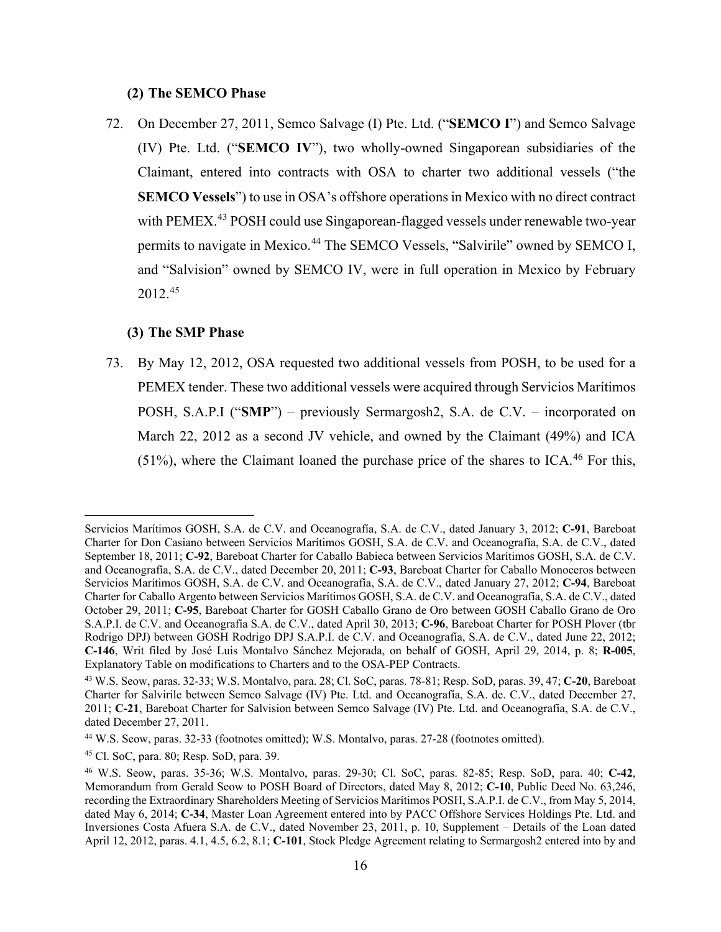#### **(2) The SEMCO Phase**

<span id="page-22-0"></span>72. On December 27, 2011, Semco Salvage (I) Pte. Ltd. ("**SEMCO I**") and Semco Salvage (IV) Pte. Ltd. ("**SEMCO IV**"), two wholly-owned Singaporean subsidiaries of the Claimant, entered into contracts with OSA to charter two additional vessels ("the **SEMCO Vessels**") to use in OSA's offshore operations in Mexico with no direct contract with PEMEX.<sup>[43](#page-22-2)</sup> POSH could use Singaporean-flagged vessels under renewable two-year permits to navigate in Mexico.[44](#page-22-3) The SEMCO Vessels, "Salvirile" owned by SEMCO I, and "Salvision" owned by SEMCO IV, were in full operation in Mexico by February 2012.[45](#page-22-4)

#### **(3) The SMP Phase**

<span id="page-22-1"></span>73. By May 12, 2012, OSA requested two additional vessels from POSH, to be used for a PEMEX tender. These two additional vessels were acquired through Servicios Marítimos POSH, S.A.P.I ("**SMP**") – previously Sermargosh2, S.A. de C.V. – incorporated on March 22, 2012 as a second JV vehicle, and owned by the Claimant (49%) and ICA (51%), where the Claimant loaned the purchase price of the shares to ICA.<sup>[46](#page-22-5)</sup> For this,

Servicios Marítimos GOSH, S.A. de C.V. and Oceanografía, S.A. de C.V., dated January 3, 2012; **C-91**, Bareboat Charter for Don Casiano between Servicios Marítimos GOSH, S.A. de C.V. and Oceanografía, S.A. de C.V., dated September 18, 2011; **C-92**, Bareboat Charter for Caballo Babieca between Servicios Marítimos GOSH, S.A. de C.V. and Oceanografía, S.A. de C.V., dated December 20, 2011; **C-93**, Bareboat Charter for Caballo Monoceros between Servicios Marítimos GOSH, S.A. de C.V. and Oceanografía, S.A. de C.V., dated January 27, 2012; **C-94**, Bareboat Charter for Caballo Argento between Servicios Marítimos GOSH, S.A. de C.V. and Oceanografía, S.A. de C.V., dated October 29, 2011; **C-95**, Bareboat Charter for GOSH Caballo Grano de Oro between GOSH Caballo Grano de Oro S.A.P.I. de C.V. and Oceanografía S.A. de C.V., dated April 30, 2013; **C-96**, Bareboat Charter for POSH Plover (tbr Rodrigo DPJ) between GOSH Rodrigo DPJ S.A.P.I. de C.V. and Oceanografía, S.A. de C.V., dated June 22, 2012; **C-146**, Writ filed by José Luis Montalvo Sánchez Mejorada, on behalf of GOSH, April 29, 2014, p. 8; **R-005**, Explanatory Table on modifications to Charters and to the OSA-PEP Contracts.

<span id="page-22-2"></span><sup>43</sup> W.S. Seow, paras. 32-33; W.S. Montalvo, para. 28; Cl. SoC, paras. 78-81; Resp. SoD, paras. 39, 47; **C-20**, Bareboat Charter for Salvirile between Semco Salvage (IV) Pte. Ltd. and Oceanografía, S.A. de. C.V., dated December 27, 2011; **C-21**, Bareboat Charter for Salvision between Semco Salvage (IV) Pte. Ltd. and Oceanografía, S.A. de C.V., dated December 27, 2011.

<span id="page-22-3"></span><sup>44</sup> W.S. Seow, paras. 32-33 (footnotes omitted); W.S. Montalvo, paras. 27-28 (footnotes omitted).

<span id="page-22-4"></span><sup>45</sup> Cl. SoC, para. 80; Resp. SoD, para. 39.

<span id="page-22-5"></span><sup>46</sup> W.S. Seow, paras. 35-36; W.S. Montalvo, paras. 29-30; Cl. SoC, paras. 82-85; Resp. SoD, para. 40; **C-42**, Memorandum from Gerald Seow to POSH Board of Directors, dated May 8, 2012; **C-10**, Public Deed No. 63,246, recording the Extraordinary Shareholders Meeting of Servicios Marítimos POSH, S.A.P.I. de C.V., from May 5, 2014, dated May 6, 2014; **C-34**, Master Loan Agreement entered into by PACC Offshore Services Holdings Pte. Ltd. and Inversiones Costa Afuera S.A. de C.V., dated November 23, 2011, p. 10, Supplement – Details of the Loan dated April 12, 2012, paras. 4.1, 4.5, 6.2, 8.1; **C-101**, Stock Pledge Agreement relating to Sermargosh2 entered into by and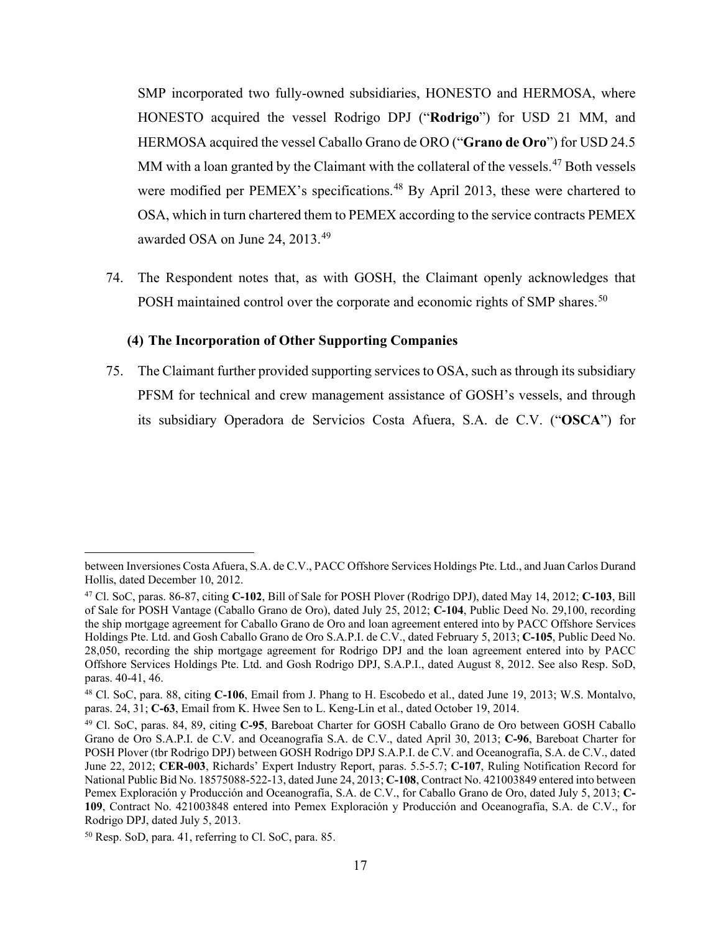SMP incorporated two fully-owned subsidiaries, HONESTO and HERMOSA, where HONESTO acquired the vessel Rodrigo DPJ ("**Rodrigo**") for USD 21 MM, and HERMOSA acquired the vessel Caballo Grano de ORO ("**Grano de Oro**") for USD 24.5 MM with a loan granted by the Claimant with the collateral of the vessels.<sup>[47](#page-23-1)</sup> Both vessels were modified per PEMEX's specifications.<sup>[48](#page-23-2)</sup> By April 2013, these were chartered to OSA, which in turn chartered them to PEMEX according to the service contracts PEMEX awarded OSA on June 24, 2013.[49](#page-23-3)

74. The Respondent notes that, as with GOSH, the Claimant openly acknowledges that POSH maintained control over the corporate and economic rights of SMP shares.<sup>[50](#page-23-4)</sup>

#### **(4) The Incorporation of Other Supporting Companies**

<span id="page-23-0"></span>75. The Claimant further provided supporting services to OSA, such as through its subsidiary PFSM for technical and crew management assistance of GOSH's vessels, and through its subsidiary Operadora de Servicios Costa Afuera, S.A. de C.V. ("**OSCA**") for

between Inversiones Costa Afuera, S.A. de C.V., PACC Offshore Services Holdings Pte. Ltd., and Juan Carlos Durand Hollis, dated December 10, 2012.

<span id="page-23-1"></span><sup>47</sup> Cl. SoC, paras. 86-87, citing **C-102**, Bill of Sale for POSH Plover (Rodrigo DPJ), dated May 14, 2012; **C-103**, Bill of Sale for POSH Vantage (Caballo Grano de Oro), dated July 25, 2012; **C-104**, Public Deed No. 29,100, recording the ship mortgage agreement for Caballo Grano de Oro and loan agreement entered into by PACC Offshore Services Holdings Pte. Ltd. and Gosh Caballo Grano de Oro S.A.P.I. de C.V., dated February 5, 2013; **C-105**, Public Deed No. 28,050, recording the ship mortgage agreement for Rodrigo DPJ and the loan agreement entered into by PACC Offshore Services Holdings Pte. Ltd. and Gosh Rodrigo DPJ, S.A.P.I., dated August 8, 2012. See also Resp. SoD, paras. 40-41, 46.

<span id="page-23-2"></span><sup>48</sup> Cl. SoC, para. 88, citing **C-106**, Email from J. Phang to H. Escobedo et al., dated June 19, 2013; W.S. Montalvo, paras. 24, 31; **C-63**, Email from K. Hwee Sen to L. Keng-Lin et al., dated October 19, 2014.

<span id="page-23-3"></span><sup>49</sup> Cl. SoC, paras. 84, 89, citing **C-95**, Bareboat Charter for GOSH Caballo Grano de Oro between GOSH Caballo Grano de Oro S.A.P.I. de C.V. and Oceanografía S.A. de C.V., dated April 30, 2013; **C-96**, Bareboat Charter for POSH Plover (tbr Rodrigo DPJ) between GOSH Rodrigo DPJ S.A.P.I. de C.V. and Oceanografía, S.A. de C.V., dated June 22, 2012; **CER-003**, Richards' Expert Industry Report, paras. 5.5-5.7; **C-107**, Ruling Notification Record for National Public Bid No. 18575088-522-13, dated June 24, 2013; **C-108**, Contract No. 421003849 entered into between Pemex Exploración y Producción and Oceanografía, S.A. de C.V., for Caballo Grano de Oro, dated July 5, 2013; **C-109**, Contract No. 421003848 entered into Pemex Exploración y Producción and Oceanografía, S.A. de C.V., for Rodrigo DPJ, dated July 5, 2013.

<span id="page-23-4"></span><sup>50</sup> Resp. SoD, para. 41, referring to Cl. SoC, para. 85.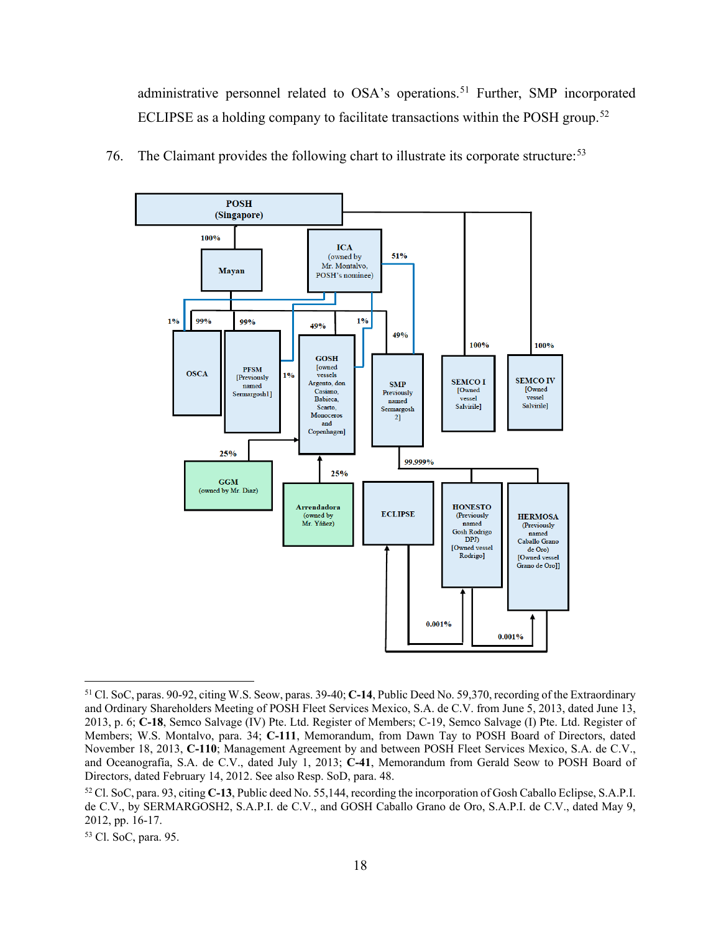administrative personnel related to OSA's operations.<sup>[51](#page-24-0)</sup> Further, SMP incorporated ECLIPSE as a holding company to facilitate transactions within the POSH group.<sup>[52](#page-24-1)</sup>



76. The Claimant provides the following chart to illustrate its corporate structure:<sup>[53](#page-24-2)</sup>

<span id="page-24-0"></span><sup>51</sup> Cl. SoC, paras. 90-92, citing W.S. Seow, paras. 39-40; **C-14**, Public Deed No. 59,370, recording of the Extraordinary and Ordinary Shareholders Meeting of POSH Fleet Services Mexico, S.A. de C.V. from June 5, 2013, dated June 13, 2013, p. 6; **C-18**, Semco Salvage (IV) Pte. Ltd. Register of Members; C-19, Semco Salvage (I) Pte. Ltd. Register of Members; W.S. Montalvo, para. 34; **C-111**, Memorandum, from Dawn Tay to POSH Board of Directors, dated November 18, 2013, **C-110**; Management Agreement by and between POSH Fleet Services Mexico, S.A. de C.V., and Oceanografía, S.A. de C.V., dated July 1, 2013; **C-41**, Memorandum from Gerald Seow to POSH Board of Directors, dated February 14, 2012. See also Resp. SoD, para. 48.

<span id="page-24-1"></span><sup>52</sup> Cl. SoC, para. 93, citing **C-13**, Public deed No. 55,144, recording the incorporation of Gosh Caballo Eclipse, S.A.P.I. de C.V., by SERMARGOSH2, S.A.P.I. de C.V., and GOSH Caballo Grano de Oro, S.A.P.I. de C.V., dated May 9, 2012, pp. 16-17.

<span id="page-24-2"></span><sup>53</sup> Cl. SoC, para. 95.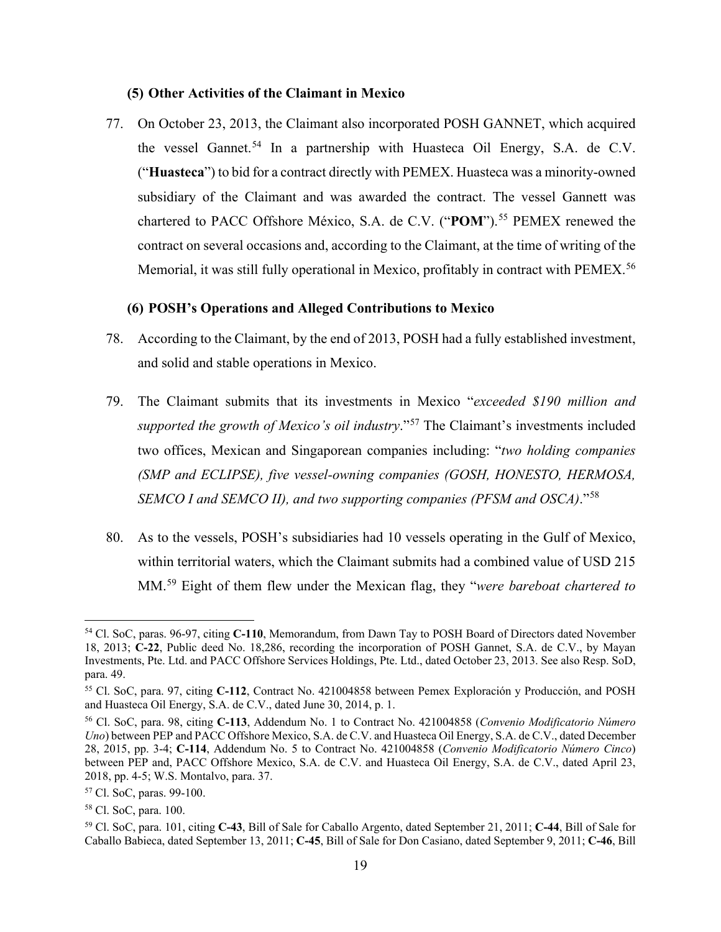## **(5) Other Activities of the Claimant in Mexico**

<span id="page-25-0"></span>77. On October 23, 2013, the Claimant also incorporated POSH GANNET, which acquired the vessel Gannet.<sup>[54](#page-25-2)</sup> In a partnership with Huasteca Oil Energy, S.A. de C.V. ("**Huasteca**") to bid for a contract directly with PEMEX. Huasteca was a minority-owned subsidiary of the Claimant and was awarded the contract. The vessel Gannett was chartered to PACC Offshore México, S.A. de C.V. ("POM").<sup>[55](#page-25-3)</sup> PEMEX renewed the contract on several occasions and, according to the Claimant, at the time of writing of the Memorial, it was still fully operational in Mexico, profitably in contract with PEMEX.<sup>[56](#page-25-4)</sup>

#### **(6) POSH's Operations and Alleged Contributions to Mexico**

- <span id="page-25-1"></span>78. According to the Claimant, by the end of 2013, POSH had a fully established investment, and solid and stable operations in Mexico.
- 79. The Claimant submits that its investments in Mexico "*exceeded \$190 million and supported the growth of Mexico's oil industry*."[57](#page-25-5) The Claimant's investments included two offices, Mexican and Singaporean companies including: "*two holding companies (SMP and ECLIPSE), five vessel-owning companies (GOSH, HONESTO, HERMOSA, SEMCO I and SEMCO II), and two supporting companies (PFSM and OSCA)*."[58](#page-25-6)
- 80. As to the vessels, POSH's subsidiaries had 10 vessels operating in the Gulf of Mexico, within territorial waters, which the Claimant submits had a combined value of USD 215 MM.[59](#page-25-7) Eight of them flew under the Mexican flag, they "*were bareboat chartered to*

<span id="page-25-2"></span><sup>54</sup> Cl. SoC, paras. 96-97, citing **C-110**, Memorandum, from Dawn Tay to POSH Board of Directors dated November 18, 2013; **C-22**, Public deed No. 18,286, recording the incorporation of POSH Gannet, S.A. de C.V., by Mayan Investments, Pte. Ltd. and PACC Offshore Services Holdings, Pte. Ltd., dated October 23, 2013. See also Resp. SoD, para. 49.

<span id="page-25-3"></span><sup>55</sup> Cl. SoC, para. 97, citing **C-112**, Contract No. 421004858 between Pemex Exploración y Producción, and POSH and Huasteca Oil Energy, S.A. de C.V., dated June 30, 2014, p. 1.

<span id="page-25-4"></span><sup>56</sup> Cl. SoC, para. 98, citing **C-113**, Addendum No. 1 to Contract No. 421004858 (*Convenio Modificatorio Número Uno*) between PEP and PACC Offshore Mexico, S.A. de C.V. and Huasteca Oil Energy, S.A. de C.V., dated December 28, 2015, pp. 3-4; **C-114**, Addendum No. 5 to Contract No. 421004858 (*Convenio Modificatorio Número Cinco*) between PEP and, PACC Offshore Mexico, S.A. de C.V. and Huasteca Oil Energy, S.A. de C.V., dated April 23, 2018, pp. 4-5; W.S. Montalvo, para. 37.

<span id="page-25-5"></span><sup>57</sup> Cl. SoC, paras. 99-100.

<span id="page-25-6"></span><sup>58</sup> Cl. SoC, para. 100.

<span id="page-25-7"></span><sup>59</sup> Cl. SoC, para. 101, citing **C-43**, Bill of Sale for Caballo Argento, dated September 21, 2011; **C-44**, Bill of Sale for Caballo Babieca, dated September 13, 2011; **C-45**, Bill of Sale for Don Casiano, dated September 9, 2011; **C-46**, Bill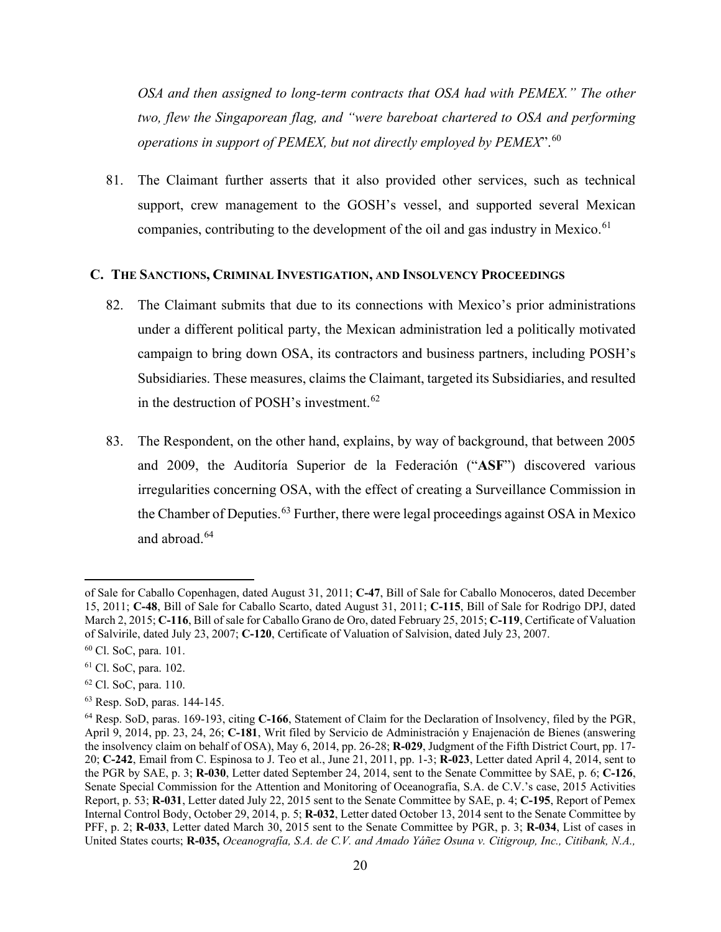*OSA and then assigned to long-term contracts that OSA had with PEMEX." The other two, flew the Singaporean flag, and "were bareboat chartered to OSA and performing operations in support of PEMEX, but not directly employed by PEMEX*".[60](#page-26-1)

81. The Claimant further asserts that it also provided other services, such as technical support, crew management to the GOSH's vessel, and supported several Mexican companies, contributing to the development of the oil and gas industry in Mexico.<sup>[61](#page-26-2)</sup>

#### <span id="page-26-0"></span>**C. THE SANCTIONS, CRIMINAL INVESTIGATION, AND INSOLVENCY PROCEEDINGS**

- 82. The Claimant submits that due to its connections with Mexico's prior administrations under a different political party, the Mexican administration led a politically motivated campaign to bring down OSA, its contractors and business partners, including POSH's Subsidiaries. These measures, claims the Claimant, targeted its Subsidiaries, and resulted in the destruction of POSH's investment.<sup>[62](#page-26-3)</sup>
- 83. The Respondent, on the other hand, explains, by way of background, that between 2005 and 2009, the Auditoría Superior de la Federación ("**ASF**") discovered various irregularities concerning OSA, with the effect of creating a Surveillance Commission in the Chamber of Deputies.<sup>[63](#page-26-4)</sup> Further, there were legal proceedings against OSA in Mexico and abroad.<sup>[64](#page-26-5)</sup>

of Sale for Caballo Copenhagen, dated August 31, 2011; **C-47**, Bill of Sale for Caballo Monoceros, dated December 15, 2011; **C-48**, Bill of Sale for Caballo Scarto, dated August 31, 2011; **C-115**, Bill of Sale for Rodrigo DPJ, dated March 2, 2015; **C-116**, Bill of sale for Caballo Grano de Oro, dated February 25, 2015; **C-119**, Certificate of Valuation of Salvirile, dated July 23, 2007; **C-120**, Certificate of Valuation of Salvision, dated July 23, 2007.

<span id="page-26-1"></span><sup>60</sup> Cl. SoC, para. 101.

<span id="page-26-2"></span><sup>61</sup> Cl. SoC, para. 102.

<span id="page-26-3"></span><sup>62</sup> Cl. SoC, para. 110.

<span id="page-26-4"></span><sup>63</sup> Resp. SoD, paras. 144-145.

<span id="page-26-5"></span><sup>64</sup> Resp. SoD, paras. 169-193, citing **C-166**, Statement of Claim for the Declaration of Insolvency, filed by the PGR, April 9, 2014, pp. 23, 24, 26; **C-181**, Writ filed by Servicio de Administración y Enajenación de Bienes (answering the insolvency claim on behalf of OSA), May 6, 2014, pp. 26-28; **R-029**, Judgment of the Fifth District Court, pp. 17- 20; **C-242**, Email from C. Espinosa to J. Teo et al., June 21, 2011, pp. 1-3; **R-023**, Letter dated April 4, 2014, sent to the PGR by SAE, p. 3; **R-030**, Letter dated September 24, 2014, sent to the Senate Committee by SAE, p. 6; **C-126**, Senate Special Commission for the Attention and Monitoring of Oceanografía, S.A. de C.V.'s case, 2015 Activities Report, p. 53; **R-031**, Letter dated July 22, 2015 sent to the Senate Committee by SAE, p. 4; **C-195**, Report of Pemex Internal Control Body, October 29, 2014, p. 5; **R-032**, Letter dated October 13, 2014 sent to the Senate Committee by PFF, p. 2; **R-033**, Letter dated March 30, 2015 sent to the Senate Committee by PGR, p. 3; **R-034**, List of cases in United States courts; **R-035,** *Oceanografía, S.A. de C.V. and Amado Yáñez Osuna v. Citigroup, Inc., Citibank, N.A.,*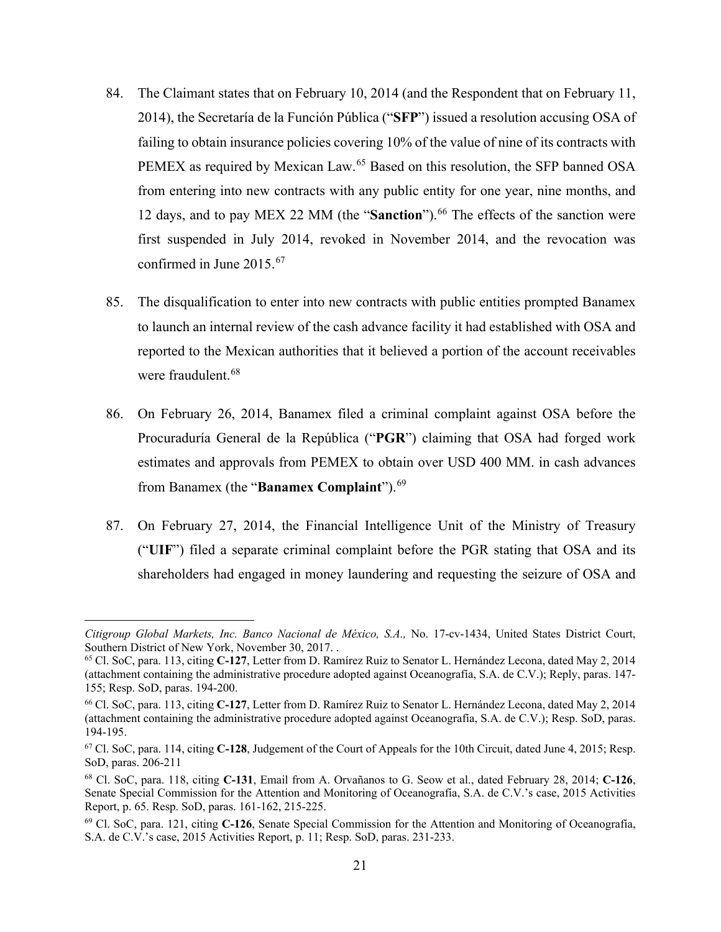- 84. The Claimant states that on February 10, 2014 (and the Respondent that on February 11, 2014), the Secretaría de la Función Pública ("**SFP**") issued a resolution accusing OSA of failing to obtain insurance policies covering 10% of the value of nine of its contracts with PEMEX as required by Mexican Law.<sup>[65](#page-27-0)</sup> Based on this resolution, the SFP banned OSA from entering into new contracts with any public entity for one year, nine months, and 12 days, and to pay MEX 22 MM (the "**Sanction**").<sup>[66](#page-27-1)</sup> The effects of the sanction were first suspended in July 2014, revoked in November 2014, and the revocation was confirmed in June 2015.[67](#page-27-2)
- 85. The disqualification to enter into new contracts with public entities prompted Banamex to launch an internal review of the cash advance facility it had established with OSA and reported to the Mexican authorities that it believed a portion of the account receivables were fraudulent.<sup>[68](#page-27-3)</sup>
- 86. On February 26, 2014, Banamex filed a criminal complaint against OSA before the Procuraduría General de la República ("**PGR**") claiming that OSA had forged work estimates and approvals from PEMEX to obtain over USD 400 MM. in cash advances from Banamex (the "**Banamex Complaint**").[69](#page-27-4)
- 87. On February 27, 2014, the Financial Intelligence Unit of the Ministry of Treasury ("**UIF**") filed a separate criminal complaint before the PGR stating that OSA and its shareholders had engaged in money laundering and requesting the seizure of OSA and

*Citigroup Global Markets, Inc. Banco Nacional de México, S.A.,* No. 17-cv-1434, United States District Court, Southern District of New York, November 30, 2017. .

<span id="page-27-0"></span><sup>65</sup> Cl. SoC, para. 113, citing **C-127**, Letter from D. Ramírez Ruiz to Senator L. Hernández Lecona, dated May 2, 2014 (attachment containing the administrative procedure adopted against Oceanografía, S.A. de C.V.); Reply, paras. 147- 155; Resp. SoD, paras. 194-200.

<span id="page-27-1"></span><sup>66</sup> Cl. SoC, para. 113, citing **C-127**, Letter from D. Ramírez Ruiz to Senator L. Hernández Lecona, dated May 2, 2014 (attachment containing the administrative procedure adopted against Oceanografía, S.A. de C.V.); Resp. SoD, paras. 194-195.

<span id="page-27-2"></span><sup>67</sup> Cl. SoC, para. 114, citing **C-128**, Judgement of the Court of Appeals for the 10th Circuit, dated June 4, 2015; Resp. SoD, paras. 206-211

<span id="page-27-3"></span><sup>68</sup> Cl. SoC, para. 118, citing **C-131**, Email from A. Orvañanos to G. Seow et al., dated February 28, 2014; **C-126**, Senate Special Commission for the Attention and Monitoring of Oceanografía, S.A. de C.V.'s case, 2015 Activities Report, p. 65. Resp. SoD, paras. 161-162, 215-225.

<span id="page-27-4"></span><sup>69</sup> Cl. SoC, para. 121, citing **C-126**, Senate Special Commission for the Attention and Monitoring of Oceanografía, S.A. de C.V.'s case, 2015 Activities Report, p. 11; Resp. SoD, paras. 231-233.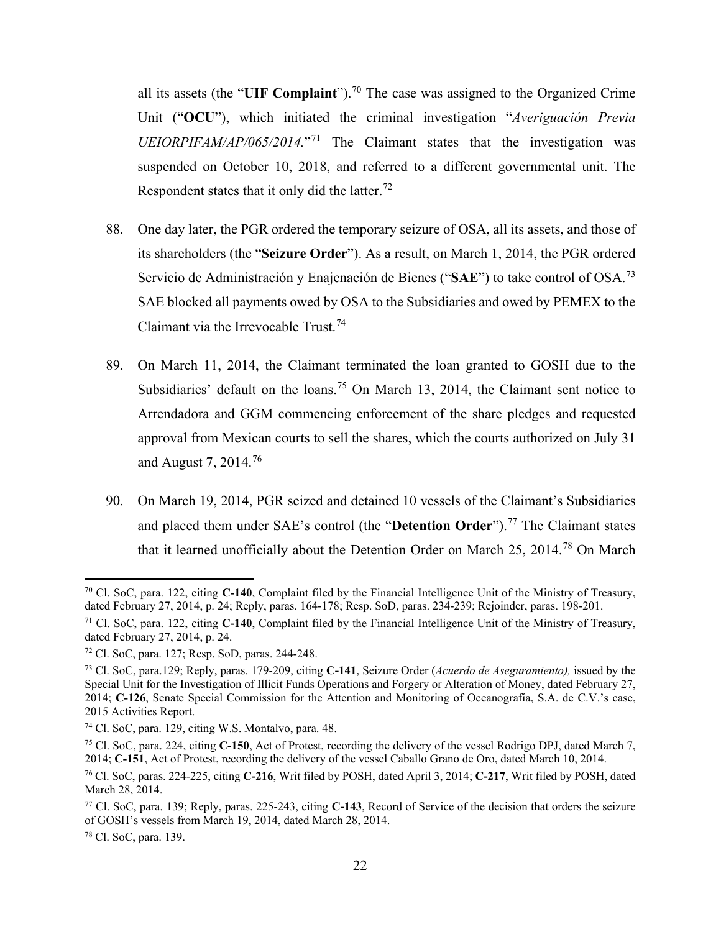all its assets (the "UIF Complaint").<sup>[70](#page-28-0)</sup> The case was assigned to the Organized Crime Unit ("**OCU**"), which initiated the criminal investigation "*Averiguación Previa UEIORPIFAM/AP/065/2014.*"[71](#page-28-1) The Claimant states that the investigation was suspended on October 10, 2018, and referred to a different governmental unit. The Respondent states that it only did the latter.<sup>[72](#page-28-2)</sup>

- 88. One day later, the PGR ordered the temporary seizure of OSA, all its assets, and those of its shareholders (the "**Seizure Order**"). As a result, on March 1, 2014, the PGR ordered Servicio de Administración y Enajenación de Bienes ("**SAE**") to take control of OSA.[73](#page-28-3) SAE blocked all payments owed by OSA to the Subsidiaries and owed by PEMEX to the Claimant via the Irrevocable Trust.<sup>[74](#page-28-4)</sup>
- 89. On March 11, 2014, the Claimant terminated the loan granted to GOSH due to the Subsidiaries' default on the loans.<sup>[75](#page-28-5)</sup> On March 13, 2014, the Claimant sent notice to Arrendadora and GGM commencing enforcement of the share pledges and requested approval from Mexican courts to sell the shares, which the courts authorized on July 31 and August 7, 2014.[76](#page-28-6)
- 90. On March 19, 2014, PGR seized and detained 10 vessels of the Claimant's Subsidiaries and placed them under SAE's control (the "**Detention Order**").<sup>[77](#page-28-7)</sup> The Claimant states that it learned unofficially about the Detention Order on March 25, 2014.[78](#page-28-8) On March

<span id="page-28-0"></span><sup>70</sup> Cl. SoC, para. 122, citing **C-140**, Complaint filed by the Financial Intelligence Unit of the Ministry of Treasury, dated February 27, 2014, p. 24; Reply, paras. 164-178; Resp. SoD, paras. 234-239; Rejoinder, paras. 198-201.

<span id="page-28-1"></span><sup>71</sup> Cl. SoC, para. 122, citing **C-140**, Complaint filed by the Financial Intelligence Unit of the Ministry of Treasury, dated February 27, 2014, p. 24.

<span id="page-28-2"></span><sup>72</sup> Cl. SoC, para. 127; Resp. SoD, paras. 244-248.

<span id="page-28-3"></span><sup>73</sup> Cl. SoC, para.129; Reply, paras. 179-209, citing **C-141**, Seizure Order (*Acuerdo de Aseguramiento),* issued by the Special Unit for the Investigation of Illicit Funds Operations and Forgery or Alteration of Money, dated February 27, 2014; **C-126**, Senate Special Commission for the Attention and Monitoring of Oceanografía, S.A. de C.V.'s case, 2015 Activities Report.

<span id="page-28-4"></span><sup>74</sup> Cl. SoC, para. 129, citing W.S. Montalvo, para. 48.

<span id="page-28-5"></span><sup>75</sup> Cl. SoC, para. 224, citing **C-150**, Act of Protest, recording the delivery of the vessel Rodrigo DPJ, dated March 7, 2014; **C-151**, Act of Protest, recording the delivery of the vessel Caballo Grano de Oro, dated March 10, 2014.

<span id="page-28-6"></span><sup>76</sup> Cl. SoC, paras. 224-225, citing **C-216**, Writ filed by POSH, dated April 3, 2014; **C-217**, Writ filed by POSH, dated March 28, 2014.

<span id="page-28-7"></span><sup>77</sup> Cl. SoC, para. 139; Reply, paras. 225-243, citing **C-143**, Record of Service of the decision that orders the seizure of GOSH's vessels from March 19, 2014, dated March 28, 2014.

<span id="page-28-8"></span><sup>78</sup> Cl. SoC, para. 139.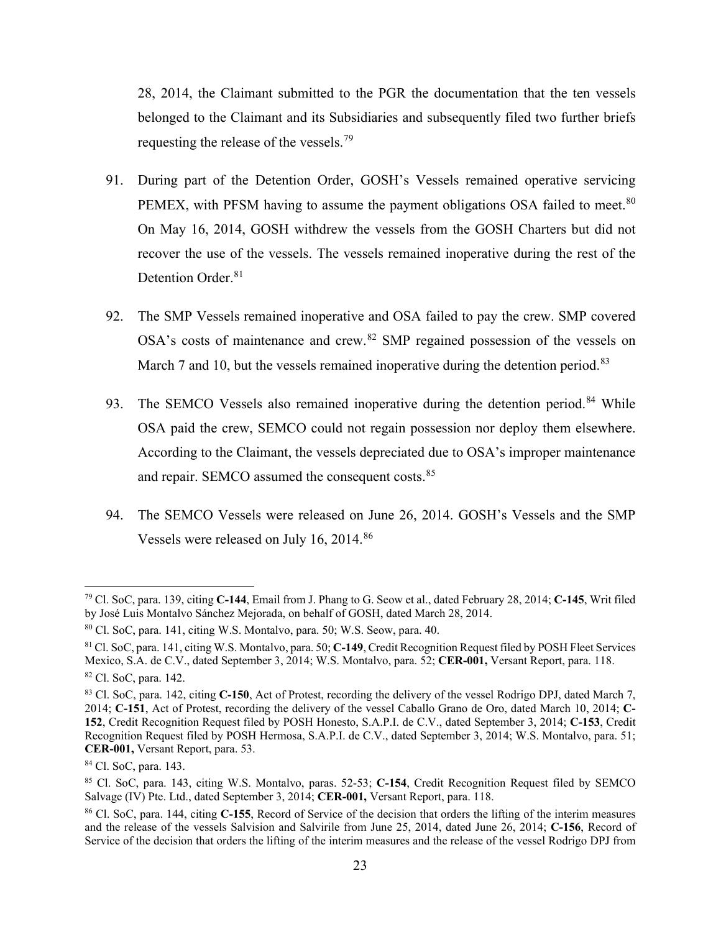28, 2014, the Claimant submitted to the PGR the documentation that the ten vessels belonged to the Claimant and its Subsidiaries and subsequently filed two further briefs requesting the release of the vessels.[79](#page-29-0)

- 91. During part of the Detention Order, GOSH's Vessels remained operative servicing PEMEX, with PFSM having to assume the payment obligations OSA failed to meet.<sup>[80](#page-29-1)</sup> On May 16, 2014, GOSH withdrew the vessels from the GOSH Charters but did not recover the use of the vessels. The vessels remained inoperative during the rest of the Detention Order.<sup>[81](#page-29-2)</sup>
- 92. The SMP Vessels remained inoperative and OSA failed to pay the crew. SMP covered OSA's costs of maintenance and crew.<sup>[82](#page-29-3)</sup> SMP regained possession of the vessels on March 7 and 10, but the vessels remained inoperative during the detention period. $83$
- 93. The SEMCO Vessels also remained inoperative during the detention period.<sup>[84](#page-29-5)</sup> While OSA paid the crew, SEMCO could not regain possession nor deploy them elsewhere. According to the Claimant, the vessels depreciated due to OSA's improper maintenance and repair. SEMCO assumed the consequent costs.<sup>[85](#page-29-6)</sup>
- 94. The SEMCO Vessels were released on June 26, 2014. GOSH's Vessels and the SMP Vessels were released on July 16, 2014.<sup>[86](#page-29-7)</sup>

<span id="page-29-0"></span><sup>79</sup> Cl. SoC, para. 139, citing **C-144**, Email from J. Phang to G. Seow et al., dated February 28, 2014; **C-145**, Writ filed by José Luis Montalvo Sánchez Mejorada, on behalf of GOSH, dated March 28, 2014.

<span id="page-29-1"></span> $80$  Cl. SoC, para. 141, citing W.S. Montalvo, para. 50; W.S. Seow, para. 40.

<span id="page-29-2"></span><sup>81</sup> Cl. SoC, para. 141, citing W.S. Montalvo, para. 50; **C-149**, Credit Recognition Request filed by POSH Fleet Services Mexico, S.A. de C.V., dated September 3, 2014; W.S. Montalvo, para. 52; **CER-001,** Versant Report, para. 118. <sup>82</sup> Cl. SoC, para. 142.

<span id="page-29-4"></span><span id="page-29-3"></span><sup>83</sup> Cl. SoC, para. 142, citing **C-150**, Act of Protest, recording the delivery of the vessel Rodrigo DPJ, dated March 7,

<sup>2014;</sup> **C-151**, Act of Protest, recording the delivery of the vessel Caballo Grano de Oro, dated March 10, 2014; **C-152**, Credit Recognition Request filed by POSH Honesto, S.A.P.I. de C.V., dated September 3, 2014; **C-153**, Credit Recognition Request filed by POSH Hermosa, S.A.P.I. de C.V., dated September 3, 2014; W.S. Montalvo, para. 51; **CER-001,** Versant Report, para. 53.

<span id="page-29-5"></span><sup>84</sup> Cl. SoC, para. 143.

<span id="page-29-6"></span><sup>85</sup> Cl. SoC, para. 143, citing W.S. Montalvo, paras. 52-53; **C-154**, Credit Recognition Request filed by SEMCO Salvage (IV) Pte. Ltd., dated September 3, 2014; **CER-001,** Versant Report, para. 118.

<span id="page-29-7"></span><sup>86</sup> Cl. SoC, para. 144, citing **C-155**, Record of Service of the decision that orders the lifting of the interim measures and the release of the vessels Salvision and Salvirile from June 25, 2014, dated June 26, 2014; **C-156**, Record of Service of the decision that orders the lifting of the interim measures and the release of the vessel Rodrigo DPJ from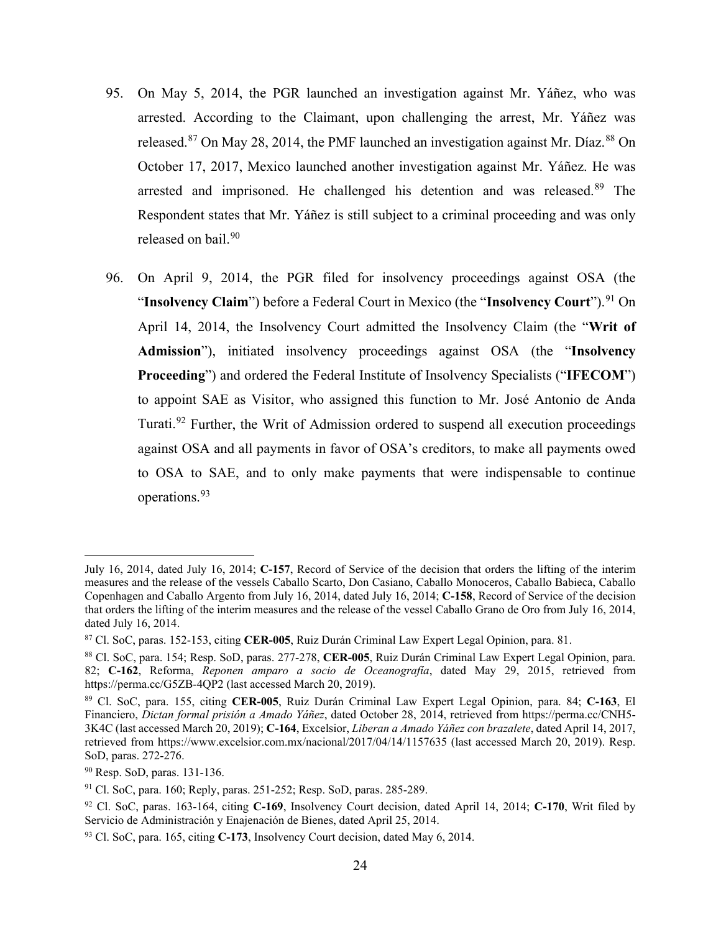- 95. On May 5, 2014, the PGR launched an investigation against Mr. Yáñez, who was arrested. According to the Claimant, upon challenging the arrest, Mr. Yáñez was released.<sup>[87](#page-30-0)</sup> On May 28, 2014, the PMF launched an investigation against Mr. Díaz.<sup>[88](#page-30-1)</sup> On October 17, 2017, Mexico launched another investigation against Mr. Yáñez. He was arrested and imprisoned. He challenged his detention and was released.<sup>[89](#page-30-2)</sup> The Respondent states that Mr. Yáñez is still subject to a criminal proceeding and was only released on bail.<sup>[90](#page-30-3)</sup>
- 96. On April 9, 2014, the PGR filed for insolvency proceedings against OSA (the "**Insolvency Claim**") before a Federal Court in Mexico (the "Insolvency Court").<sup>[91](#page-30-4)</sup> On April 14, 2014, the Insolvency Court admitted the Insolvency Claim (the "**Writ of Admission**"), initiated insolvency proceedings against OSA (the "**Insolvency Proceeding**") and ordered the Federal Institute of Insolvency Specialists ("**IFECOM**") to appoint SAE as Visitor, who assigned this function to Mr. José Antonio de Anda Turati.<sup>[92](#page-30-5)</sup> Further, the Writ of Admission ordered to suspend all execution proceedings against OSA and all payments in favor of OSA's creditors, to make all payments owed to OSA to SAE, and to only make payments that were indispensable to continue operations.[93](#page-30-6)

July 16, 2014, dated July 16, 2014; **C-157**, Record of Service of the decision that orders the lifting of the interim measures and the release of the vessels Caballo Scarto, Don Casiano, Caballo Monoceros, Caballo Babieca, Caballo Copenhagen and Caballo Argento from July 16, 2014, dated July 16, 2014; **C-158**, Record of Service of the decision that orders the lifting of the interim measures and the release of the vessel Caballo Grano de Oro from July 16, 2014, dated July 16, 2014.

<span id="page-30-0"></span><sup>87</sup> Cl. SoC, paras. 152-153, citing **CER-005**, Ruiz Durán Criminal Law Expert Legal Opinion, para. 81.

<span id="page-30-1"></span><sup>88</sup> Cl. SoC, para. 154; Resp. SoD, paras. 277-278, **CER-005**, Ruiz Durán Criminal Law Expert Legal Opinion, para. 82; **C-162**, Reforma, *Reponen amparo a socio de Oceanografía*, dated May 29, 2015, retrieved from https://perma.cc/G5ZB-4QP2 (last accessed March 20, 2019).

<span id="page-30-2"></span><sup>89</sup> Cl. SoC, para. 155, citing **CER-005**, Ruiz Durán Criminal Law Expert Legal Opinion, para. 84; **C-163**, El Financiero, *Dictan formal prisión a Amado Yáñez*, dated October 28, 2014, retrieved from https://perma.cc/CNH5- 3K4C (last accessed March 20, 2019); **C-164**, Excelsior, *Liberan a Amado Yáñez con brazalete*, dated April 14, 2017, retrieved from https://www.excelsior.com.mx/nacional/2017/04/14/1157635 (last accessed March 20, 2019). Resp. SoD, paras. 272-276.

<span id="page-30-3"></span><sup>90</sup> Resp. SoD, paras. 131-136.

<span id="page-30-4"></span><sup>91</sup> Cl. SoC, para. 160; Reply, paras. 251-252; Resp. SoD, paras. 285-289.

<span id="page-30-5"></span><sup>92</sup> Cl. SoC, paras. 163-164, citing **C-169**, Insolvency Court decision, dated April 14, 2014; **C-170**, Writ filed by Servicio de Administración y Enajenación de Bienes, dated April 25, 2014.

<span id="page-30-6"></span><sup>93</sup> Cl. SoC, para. 165, citing **C-173**, Insolvency Court decision, dated May 6, 2014.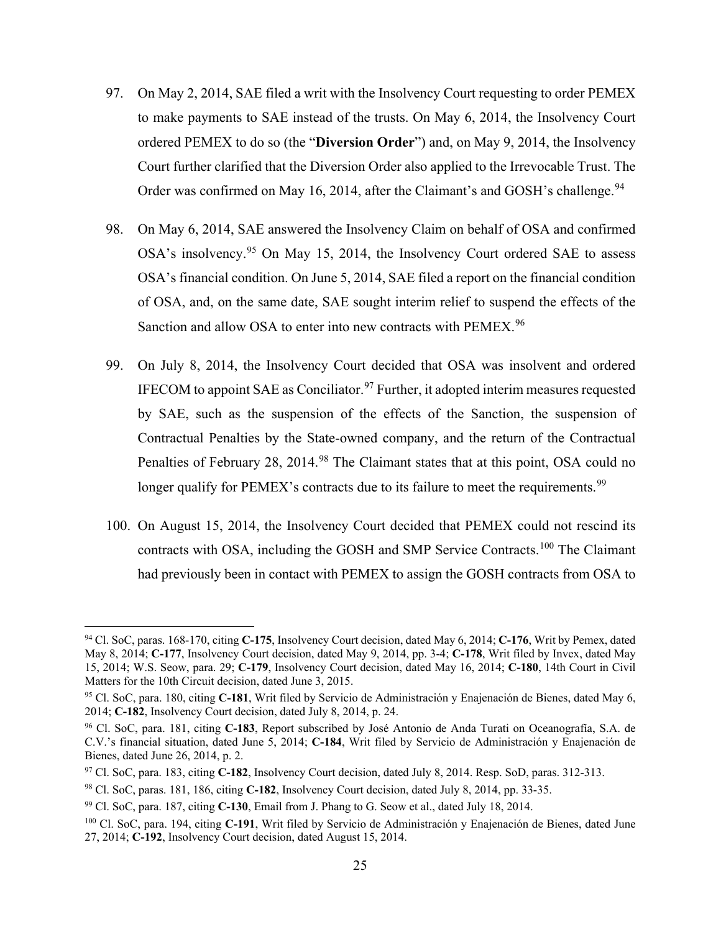- 97. On May 2, 2014, SAE filed a writ with the Insolvency Court requesting to order PEMEX to make payments to SAE instead of the trusts. On May 6, 2014, the Insolvency Court ordered PEMEX to do so (the "**Diversion Order**") and, on May 9, 2014, the Insolvency Court further clarified that the Diversion Order also applied to the Irrevocable Trust. The Order was confirmed on May 16, 2014, after the Claimant's and GOSH's challenge.<sup>[94](#page-31-0)</sup>
- 98. On May 6, 2014, SAE answered the Insolvency Claim on behalf of OSA and confirmed OSA's insolvency.<sup>[95](#page-31-1)</sup> On May 15, 2014, the Insolvency Court ordered SAE to assess OSA's financial condition. On June 5, 2014, SAE filed a report on the financial condition of OSA, and, on the same date, SAE sought interim relief to suspend the effects of the Sanction and allow OSA to enter into new contracts with PEMEX.<sup>[96](#page-31-2)</sup>
- 99. On July 8, 2014, the Insolvency Court decided that OSA was insolvent and ordered IFECOM to appoint SAE as Conciliator.<sup>[97](#page-31-3)</sup> Further, it adopted interim measures requested by SAE, such as the suspension of the effects of the Sanction, the suspension of Contractual Penalties by the State-owned company, and the return of the Contractual Penalties of February 28, 2014.<sup>[98](#page-31-4)</sup> The Claimant states that at this point, OSA could no longer qualify for PEMEX's contracts due to its failure to meet the requirements.<sup>[99](#page-31-5)</sup>
- 100. On August 15, 2014, the Insolvency Court decided that PEMEX could not rescind its contracts with OSA, including the GOSH and SMP Service Contracts.[100](#page-31-6) The Claimant had previously been in contact with PEMEX to assign the GOSH contracts from OSA to

<span id="page-31-0"></span><sup>94</sup> Cl. SoC, paras. 168-170, citing **C-175**, Insolvency Court decision, dated May 6, 2014; **C-176**, Writ by Pemex, dated May 8, 2014; **C-177**, Insolvency Court decision, dated May 9, 2014, pp. 3-4; **C-178**, Writ filed by Invex, dated May 15, 2014; W.S. Seow, para. 29; **C-179**, Insolvency Court decision, dated May 16, 2014; **C-180**, 14th Court in Civil Matters for the 10th Circuit decision, dated June 3, 2015.

<span id="page-31-1"></span><sup>95</sup> Cl. SoC, para. 180, citing **C-181**, Writ filed by Servicio de Administración y Enajenación de Bienes, dated May 6, 2014; **C-182**, Insolvency Court decision, dated July 8, 2014, p. 24.

<span id="page-31-2"></span><sup>96</sup> Cl. SoC, para. 181, citing **C-183**, Report subscribed by José Antonio de Anda Turati on Oceanografía, S.A. de C.V.'s financial situation, dated June 5, 2014; **C-184**, Writ filed by Servicio de Administración y Enajenación de Bienes, dated June 26, 2014, p. 2.

<span id="page-31-3"></span><sup>97</sup> Cl. SoC, para. 183, citing **C-182**, Insolvency Court decision, dated July 8, 2014. Resp. SoD, paras. 312-313.

<span id="page-31-4"></span><sup>98</sup> Cl. SoC, paras. 181, 186, citing **C-182**, Insolvency Court decision, dated July 8, 2014, pp. 33-35.

<span id="page-31-5"></span><sup>99</sup> Cl. SoC, para. 187, citing **C-130**, Email from J. Phang to G. Seow et al., dated July 18, 2014.

<span id="page-31-6"></span><sup>100</sup> Cl. SoC, para. 194, citing **C-191**, Writ filed by Servicio de Administración y Enajenación de Bienes, dated June 27, 2014; **C-192**, Insolvency Court decision, dated August 15, 2014.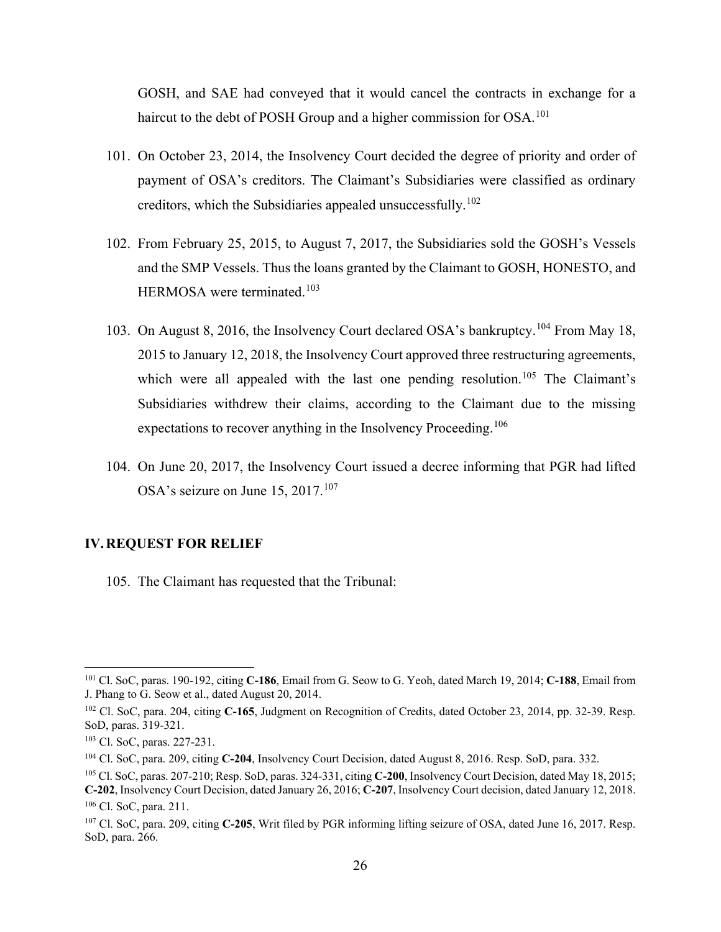GOSH, and SAE had conveyed that it would cancel the contracts in exchange for a haircut to the debt of POSH Group and a higher commission for OSA.<sup>[101](#page-32-1)</sup>

- 101. On October 23, 2014, the Insolvency Court decided the degree of priority and order of payment of OSA's creditors. The Claimant's Subsidiaries were classified as ordinary creditors, which the Subsidiaries appealed unsuccessfully.[102](#page-32-2)
- 102. From February 25, 2015, to August 7, 2017, the Subsidiaries sold the GOSH's Vessels and the SMP Vessels. Thus the loans granted by the Claimant to GOSH, HONESTO, and HERMOSA were terminated.<sup>[103](#page-32-3)</sup>
- 103. On August 8, 2016, the Insolvency Court declared OSA's bankruptcy.[104](#page-32-4) From May 18, 2015 to January 12, 2018, the Insolvency Court approved three restructuring agreements, which were all appealed with the last one pending resolution.<sup>[105](#page-32-5)</sup> The Claimant's Subsidiaries withdrew their claims, according to the Claimant due to the missing expectations to recover anything in the Insolvency Proceeding.<sup>[106](#page-32-6)</sup>
- 104. On June 20, 2017, the Insolvency Court issued a decree informing that PGR had lifted OSA's seizure on June 15, 2017.<sup>[107](#page-32-7)</sup>

#### <span id="page-32-0"></span>**IV.REQUEST FOR RELIEF**

105. The Claimant has requested that the Tribunal:

<span id="page-32-1"></span><sup>101</sup> Cl. SoC, paras. 190-192, citing **C-186**, Email from G. Seow to G. Yeoh, dated March 19, 2014; **C-188**, Email from J. Phang to G. Seow et al., dated August 20, 2014.

<span id="page-32-2"></span><sup>102</sup> Cl. SoC, para. 204, citing **C-165**, Judgment on Recognition of Credits, dated October 23, 2014, pp. 32-39. Resp. SoD, paras. 319-321.

<span id="page-32-3"></span><sup>103</sup> Cl. SoC, paras. 227-231.

<span id="page-32-4"></span><sup>104</sup> Cl. SoC, para. 209, citing **C-204**, Insolvency Court Decision, dated August 8, 2016. Resp. SoD, para. 332.

<span id="page-32-5"></span><sup>105</sup> Cl. SoC, paras. 207-210; Resp. SoD, paras. 324-331, citing **C-200**, Insolvency Court Decision, dated May 18, 2015; **C-202**, Insolvency Court Decision, dated January 26, 2016; **C-207**, Insolvency Court decision, dated January 12, 2018.

<span id="page-32-6"></span><sup>106</sup> Cl. SoC, para. 211.

<span id="page-32-7"></span><sup>107</sup> Cl. SoC, para. 209, citing **C-205**, Writ filed by PGR informing lifting seizure of OSA, dated June 16, 2017. Resp. SoD, para. 266.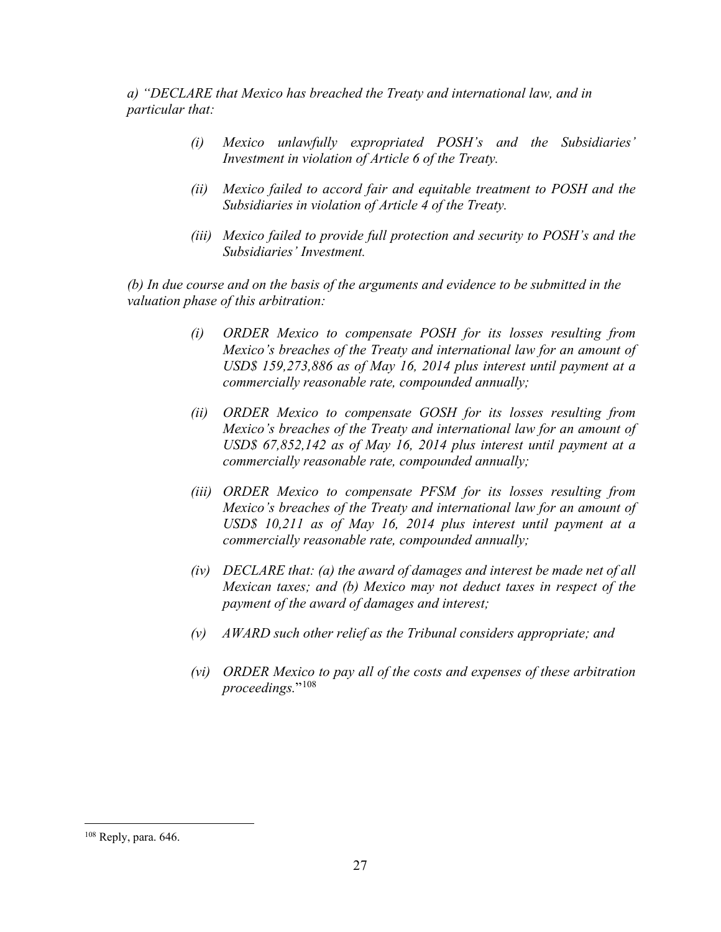*a) "DECLARE that Mexico has breached the Treaty and international law, and in particular that:* 

- *(i) Mexico unlawfully expropriated POSH's and the Subsidiaries' Investment in violation of Article 6 of the Treaty.*
- *(ii) Mexico failed to accord fair and equitable treatment to POSH and the Subsidiaries in violation of Article 4 of the Treaty.*
- *(iii) Mexico failed to provide full protection and security to POSH's and the Subsidiaries' Investment.*

*(b) In due course and on the basis of the arguments and evidence to be submitted in the valuation phase of this arbitration:* 

- *(i) ORDER Mexico to compensate POSH for its losses resulting from Mexico's breaches of the Treaty and international law for an amount of USD\$ 159,273,886 as of May 16, 2014 plus interest until payment at a commercially reasonable rate, compounded annually;*
- *(ii) ORDER Mexico to compensate GOSH for its losses resulting from Mexico's breaches of the Treaty and international law for an amount of USD\$ 67,852,142 as of May 16, 2014 plus interest until payment at a commercially reasonable rate, compounded annually;*
- *(iii) ORDER Mexico to compensate PFSM for its losses resulting from Mexico's breaches of the Treaty and international law for an amount of USD\$ 10,211 as of May 16, 2014 plus interest until payment at a commercially reasonable rate, compounded annually;*
- *(iv) DECLARE that: (a) the award of damages and interest be made net of all Mexican taxes; and (b) Mexico may not deduct taxes in respect of the payment of the award of damages and interest;*
- *(v) AWARD such other relief as the Tribunal considers appropriate; and*
- *(vi) ORDER Mexico to pay all of the costs and expenses of these arbitration proceedings.*"[108](#page-33-0)

<span id="page-33-0"></span><sup>108</sup> Reply, para. 646.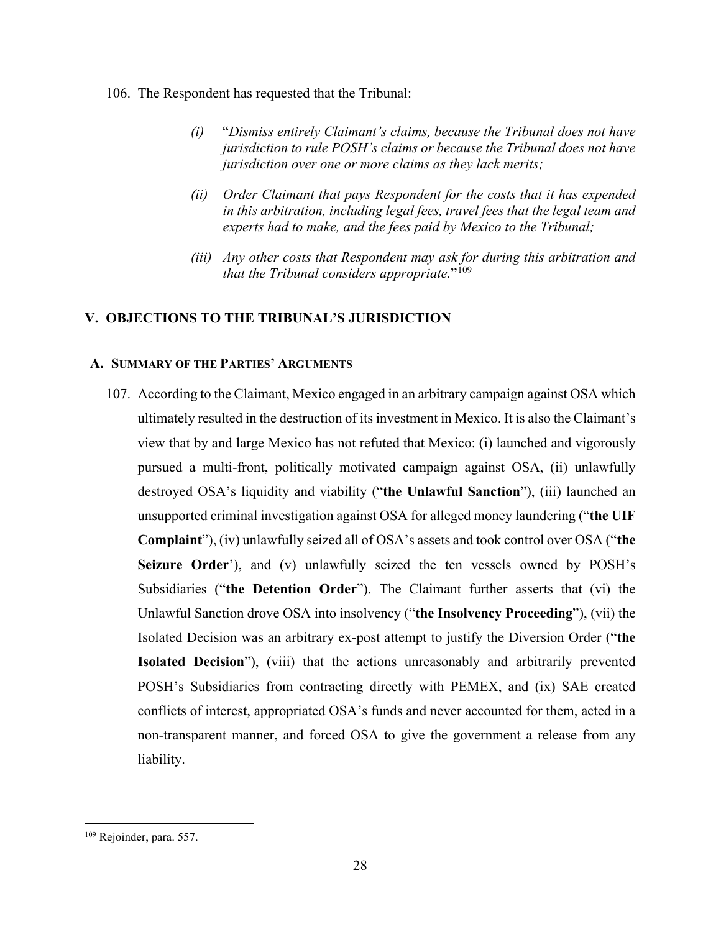### 106. The Respondent has requested that the Tribunal:

- *(i)* "*Dismiss entirely Claimant's claims, because the Tribunal does not have jurisdiction to rule POSH's claims or because the Tribunal does not have jurisdiction over one or more claims as they lack merits;*
- *(ii) Order Claimant that pays Respondent for the costs that it has expended in this arbitration, including legal fees, travel fees that the legal team and experts had to make, and the fees paid by Mexico to the Tribunal;*
- *(iii) Any other costs that Respondent may ask for during this arbitration and that the Tribunal considers appropriate.*"[109](#page-34-2)

## <span id="page-34-0"></span>**V. OBJECTIONS TO THE TRIBUNAL'S JURISDICTION**

## <span id="page-34-1"></span>**A. SUMMARY OF THE PARTIES' ARGUMENTS**

107. According to the Claimant, Mexico engaged in an arbitrary campaign against OSA which ultimately resulted in the destruction of its investment in Mexico. It is also the Claimant's view that by and large Mexico has not refuted that Mexico: (i) launched and vigorously pursued a multi-front, politically motivated campaign against OSA, (ii) unlawfully destroyed OSA's liquidity and viability ("**the Unlawful Sanction**"), (iii) launched an unsupported criminal investigation against OSA for alleged money laundering ("**the UIF Complaint**"), (iv) unlawfully seized all of OSA's assets and took control over OSA ("**the Seizure Order**'), and (v) unlawfully seized the ten vessels owned by POSH's Subsidiaries ("**the Detention Order**"). The Claimant further asserts that (vi) the Unlawful Sanction drove OSA into insolvency ("**the Insolvency Proceeding**"), (vii) the Isolated Decision was an arbitrary ex-post attempt to justify the Diversion Order ("**the Isolated Decision**"), (viii) that the actions unreasonably and arbitrarily prevented POSH's Subsidiaries from contracting directly with PEMEX, and (ix) SAE created conflicts of interest, appropriated OSA's funds and never accounted for them, acted in a non-transparent manner, and forced OSA to give the government a release from any liability.

<span id="page-34-2"></span><sup>109</sup> Rejoinder, para. 557.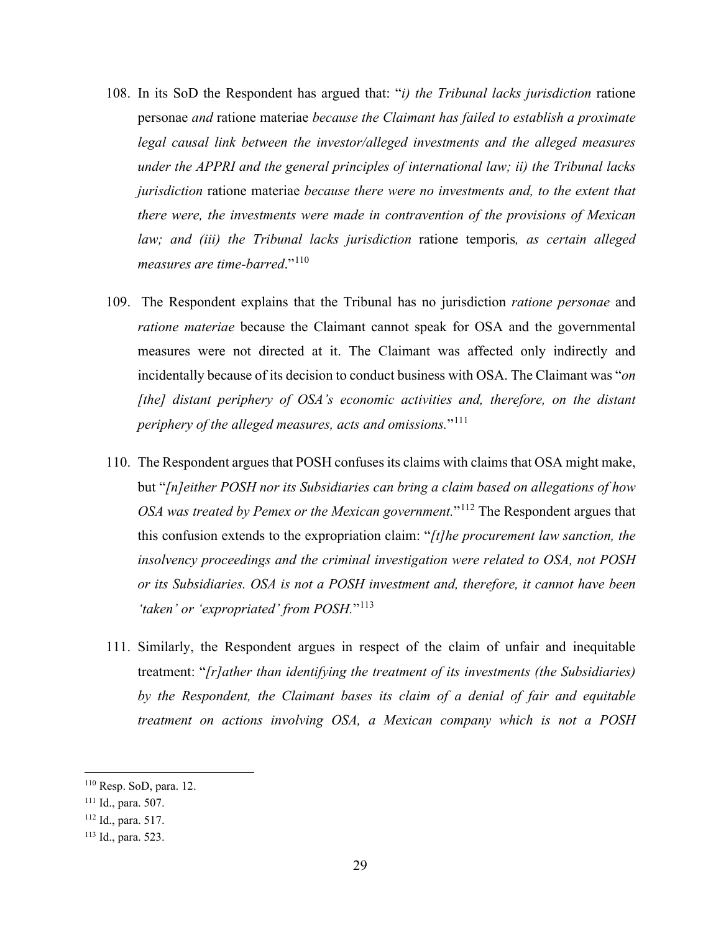- 108. In its SoD the Respondent has argued that: "*i) the Tribunal lacks jurisdiction* ratione personae *and* ratione materiae *because the Claimant has failed to establish a proximate legal causal link between the investor/alleged investments and the alleged measures under the APPRI and the general principles of international law; ii) the Tribunal lacks jurisdiction* ratione materiae *because there were no investments and, to the extent that there were, the investments were made in contravention of the provisions of Mexican law; and (iii) the Tribunal lacks jurisdiction* ratione temporis*, as certain alleged measures are time-barred*."[110](#page-35-0)
- 109. The Respondent explains that the Tribunal has no jurisdiction *ratione personae* and *ratione materiae* because the Claimant cannot speak for OSA and the governmental measures were not directed at it. The Claimant was affected only indirectly and incidentally because of its decision to conduct business with OSA. The Claimant was "*on [the] distant periphery of OSA's economic activities and, therefore, on the distant periphery of the alleged measures, acts and omissions.*"[111](#page-35-1)
- 110. The Respondent argues that POSH confuses its claims with claims that OSA might make, but "*[n]either POSH nor its Subsidiaries can bring a claim based on allegations of how OSA was treated by Pemex or the Mexican government.*"[112](#page-35-2) The Respondent argues that this confusion extends to the expropriation claim: "*[t]he procurement law sanction, the insolvency proceedings and the criminal investigation were related to OSA, not POSH or its Subsidiaries. OSA is not a POSH investment and, therefore, it cannot have been 'taken' or 'expropriated' from POSH.*"[113](#page-35-3)
- 111. Similarly, the Respondent argues in respect of the claim of unfair and inequitable treatment: "*[r]ather than identifying the treatment of its investments (the Subsidiaries) by the Respondent, the Claimant bases its claim of a denial of fair and equitable treatment on actions involving OSA, a Mexican company which is not a POSH*

<span id="page-35-0"></span><sup>110</sup> Resp. SoD, para. 12.

<span id="page-35-1"></span><sup>111</sup> Id., para. 507.

<span id="page-35-2"></span><sup>112</sup> Id., para. 517.

<span id="page-35-3"></span><sup>113</sup> Id., para. 523.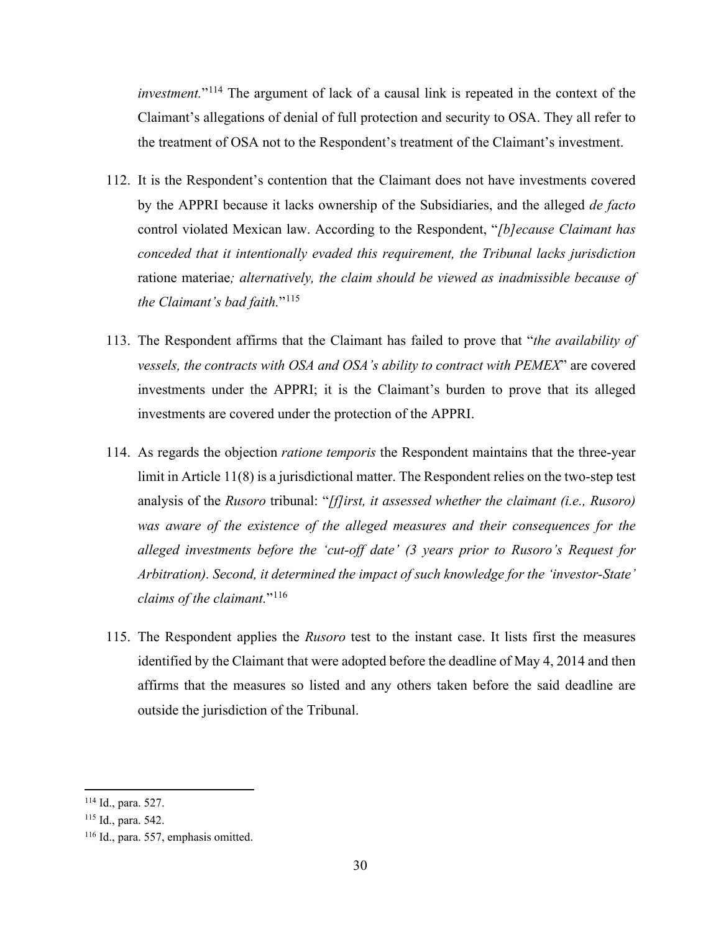*investment.*"[114](#page-36-0) The argument of lack of a causal link is repeated in the context of the Claimant's allegations of denial of full protection and security to OSA. They all refer to the treatment of OSA not to the Respondent's treatment of the Claimant's investment.

- 112. It is the Respondent's contention that the Claimant does not have investments covered by the APPRI because it lacks ownership of the Subsidiaries, and the alleged *de facto* control violated Mexican law. According to the Respondent, "*[b]ecause Claimant has conceded that it intentionally evaded this requirement, the Tribunal lacks jurisdiction*  ratione materiae*; alternatively, the claim should be viewed as inadmissible because of the Claimant's bad faith.*"[115](#page-36-1)
- 113. The Respondent affirms that the Claimant has failed to prove that "*the availability of vessels, the contracts with OSA and OSA's ability to contract with PEMEX*" are covered investments under the APPRI; it is the Claimant's burden to prove that its alleged investments are covered under the protection of the APPRI.
- 114. As regards the objection *ratione temporis* the Respondent maintains that the three-year limit in Article 11(8) is a jurisdictional matter. The Respondent relies on the two-step test analysis of the *Rusoro* tribunal: "*[f]irst, it assessed whether the claimant (i.e., Rusoro) was aware of the existence of the alleged measures and their consequences for the alleged investments before the 'cut-off date' (3 years prior to Rusoro's Request for Arbitration). Second, it determined the impact of such knowledge for the 'investor-State' claims of the claimant.*"[116](#page-36-2)
- 115. The Respondent applies the *Rusoro* test to the instant case. It lists first the measures identified by the Claimant that were adopted before the deadline of May 4, 2014 and then affirms that the measures so listed and any others taken before the said deadline are outside the jurisdiction of the Tribunal.

<span id="page-36-0"></span><sup>114</sup> Id., para. 527.

<span id="page-36-1"></span><sup>115</sup> Id., para. 542.

<span id="page-36-2"></span><sup>116</sup> Id., para. 557, emphasis omitted.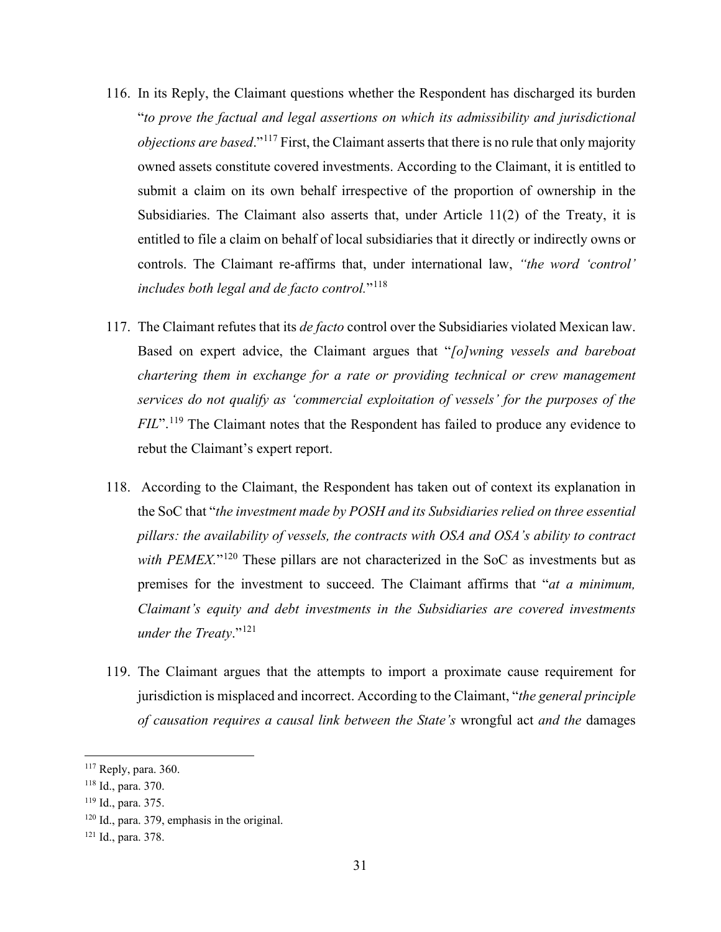- 116. In its Reply, the Claimant questions whether the Respondent has discharged its burden "*to prove the factual and legal assertions on which its admissibility and jurisdictional objections are based*."[117](#page-37-0) First, the Claimant asserts that there is no rule that only majority owned assets constitute covered investments. According to the Claimant, it is entitled to submit a claim on its own behalf irrespective of the proportion of ownership in the Subsidiaries. The Claimant also asserts that, under Article 11(2) of the Treaty, it is entitled to file a claim on behalf of local subsidiaries that it directly or indirectly owns or controls. The Claimant re-affirms that, under international law, *"the word 'control' includes both legal and de facto control.*"[118](#page-37-1)
- 117. The Claimant refutes that its *de facto* control over the Subsidiaries violated Mexican law. Based on expert advice, the Claimant argues that "*[o]wning vessels and bareboat chartering them in exchange for a rate or providing technical or crew management services do not qualify as 'commercial exploitation of vessels' for the purposes of the FIL*".<sup>[119](#page-37-2)</sup> The Claimant notes that the Respondent has failed to produce any evidence to rebut the Claimant's expert report.
- 118. According to the Claimant, the Respondent has taken out of context its explanation in the SoC that "*the investment made by POSH and its Subsidiaries relied on three essential pillars: the availability of vessels, the contracts with OSA and OSA's ability to contract*  with PEMEX."<sup>[120](#page-37-3)</sup> These pillars are not characterized in the SoC as investments but as premises for the investment to succeed. The Claimant affirms that "*at a minimum, Claimant's equity and debt investments in the Subsidiaries are covered investments under the Treaty*."[121](#page-37-4)
- 119. The Claimant argues that the attempts to import a proximate cause requirement for jurisdiction is misplaced and incorrect. According to the Claimant, "*the general principle of causation requires a causal link between the State's* wrongful act *and the* damages

<span id="page-37-0"></span> $117$  Reply, para. 360.

<span id="page-37-1"></span><sup>118</sup> Id., para. 370.

<span id="page-37-2"></span><sup>119</sup> Id., para. 375.

<span id="page-37-3"></span> $120$  Id., para. 379, emphasis in the original.

<span id="page-37-4"></span><sup>121</sup> Id., para. 378.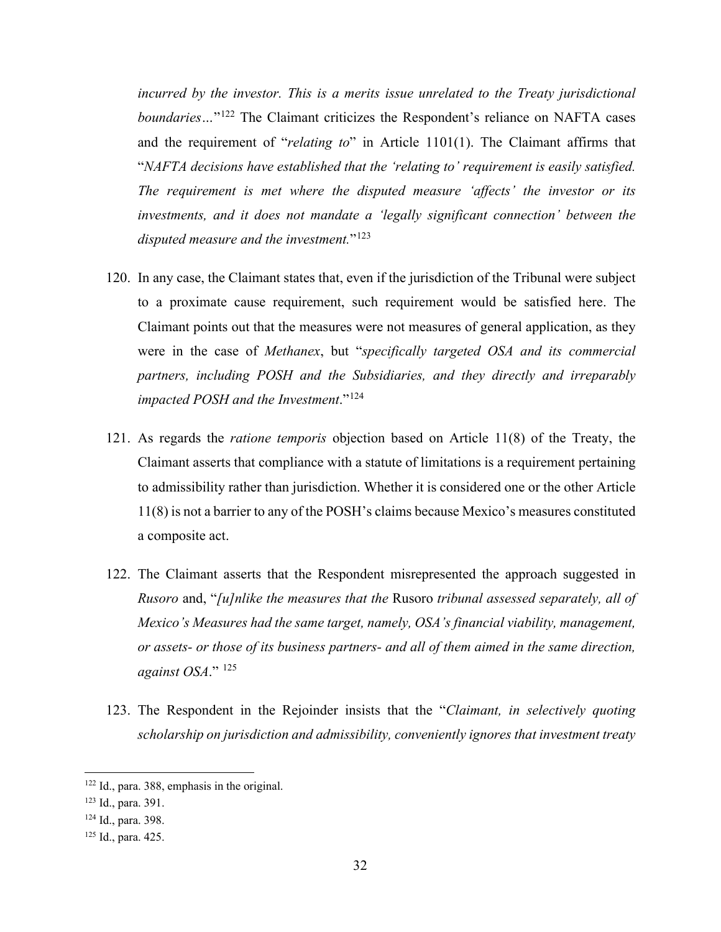*incurred by the investor. This is a merits issue unrelated to the Treaty jurisdictional boundaries*...<sup>"[122](#page-38-0)</sup> The Claimant criticizes the Respondent's reliance on NAFTA cases and the requirement of "*relating to*" in Article 1101(1). The Claimant affirms that "*NAFTA decisions have established that the 'relating to' requirement is easily satisfied. The requirement is met where the disputed measure 'affects' the investor or its investments, and it does not mandate a 'legally significant connection' between the disputed measure and the investment.*"[123](#page-38-1)

- 120. In any case, the Claimant states that, even if the jurisdiction of the Tribunal were subject to a proximate cause requirement, such requirement would be satisfied here. The Claimant points out that the measures were not measures of general application, as they were in the case of *Methanex*, but "*specifically targeted OSA and its commercial partners, including POSH and the Subsidiaries, and they directly and irreparably impacted POSH and the Investment*."[124](#page-38-2)
- 121. As regards the *ratione temporis* objection based on Article 11(8) of the Treaty, the Claimant asserts that compliance with a statute of limitations is a requirement pertaining to admissibility rather than jurisdiction. Whether it is considered one or the other Article 11(8) is not a barrier to any of the POSH's claims because Mexico's measures constituted a composite act.
- 122. The Claimant asserts that the Respondent misrepresented the approach suggested in *Rusoro* and, "*[u]nlike the measures that the* Rusoro *tribunal assessed separately, all of Mexico's Measures had the same target, namely, OSA's financial viability, management, or assets- or those of its business partners- and all of them aimed in the same direction, against OSA*." [125](#page-38-3)
- 123. The Respondent in the Rejoinder insists that the "*Claimant, in selectively quoting scholarship on jurisdiction and admissibility, conveniently ignores that investment treaty*

<span id="page-38-0"></span><sup>122</sup> Id., para. 388, emphasis in the original.

<span id="page-38-1"></span><sup>123</sup> Id., para. 391.

<span id="page-38-2"></span><sup>124</sup> Id., para. 398.

<span id="page-38-3"></span><sup>125</sup> Id., para. 425.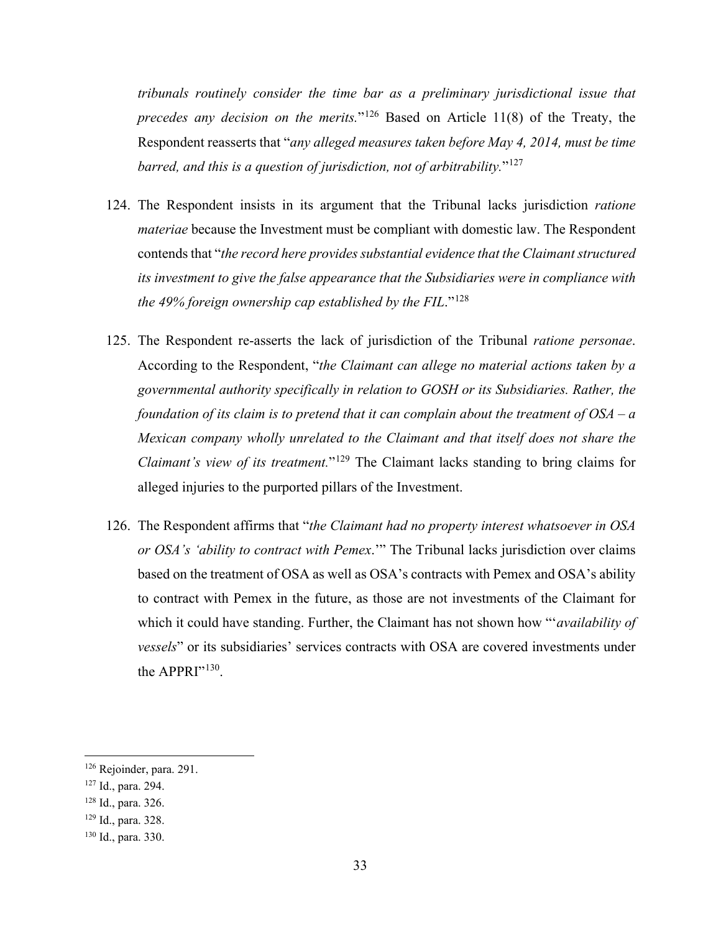*tribunals routinely consider the time bar as a preliminary jurisdictional issue that precedes any decision on the merits.*"[126](#page-39-0) Based on Article 11(8) of the Treaty, the Respondent reasserts that "*any alleged measures taken before May 4, 2014, must be time barred, and this is a question of jurisdiction, not of arbitrability.*"[127](#page-39-1)

- 124. The Respondent insists in its argument that the Tribunal lacks jurisdiction *ratione materiae* because the Investment must be compliant with domestic law. The Respondent contends that "*the record here provides substantial evidence that the Claimant structured its investment to give the false appearance that the Subsidiaries were in compliance with the 49% foreign ownership cap established by the FIL*."[128](#page-39-2)
- 125. The Respondent re-asserts the lack of jurisdiction of the Tribunal *ratione personae*. According to the Respondent, "*the Claimant can allege no material actions taken by a governmental authority specifically in relation to GOSH or its Subsidiaries. Rather, the foundation of its claim is to pretend that it can complain about the treatment of OSA – a Mexican company wholly unrelated to the Claimant and that itself does not share the Claimant's view of its treatment.*"<sup>[129](#page-39-3)</sup> The Claimant lacks standing to bring claims for alleged injuries to the purported pillars of the Investment.
- 126. The Respondent affirms that "*the Claimant had no property interest whatsoever in OSA or OSA's 'ability to contract with Pemex*.'" The Tribunal lacks jurisdiction over claims based on the treatment of OSA as well as OSA's contracts with Pemex and OSA's ability to contract with Pemex in the future, as those are not investments of the Claimant for which it could have standing. Further, the Claimant has not shown how "'*availability of vessels*" or its subsidiaries' services contracts with OSA are covered investments under the APPRI"<sup>130</sup>.

<span id="page-39-0"></span><sup>126</sup> Rejoinder, para. 291.

<span id="page-39-1"></span><sup>127</sup> Id., para. 294.

<span id="page-39-2"></span><sup>128</sup> Id., para. 326.

<span id="page-39-3"></span><sup>129</sup> Id., para. 328.

<span id="page-39-4"></span><sup>130</sup> Id., para. 330.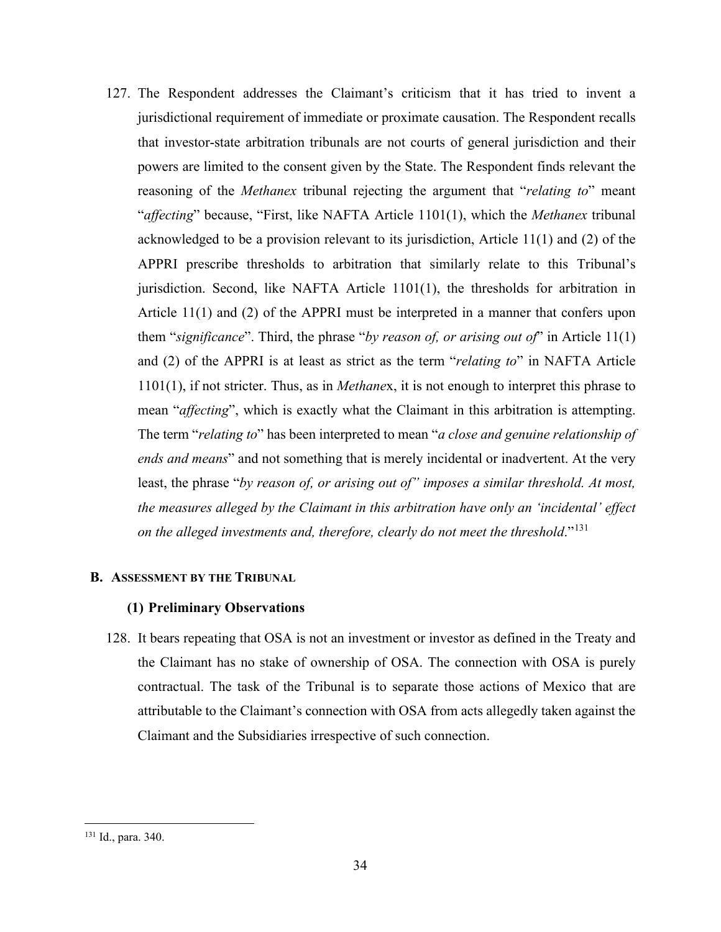127. The Respondent addresses the Claimant's criticism that it has tried to invent a jurisdictional requirement of immediate or proximate causation. The Respondent recalls that investor-state arbitration tribunals are not courts of general jurisdiction and their powers are limited to the consent given by the State. The Respondent finds relevant the reasoning of the *Methanex* tribunal rejecting the argument that "*relating to*" meant "*affecting*" because, "First, like NAFTA Article 1101(1), which the *Methanex* tribunal acknowledged to be a provision relevant to its jurisdiction, Article 11(1) and (2) of the APPRI prescribe thresholds to arbitration that similarly relate to this Tribunal's jurisdiction. Second, like NAFTA Article 1101(1), the thresholds for arbitration in Article 11(1) and (2) of the APPRI must be interpreted in a manner that confers upon them "*significance*". Third, the phrase "*by reason of, or arising out of*" in Article 11(1) and (2) of the APPRI is at least as strict as the term "*relating to*" in NAFTA Article 1101(1), if not stricter. Thus, as in *Methane*x, it is not enough to interpret this phrase to mean "*affecting*", which is exactly what the Claimant in this arbitration is attempting. The term "*relating to*" has been interpreted to mean "*a close and genuine relationship of ends and means*" and not something that is merely incidental or inadvertent. At the very least, the phrase "*by reason of, or arising out of" imposes a similar threshold. At most, the measures alleged by the Claimant in this arbitration have only an 'incidental' effect on the alleged investments and, therefore, clearly do not meet the threshold*."[131](#page-40-0)

# **B. ASSESSMENT BY THE TRIBUNAL**

# **(1) Preliminary Observations**

128. It bears repeating that OSA is not an investment or investor as defined in the Treaty and the Claimant has no stake of ownership of OSA. The connection with OSA is purely contractual. The task of the Tribunal is to separate those actions of Mexico that are attributable to the Claimant's connection with OSA from acts allegedly taken against the Claimant and the Subsidiaries irrespective of such connection.

<span id="page-40-0"></span><sup>131</sup> Id., para. 340.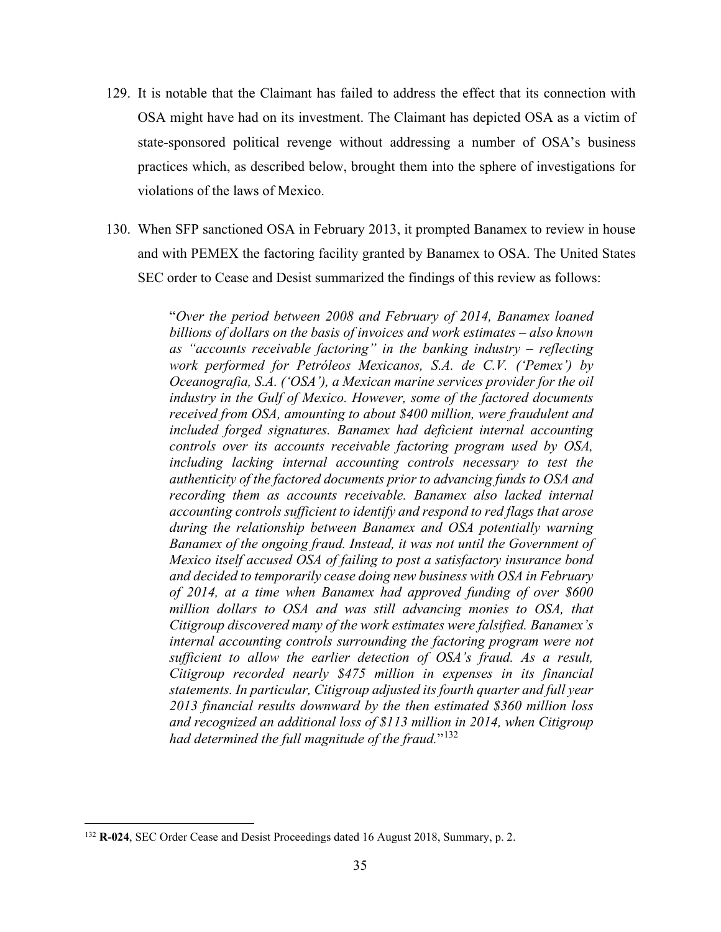- 129. It is notable that the Claimant has failed to address the effect that its connection with OSA might have had on its investment. The Claimant has depicted OSA as a victim of state-sponsored political revenge without addressing a number of OSA's business practices which, as described below, brought them into the sphere of investigations for violations of the laws of Mexico.
- 130. When SFP sanctioned OSA in February 2013, it prompted Banamex to review in house and with PEMEX the factoring facility granted by Banamex to OSA. The United States SEC order to Cease and Desist summarized the findings of this review as follows:

"*Over the period between 2008 and February of 2014, Banamex loaned billions of dollars on the basis of invoices and work estimates – also known as "accounts receivable factoring" in the banking industry – reflecting work performed for Petróleos Mexicanos, S.A. de C.V. ('Pemex') by Oceanografia, S.A. ('OSA'), a Mexican marine services provider for the oil industry in the Gulf of Mexico. However, some of the factored documents received from OSA, amounting to about \$400 million, were fraudulent and included forged signatures. Banamex had deficient internal accounting controls over its accounts receivable factoring program used by OSA, including lacking internal accounting controls necessary to test the authenticity of the factored documents prior to advancing funds to OSA and recording them as accounts receivable. Banamex also lacked internal accounting controls sufficient to identify and respond to red flags that arose during the relationship between Banamex and OSA potentially warning Banamex of the ongoing fraud. Instead, it was not until the Government of Mexico itself accused OSA of failing to post a satisfactory insurance bond and decided to temporarily cease doing new business with OSA in February of 2014, at a time when Banamex had approved funding of over \$600 million dollars to OSA and was still advancing monies to OSA, that Citigroup discovered many of the work estimates were falsified. Banamex's internal accounting controls surrounding the factoring program were not sufficient to allow the earlier detection of OSA's fraud. As a result, Citigroup recorded nearly \$475 million in expenses in its financial statements. In particular, Citigroup adjusted its fourth quarter and full year 2013 financial results downward by the then estimated \$360 million loss and recognized an additional loss of \$113 million in 2014, when Citigroup had determined the full magnitude of the fraud.*"[132](#page-41-0)

<span id="page-41-0"></span><sup>132</sup> **R-024**, SEC Order Cease and Desist Proceedings dated 16 August 2018, Summary, p. 2.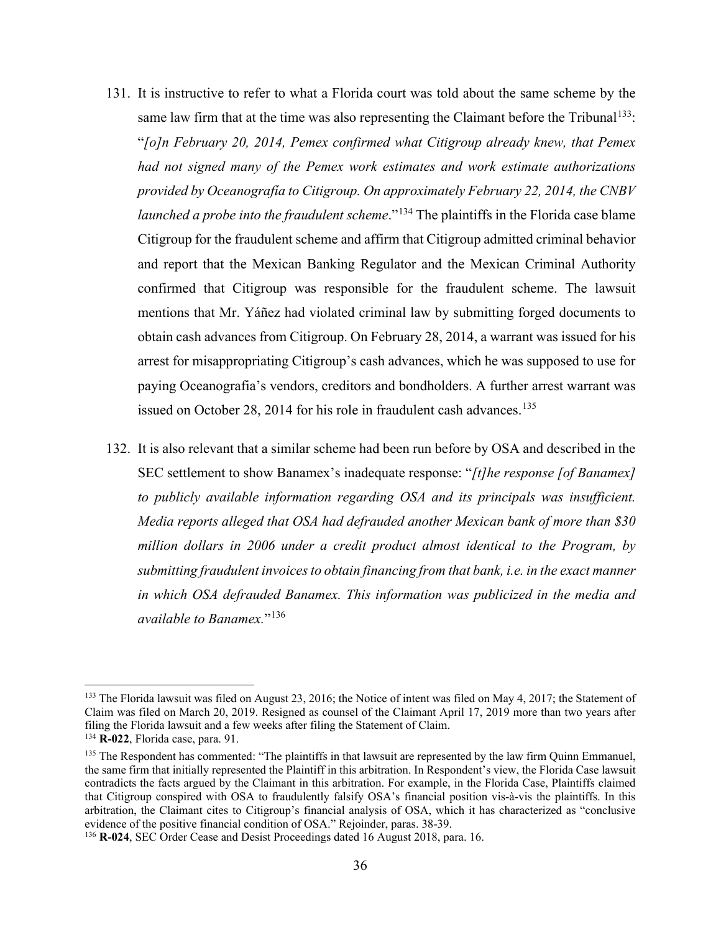- 131. It is instructive to refer to what a Florida court was told about the same scheme by the same law firm that at the time was also representing the Claimant before the Tribunal<sup>133</sup>: "*[o]n February 20, 2014, Pemex confirmed what Citigroup already knew, that Pemex had not signed many of the Pemex work estimates and work estimate authorizations provided by Oceanografía to Citigroup. On approximately February 22, 2014, the CNBV launched a probe into the fraudulent scheme*."<sup>[134](#page-42-1)</sup> The plaintiffs in the Florida case blame Citigroup for the fraudulent scheme and affirm that Citigroup admitted criminal behavior and report that the Mexican Banking Regulator and the Mexican Criminal Authority confirmed that Citigroup was responsible for the fraudulent scheme. The lawsuit mentions that Mr. Yáñez had violated criminal law by submitting forged documents to obtain cash advances from Citigroup. On February 28, 2014, a warrant was issued for his arrest for misappropriating Citigroup's cash advances, which he was supposed to use for paying Oceanografia's vendors, creditors and bondholders. A further arrest warrant was issued on October 28, 2014 for his role in fraudulent cash advances.<sup>[135](#page-42-2)</sup>
- 132. It is also relevant that a similar scheme had been run before by OSA and described in the SEC settlement to show Banamex's inadequate response: "*[t]he response [of Banamex] to publicly available information regarding OSA and its principals was insufficient. Media reports alleged that OSA had defrauded another Mexican bank of more than \$30 million dollars in 2006 under a credit product almost identical to the Program, by submitting fraudulent invoices to obtain financing from that bank, i.e. in the exact manner in which OSA defrauded Banamex. This information was publicized in the media and available to Banamex.*"[136](#page-42-3)

<span id="page-42-0"></span><sup>&</sup>lt;sup>133</sup> The Florida lawsuit was filed on August 23, 2016; the Notice of intent was filed on May 4, 2017; the Statement of Claim was filed on March 20, 2019. Resigned as counsel of the Claimant April 17, 2019 more than two years after filing the Florida lawsuit and a few weeks after filing the Statement of Claim.

<span id="page-42-1"></span><sup>134</sup> **R-022**, Florida case, para. 91.

<span id="page-42-2"></span><sup>&</sup>lt;sup>135</sup> The Respondent has commented: "The plaintiffs in that lawsuit are represented by the law firm Quinn Emmanuel, the same firm that initially represented the Plaintiff in this arbitration. In Respondent's view, the Florida Case lawsuit contradicts the facts argued by the Claimant in this arbitration. For example, in the Florida Case, Plaintiffs claimed that Citigroup conspired with OSA to fraudulently falsify OSA's financial position vis-à-vis the plaintiffs. In this arbitration, the Claimant cites to Citigroup's financial analysis of OSA, which it has characterized as "conclusive evidence of the positive financial condition of OSA." Rejoinder, paras. 38-39.

<span id="page-42-3"></span><sup>136</sup> **R-024**, SEC Order Cease and Desist Proceedings dated 16 August 2018, para. 16.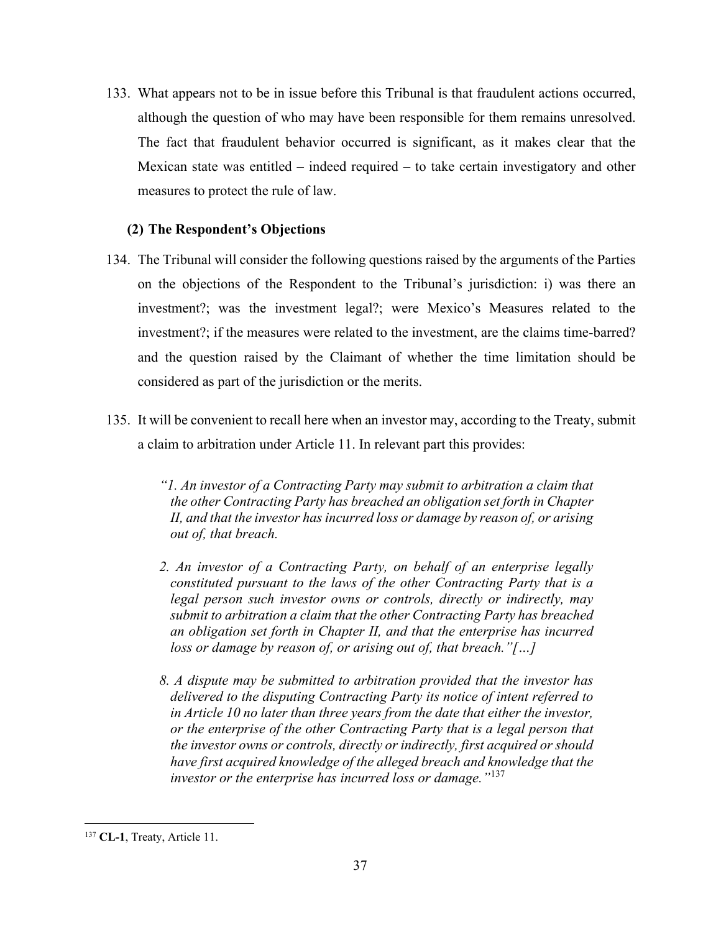133. What appears not to be in issue before this Tribunal is that fraudulent actions occurred, although the question of who may have been responsible for them remains unresolved. The fact that fraudulent behavior occurred is significant, as it makes clear that the Mexican state was entitled – indeed required – to take certain investigatory and other measures to protect the rule of law.

# **(2) The Respondent's Objections**

- 134. The Tribunal will consider the following questions raised by the arguments of the Parties on the objections of the Respondent to the Tribunal's jurisdiction: i) was there an investment?; was the investment legal?; were Mexico's Measures related to the investment?; if the measures were related to the investment, are the claims time-barred? and the question raised by the Claimant of whether the time limitation should be considered as part of the jurisdiction or the merits.
- 135. It will be convenient to recall here when an investor may, according to the Treaty, submit a claim to arbitration under Article 11. In relevant part this provides:

*"1. An investor of a Contracting Party may submit to arbitration a claim that the other Contracting Party has breached an obligation set forth in Chapter II, and that the investor has incurred loss or damage by reason of, or arising out of, that breach.* 

- *2. An investor of a Contracting Party, on behalf of an enterprise legally constituted pursuant to the laws of the other Contracting Party that is a legal person such investor owns or controls, directly or indirectly, may submit to arbitration a claim that the other Contracting Party has breached an obligation set forth in Chapter II, and that the enterprise has incurred loss or damage by reason of, or arising out of, that breach."[…]*
- *8. A dispute may be submitted to arbitration provided that the investor has delivered to the disputing Contracting Party its notice of intent referred to in Article 10 no later than three years from the date that either the investor, or the enterprise of the other Contracting Party that is a legal person that the investor owns or controls, directly or indirectly, first acquired or should have first acquired knowledge of the alleged breach and knowledge that the investor or the enterprise has incurred loss or damage."*[137](#page-43-0)

<span id="page-43-0"></span><sup>137</sup> **CL-1**, Treaty, Article 11.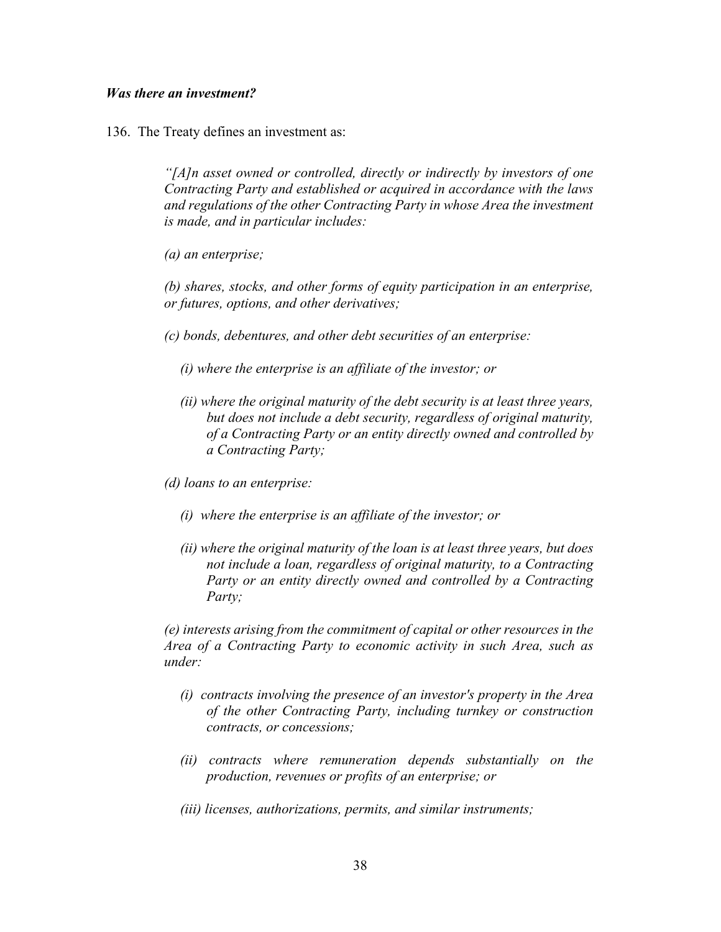# *Was there an investment?*

136. The Treaty defines an investment as:

*"[A]n asset owned or controlled, directly or indirectly by investors of one Contracting Party and established or acquired in accordance with the laws and regulations of the other Contracting Party in whose Area the investment is made, and in particular includes:* 

*(a) an enterprise;* 

*(b) shares, stocks, and other forms of equity participation in an enterprise, or futures, options, and other derivatives;* 

- *(c) bonds, debentures, and other debt securities of an enterprise:* 
	- *(i) where the enterprise is an affiliate of the investor; or*
	- *(ii) where the original maturity of the debt security is at least three years, but does not include a debt security, regardless of original maturity, of a Contracting Party or an entity directly owned and controlled by a Contracting Party;*

*(d) loans to an enterprise:* 

- *(i) where the enterprise is an affiliate of the investor; or*
- *(ii) where the original maturity of the loan is at least three years, but does not include a loan, regardless of original maturity, to a Contracting Party or an entity directly owned and controlled by a Contracting Party;*

*(e) interests arising from the commitment of capital or other resources in the Area of a Contracting Party to economic activity in such Area, such as under:* 

- *(i) contracts involving the presence of an investor's property in the Area of the other Contracting Party, including turnkey or construction contracts, or concessions;*
- *(ii) contracts where remuneration depends substantially on the production, revenues or profits of an enterprise; or*
- *(iii) licenses, authorizations, permits, and similar instruments;*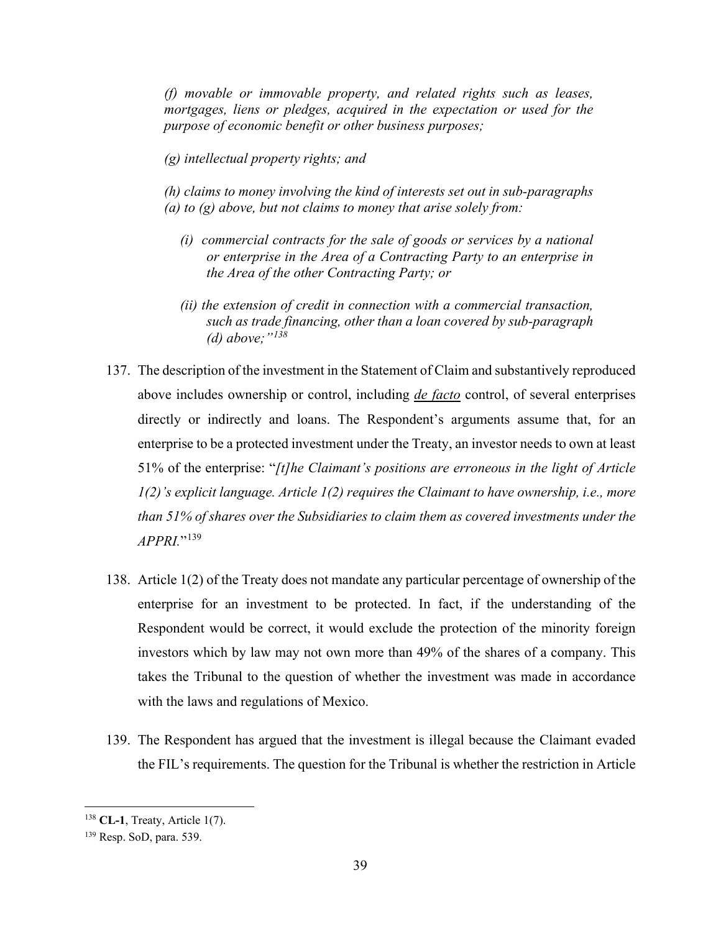*(f) movable or immovable property, and related rights such as leases, mortgages, liens or pledges, acquired in the expectation or used for the purpose of economic benefit or other business purposes;* 

*(g) intellectual property rights; and*

*(h) claims to money involving the kind of interests set out in sub-paragraphs (a) to (g) above, but not claims to money that arise solely from:* 

- *(i) commercial contracts for the sale of goods or services by a national or enterprise in the Area of a Contracting Party to an enterprise in the Area of the other Contracting Party; or*
- *(ii) the extension of credit in connection with a commercial transaction, such as trade financing, other than a loan covered by sub-paragraph (d) above;"[138](#page-45-0)*
- 137. The description of the investment in the Statement of Claim and substantively reproduced above includes ownership or control, including *de facto* control, of several enterprises directly or indirectly and loans. The Respondent's arguments assume that, for an enterprise to be a protected investment under the Treaty, an investor needs to own at least 51% of the enterprise: "*[t]he Claimant's positions are erroneous in the light of Article 1(2)'s explicit language. Article 1(2) requires the Claimant to have ownership, i.e., more than 51% of shares over the Subsidiaries to claim them as covered investments under the APPRI.*"[139](#page-45-1)
- 138. Article 1(2) of the Treaty does not mandate any particular percentage of ownership of the enterprise for an investment to be protected. In fact, if the understanding of the Respondent would be correct, it would exclude the protection of the minority foreign investors which by law may not own more than 49% of the shares of a company. This takes the Tribunal to the question of whether the investment was made in accordance with the laws and regulations of Mexico.
- 139. The Respondent has argued that the investment is illegal because the Claimant evaded the FIL's requirements. The question for the Tribunal is whether the restriction in Article

<span id="page-45-0"></span><sup>138</sup> **CL-1**, Treaty, Article 1(7).

<span id="page-45-1"></span><sup>139</sup> Resp. SoD, para. 539.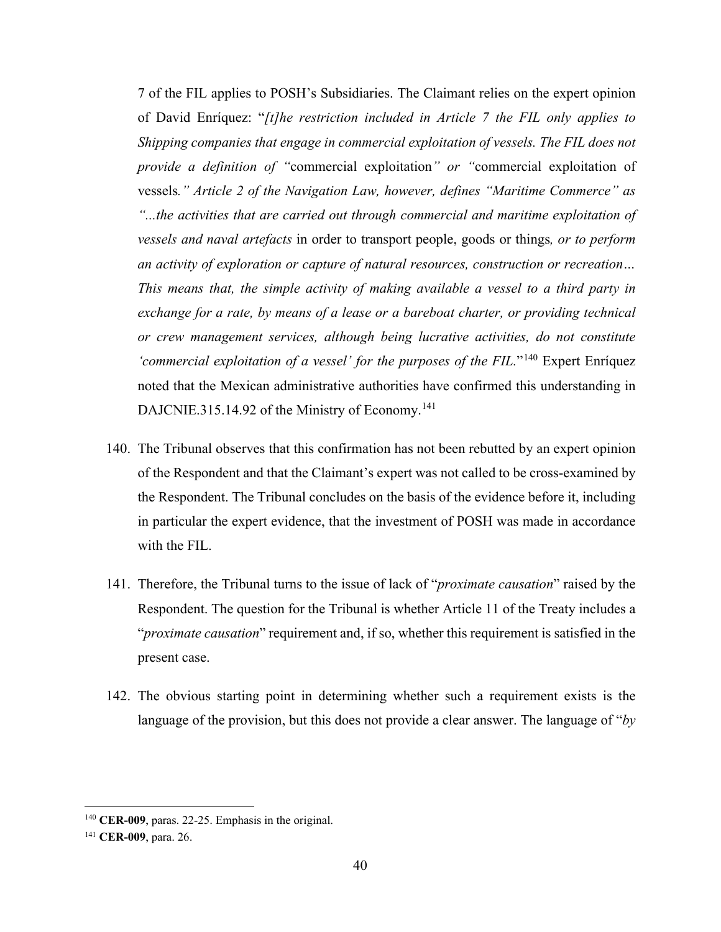7 of the FIL applies to POSH's Subsidiaries. The Claimant relies on the expert opinion of David Enríquez: "*[t]he restriction included in Article 7 the FIL only applies to Shipping companies that engage in commercial exploitation of vessels. The FIL does not provide a definition of "*commercial exploitation*" or "*commercial exploitation of vessels*." Article 2 of the Navigation Law, however, defines "Maritime Commerce" as "...the activities that are carried out through commercial and maritime exploitation of vessels and naval artefacts* in order to transport people, goods or things*, or to perform an activity of exploration or capture of natural resources, construction or recreation… This means that, the simple activity of making available a vessel to a third party in exchange for a rate, by means of a lease or a bareboat charter, or providing technical or crew management services, although being lucrative activities, do not constitute 'commercial exploitation of a vessel' for the purposes of the FIL.*"[140](#page-46-0) Expert Enríquez noted that the Mexican administrative authorities have confirmed this understanding in DAJCNIE.315.14.92 of the Ministry of Economy.<sup>[141](#page-46-1)</sup>

- 140. The Tribunal observes that this confirmation has not been rebutted by an expert opinion of the Respondent and that the Claimant's expert was not called to be cross-examined by the Respondent. The Tribunal concludes on the basis of the evidence before it, including in particular the expert evidence, that the investment of POSH was made in accordance with the FIL.
- 141. Therefore, the Tribunal turns to the issue of lack of "*proximate causation*" raised by the Respondent. The question for the Tribunal is whether Article 11 of the Treaty includes a "*proximate causation*" requirement and, if so, whether this requirement is satisfied in the present case.
- 142. The obvious starting point in determining whether such a requirement exists is the language of the provision, but this does not provide a clear answer. The language of "*by*

<span id="page-46-0"></span><sup>140</sup> **CER-009**, paras. 22-25. Emphasis in the original.

<span id="page-46-1"></span><sup>141</sup> **CER-009**, para. 26.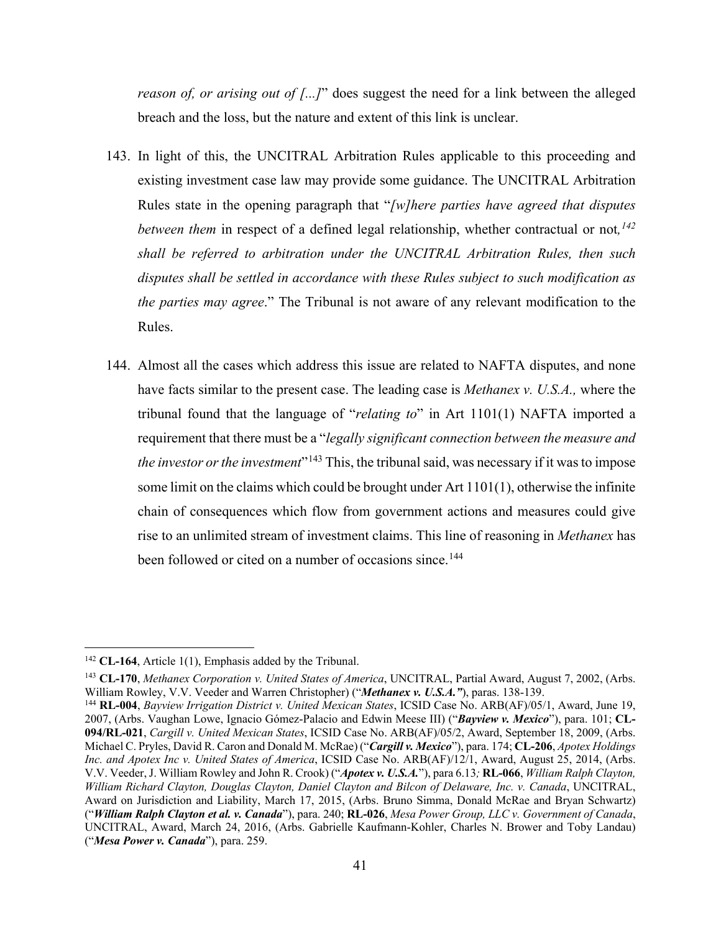*reason of, or arising out of [...]*" does suggest the need for a link between the alleged breach and the loss, but the nature and extent of this link is unclear.

- 143. In light of this, the UNCITRAL Arbitration Rules applicable to this proceeding and existing investment case law may provide some guidance. The UNCITRAL Arbitration Rules state in the opening paragraph that "*[w]here parties have agreed that disputes between them* in respect of a defined legal relationship, whether contractual or not*, [142](#page-47-0) shall be referred to arbitration under the UNCITRAL Arbitration Rules, then such disputes shall be settled in accordance with these Rules subject to such modification as the parties may agree*." The Tribunal is not aware of any relevant modification to the Rules.
- 144. Almost all the cases which address this issue are related to NAFTA disputes, and none have facts similar to the present case. The leading case is *Methanex v. U.S.A.,* where the tribunal found that the language of "*relating to*" in Art 1101(1) NAFTA imported a requirement that there must be a "*legally significant connection between the measure and the investor or the investment*"<sup>[143](#page-47-1)</sup> This, the tribunal said, was necessary if it was to impose some limit on the claims which could be brought under Art  $1101(1)$ , otherwise the infinite chain of consequences which flow from government actions and measures could give rise to an unlimited stream of investment claims. This line of reasoning in *Methanex* has been followed or cited on a number of occasions since.<sup>[144](#page-47-2)</sup>

<span id="page-47-0"></span><sup>142</sup> **CL-164**, Article 1(1), Emphasis added by the Tribunal.

<span id="page-47-1"></span><sup>143</sup> **CL-170**, *Methanex Corporation v. United States of America*, UNCITRAL, Partial Award, August 7, 2002, (Arbs. William Rowley, V.V. Veeder and Warren Christopher) ("*Methanex v. U.S.A."*), paras. 138-139.

<span id="page-47-2"></span><sup>144</sup> **RL-004**, *Bayview Irrigation District v. United Mexican States*, ICSID Case No. ARB(AF)/05/1, Award, June 19, 2007, (Arbs. Vaughan Lowe, Ignacio Gómez-Palacio and Edwin Meese III) ("*Bayview v. Mexico*"), para. 101; **CL-094/RL-021**, *Cargill v. United Mexican States*, ICSID Case No. ARB(AF)/05/2, Award, September 18, 2009, (Arbs. Michael C. Pryles, David R. Caron and Donald M. McRae) ("*Cargill v. Mexico*"), para. 174; **CL-206**, *Apotex Holdings Inc. and Apotex Inc v. United States of America*, ICSID Case No. ARB(AF)/12/1, Award, August 25, 2014, (Arbs. V.V. Veeder, J. William Rowley and John R. Crook) ("*Apotex v. U.S.A.*"), para 6.13*;* **RL-066**, *William Ralph Clayton, William Richard Clayton, Douglas Clayton, Daniel Clayton and Bilcon of Delaware, Inc. v. Canada*, UNCITRAL, Award on Jurisdiction and Liability, March 17, 2015, (Arbs. Bruno Simma, Donald McRae and Bryan Schwartz) ("*William Ralph Clayton et al. v. Canada*"), para. 240; **RL-026**, *Mesa Power Group, LLC v. Government of Canada*, UNCITRAL, Award, March 24, 2016, (Arbs. Gabrielle Kaufmann-Kohler, Charles N. Brower and Toby Landau) ("*Mesa Power v. Canada*"), para. 259.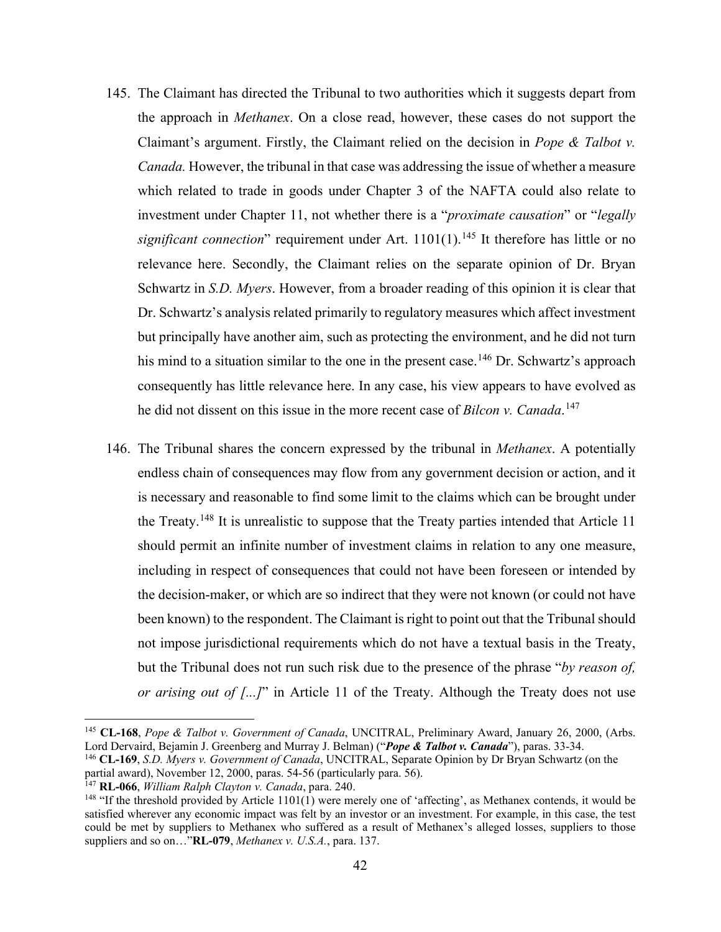- 145. The Claimant has directed the Tribunal to two authorities which it suggests depart from the approach in *Methanex*. On a close read, however, these cases do not support the Claimant's argument. Firstly, the Claimant relied on the decision in *Pope & Talbot v. Canada.* However, the tribunal in that case was addressing the issue of whether a measure which related to trade in goods under Chapter 3 of the NAFTA could also relate to investment under Chapter 11, not whether there is a "*proximate causation*" or "*legally significant connection*" requirement under Art.  $1101(1)$ .<sup>[145](#page-48-0)</sup> It therefore has little or no relevance here. Secondly, the Claimant relies on the separate opinion of Dr. Bryan Schwartz in *S.D. Myers*. However, from a broader reading of this opinion it is clear that Dr. Schwartz's analysis related primarily to regulatory measures which affect investment but principally have another aim, such as protecting the environment, and he did not turn his mind to a situation similar to the one in the present case.<sup>[146](#page-48-1)</sup> Dr. Schwartz's approach consequently has little relevance here. In any case, his view appears to have evolved as he did not dissent on this issue in the more recent case of *Bilcon v. Canada*. [147](#page-48-2)
- 146. The Tribunal shares the concern expressed by the tribunal in *Methanex*. A potentially endless chain of consequences may flow from any government decision or action, and it is necessary and reasonable to find some limit to the claims which can be brought under the Treaty.<sup>[148](#page-48-3)</sup> It is unrealistic to suppose that the Treaty parties intended that Article 11 should permit an infinite number of investment claims in relation to any one measure, including in respect of consequences that could not have been foreseen or intended by the decision-maker, or which are so indirect that they were not known (or could not have been known) to the respondent. The Claimant is right to point out that the Tribunal should not impose jurisdictional requirements which do not have a textual basis in the Treaty, but the Tribunal does not run such risk due to the presence of the phrase "*by reason of, or arising out of [...]*" in Article 11 of the Treaty. Although the Treaty does not use

<span id="page-48-1"></span><sup>146</sup> **CL-169**, *S.D. Myers v. Government of Canada*, UNCITRAL, Separate Opinion by Dr Bryan Schwartz (on the partial award), November 12, 2000, paras. 54-56 (particularly para. 56). 147 **RL-066**, *William Ralph Clayton v. Canada*, para. 240.

<span id="page-48-2"></span>

<span id="page-48-0"></span><sup>145</sup> **CL-168**, *Pope & Talbot v. Government of Canada*, UNCITRAL, Preliminary Award, January 26, 2000, (Arbs. Lord Dervaird, Bejamin J. Greenberg and Murray J. Belman) ("*Pope & Talbot v. Canada*"), paras. 33-34.

<span id="page-48-3"></span><sup>&</sup>lt;sup>148</sup> "If the threshold provided by Article 1101(1) were merely one of 'affecting', as Methanex contends, it would be satisfied wherever any economic impact was felt by an investor or an investment. For example, in this case, the test could be met by suppliers to Methanex who suffered as a result of Methanex's alleged losses, suppliers to those suppliers and so on…"**RL-079**, *Methanex v. U.S.A.*, para. 137.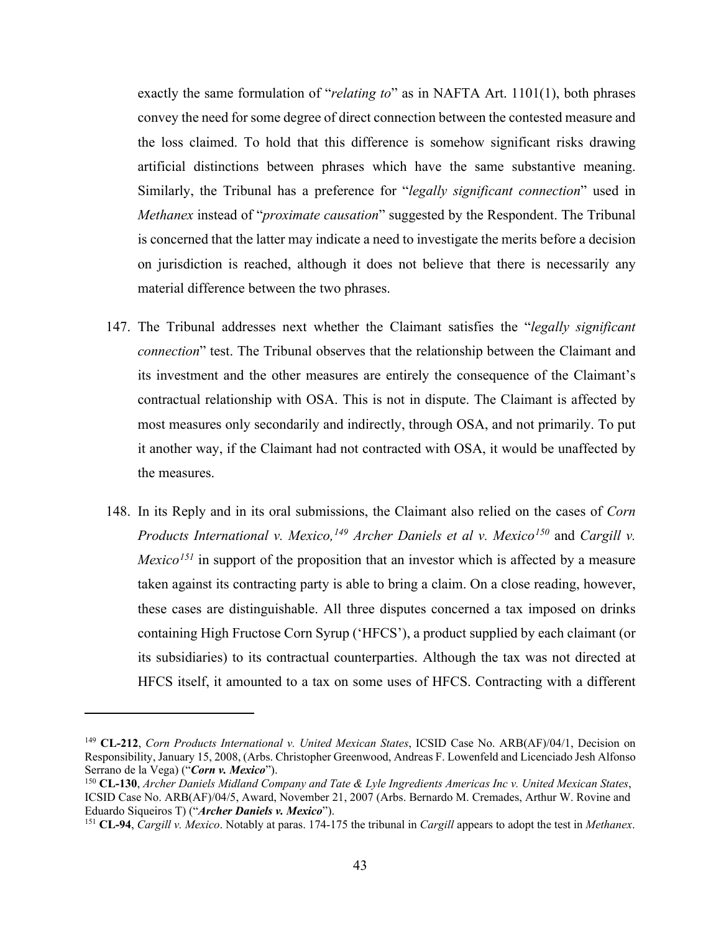exactly the same formulation of "*relating to*" as in NAFTA Art. 1101(1), both phrases convey the need for some degree of direct connection between the contested measure and the loss claimed. To hold that this difference is somehow significant risks drawing artificial distinctions between phrases which have the same substantive meaning. Similarly, the Tribunal has a preference for "*legally significant connection*" used in *Methanex* instead of "*proximate causation*" suggested by the Respondent. The Tribunal is concerned that the latter may indicate a need to investigate the merits before a decision on jurisdiction is reached, although it does not believe that there is necessarily any material difference between the two phrases.

- 147. The Tribunal addresses next whether the Claimant satisfies the "*legally significant connection*" test. The Tribunal observes that the relationship between the Claimant and its investment and the other measures are entirely the consequence of the Claimant's contractual relationship with OSA. This is not in dispute. The Claimant is affected by most measures only secondarily and indirectly, through OSA, and not primarily. To put it another way, if the Claimant had not contracted with OSA, it would be unaffected by the measures.
- 148. In its Reply and in its oral submissions, the Claimant also relied on the cases of *Corn Products International v. Mexico,[149](#page-49-0) Archer Daniels et al v. Mexico[150](#page-49-1)* and *Cargill v. Mexico[151](#page-49-2)* in support of the proposition that an investor which is affected by a measure taken against its contracting party is able to bring a claim. On a close reading, however, these cases are distinguishable. All three disputes concerned a tax imposed on drinks containing High Fructose Corn Syrup ('HFCS'), a product supplied by each claimant (or its subsidiaries) to its contractual counterparties. Although the tax was not directed at HFCS itself, it amounted to a tax on some uses of HFCS. Contracting with a different

<span id="page-49-0"></span><sup>149</sup> **CL-212**, *Corn Products International v. United Mexican States*, ICSID Case No. ARB(AF)/04/1, Decision on Responsibility, January 15, 2008, (Arbs. Christopher Greenwood, Andreas F. Lowenfeld and Licenciado Jesh Alfonso Serrano de la Vega) ("*Corn v. Mexico*").

<span id="page-49-1"></span><sup>150</sup> **CL-130**, *Archer Daniels Midland Company and Tate & Lyle Ingredients Americas Inc v. United Mexican States*, ICSID Case No. ARB(AF)/04/5, Award, November 21, 2007 (Arbs. Bernardo M. Cremades, Arthur W. Rovine and Eduardo Siqueiros T) ("*Archer Daniels v. Mexico*").<br><sup>151</sup> CL-94, *Cargill v. Mexico*. Notably at paras. 174-175 the tribunal in *Cargill* appears to adopt the test in *Methanex*.

<span id="page-49-2"></span>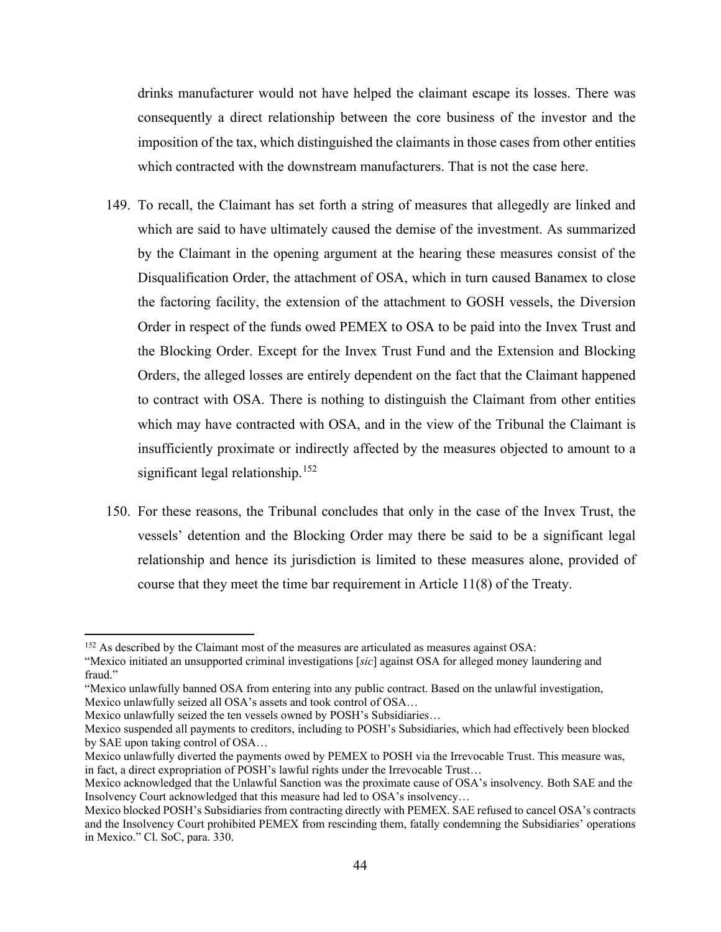drinks manufacturer would not have helped the claimant escape its losses. There was consequently a direct relationship between the core business of the investor and the imposition of the tax, which distinguished the claimants in those cases from other entities which contracted with the downstream manufacturers. That is not the case here.

- 149. To recall, the Claimant has set forth a string of measures that allegedly are linked and which are said to have ultimately caused the demise of the investment. As summarized by the Claimant in the opening argument at the hearing these measures consist of the Disqualification Order, the attachment of OSA, which in turn caused Banamex to close the factoring facility, the extension of the attachment to GOSH vessels, the Diversion Order in respect of the funds owed PEMEX to OSA to be paid into the Invex Trust and the Blocking Order. Except for the Invex Trust Fund and the Extension and Blocking Orders, the alleged losses are entirely dependent on the fact that the Claimant happened to contract with OSA. There is nothing to distinguish the Claimant from other entities which may have contracted with OSA, and in the view of the Tribunal the Claimant is insufficiently proximate or indirectly affected by the measures objected to amount to a significant legal relationship.<sup>[152](#page-50-0)</sup>
- 150. For these reasons, the Tribunal concludes that only in the case of the Invex Trust, the vessels' detention and the Blocking Order may there be said to be a significant legal relationship and hence its jurisdiction is limited to these measures alone, provided of course that they meet the time bar requirement in Article 11(8) of the Treaty.

<span id="page-50-0"></span><sup>&</sup>lt;sup>152</sup> As described by the Claimant most of the measures are articulated as measures against OSA:

<sup>&</sup>quot;Mexico initiated an unsupported criminal investigations [*sic*] against OSA for alleged money laundering and fraud."

<sup>&</sup>quot;Mexico unlawfully banned OSA from entering into any public contract. Based on the unlawful investigation, Mexico unlawfully seized all OSA's assets and took control of OSA…

Mexico unlawfully seized the ten vessels owned by POSH's Subsidiaries…

Mexico suspended all payments to creditors, including to POSH's Subsidiaries, which had effectively been blocked by SAE upon taking control of OSA…

Mexico unlawfully diverted the payments owed by PEMEX to POSH via the Irrevocable Trust. This measure was, in fact, a direct expropriation of POSH's lawful rights under the Irrevocable Trust…

Mexico acknowledged that the Unlawful Sanction was the proximate cause of OSA's insolvency*.* Both SAE and the Insolvency Court acknowledged that this measure had led to OSA's insolvency…

Mexico blocked POSH's Subsidiaries from contracting directly with PEMEX. SAE refused to cancel OSA's contracts and the Insolvency Court prohibited PEMEX from rescinding them, fatally condemning the Subsidiaries' operations in Mexico." Cl. SoC, para. 330.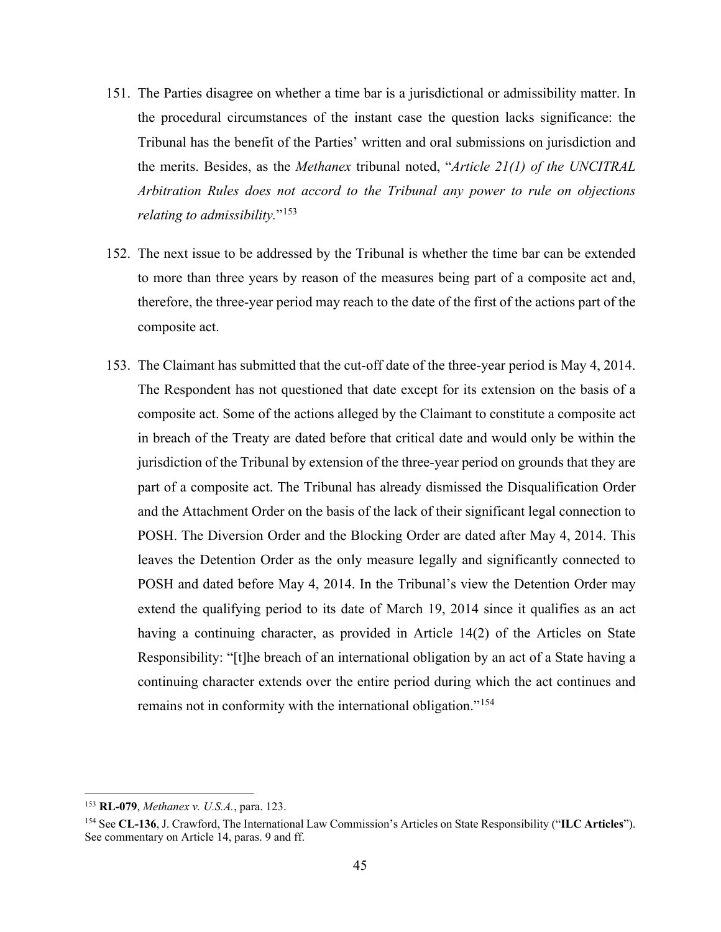- 151. The Parties disagree on whether a time bar is a jurisdictional or admissibility matter. In the procedural circumstances of the instant case the question lacks significance: the Tribunal has the benefit of the Parties' written and oral submissions on jurisdiction and the merits. Besides, as the *Methanex* tribunal noted, "*Article 21(1) of the UNCITRAL Arbitration Rules does not accord to the Tribunal any power to rule on objections relating to admissibility.*"[153](#page-51-0)
- 152. The next issue to be addressed by the Tribunal is whether the time bar can be extended to more than three years by reason of the measures being part of a composite act and, therefore, the three-year period may reach to the date of the first of the actions part of the composite act.
- 153. The Claimant has submitted that the cut-off date of the three-year period is May 4, 2014. The Respondent has not questioned that date except for its extension on the basis of a composite act. Some of the actions alleged by the Claimant to constitute a composite act in breach of the Treaty are dated before that critical date and would only be within the jurisdiction of the Tribunal by extension of the three-year period on grounds that they are part of a composite act. The Tribunal has already dismissed the Disqualification Order and the Attachment Order on the basis of the lack of their significant legal connection to POSH. The Diversion Order and the Blocking Order are dated after May 4, 2014. This leaves the Detention Order as the only measure legally and significantly connected to POSH and dated before May 4, 2014. In the Tribunal's view the Detention Order may extend the qualifying period to its date of March 19, 2014 since it qualifies as an act having a continuing character, as provided in Article 14(2) of the Articles on State Responsibility: "[t]he breach of an international obligation by an act of a State having a continuing character extends over the entire period during which the act continues and remains not in conformity with the international obligation."<sup>[154](#page-51-1)</sup>

<span id="page-51-0"></span><sup>153</sup> **RL-079**, *Methanex v. U.S.A.*, para. 123.

<span id="page-51-1"></span><sup>154</sup> See **CL-136**, J. Crawford, The International Law Commission's Articles on State Responsibility ("**ILC Articles**"). See commentary on Article 14, paras. 9 and ff.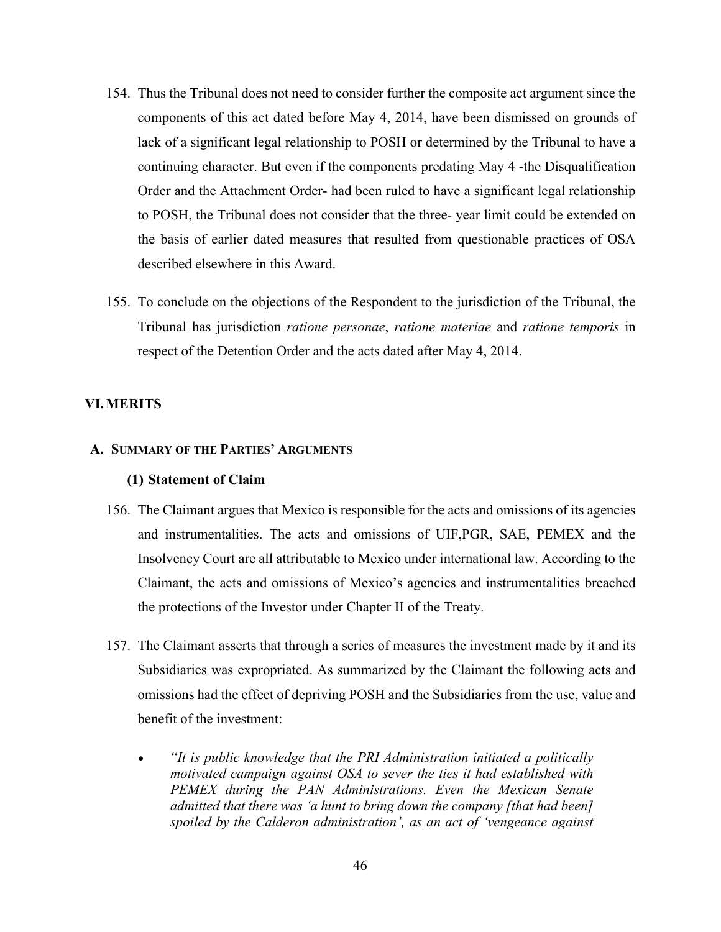- 154. Thus the Tribunal does not need to consider further the composite act argument since the components of this act dated before May 4, 2014, have been dismissed on grounds of lack of a significant legal relationship to POSH or determined by the Tribunal to have a continuing character. But even if the components predating May 4 -the Disqualification Order and the Attachment Order- had been ruled to have a significant legal relationship to POSH, the Tribunal does not consider that the three- year limit could be extended on the basis of earlier dated measures that resulted from questionable practices of OSA described elsewhere in this Award.
- 155. To conclude on the objections of the Respondent to the jurisdiction of the Tribunal, the Tribunal has jurisdiction *ratione personae*, *ratione materiae* and *ratione temporis* in respect of the Detention Order and the acts dated after May 4, 2014.

# **VI.MERITS**

# **A. SUMMARY OF THE PARTIES' ARGUMENTS**

### **(1) Statement of Claim**

- 156. The Claimant argues that Mexico is responsible for the acts and omissions of its agencies and instrumentalities. The acts and omissions of UIF,PGR, SAE, PEMEX and the Insolvency Court are all attributable to Mexico under international law. According to the Claimant, the acts and omissions of Mexico's agencies and instrumentalities breached the protections of the Investor under Chapter II of the Treaty.
- 157. The Claimant asserts that through a series of measures the investment made by it and its Subsidiaries was expropriated. As summarized by the Claimant the following acts and omissions had the effect of depriving POSH and the Subsidiaries from the use, value and benefit of the investment:
	- *"It is public knowledge that the PRI Administration initiated a politically motivated campaign against OSA to sever the ties it had established with PEMEX during the PAN Administrations. Even the Mexican Senate admitted that there was 'a hunt to bring down the company [that had been] spoiled by the Calderon administration', as an act of 'vengeance against*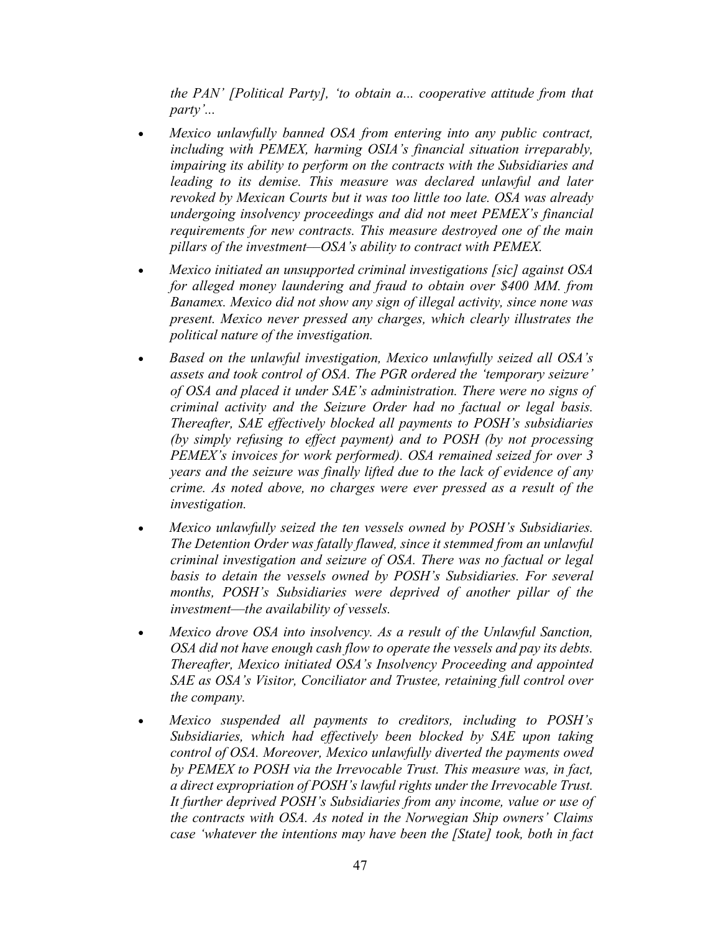*the PAN' [Political Party], 'to obtain a... cooperative attitude from that party'...*

- *Mexico unlawfully banned OSA from entering into any public contract, including with PEMEX, harming OSIA's financial situation irreparably, impairing its ability to perform on the contracts with the Subsidiaries and*  leading to its demise. This measure was declared unlawful and later *revoked by Mexican Courts but it was too little too late. OSA was already undergoing insolvency proceedings and did not meet PEMEX's financial requirements for new contracts. This measure destroyed one of the main pillars of the investment––OSA's ability to contract with PEMEX.*
- *Mexico initiated an unsupported criminal investigations [sic] against OSA for alleged money laundering and fraud to obtain over \$400 MM. from Banamex. Mexico did not show any sign of illegal activity, since none was present. Mexico never pressed any charges, which clearly illustrates the political nature of the investigation.*
- *Based on the unlawful investigation, Mexico unlawfully seized all OSA's assets and took control of OSA. The PGR ordered the 'temporary seizure' of OSA and placed it under SAE's administration. There were no signs of criminal activity and the Seizure Order had no factual or legal basis. Thereafter, SAE effectively blocked all payments to POSH's subsidiaries (by simply refusing to effect payment) and to POSH (by not processing PEMEX's invoices for work performed). OSA remained seized for over 3 years and the seizure was finally lifted due to the lack of evidence of any crime. As noted above, no charges were ever pressed as a result of the investigation.*
- *Mexico unlawfully seized the ten vessels owned by POSH's Subsidiaries. The Detention Order was fatally flawed, since it stemmed from an unlawful criminal investigation and seizure of OSA. There was no factual or legal basis to detain the vessels owned by POSH's Subsidiaries. For several months, POSH's Subsidiaries were deprived of another pillar of the investment––the availability of vessels.*
- *Mexico drove OSA into insolvency. As a result of the Unlawful Sanction, OSA did not have enough cash flow to operate the vessels and pay its debts. Thereafter, Mexico initiated OSA's Insolvency Proceeding and appointed SAE as OSA's Visitor, Conciliator and Trustee, retaining full control over the company.*
- *Mexico suspended all payments to creditors, including to POSH's Subsidiaries, which had effectively been blocked by SAE upon taking control of OSA. Moreover, Mexico unlawfully diverted the payments owed by PEMEX to POSH via the Irrevocable Trust. This measure was, in fact, a direct expropriation of POSH's lawful rights under the Irrevocable Trust. It further deprived POSH's Subsidiaries from any income, value or use of the contracts with OSA. As noted in the Norwegian Ship owners' Claims case 'whatever the intentions may have been the [State] took, both in fact*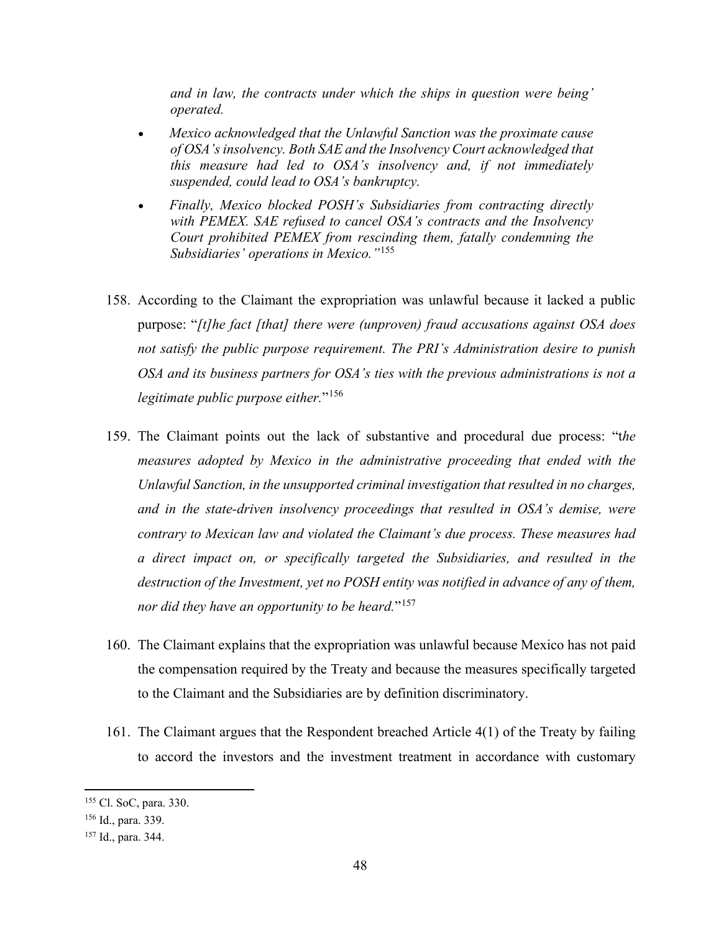*and in law, the contracts under which the ships in question were being' operated.*

- *Mexico acknowledged that the Unlawful Sanction was the proximate cause of OSA's insolvency. Both SAE and the Insolvency Court acknowledged that this measure had led to OSA's insolvency and, if not immediately suspended, could lead to OSA's bankruptcy.*
- *Finally, Mexico blocked POSH's Subsidiaries from contracting directly with PEMEX. SAE refused to cancel OSA's contracts and the Insolvency Court prohibited PEMEX from rescinding them, fatally condemning the Subsidiaries' operations in Mexico."*[155](#page-54-0)
- 158. According to the Claimant the expropriation was unlawful because it lacked a public purpose: "*[t]he fact [that] there were (unproven) fraud accusations against OSA does not satisfy the public purpose requirement. The PRI's Administration desire to punish OSA and its business partners for OSA's ties with the previous administrations is not a legitimate public purpose either.*"[156](#page-54-1)
- 159. The Claimant points out the lack of substantive and procedural due process: "t*he measures adopted by Mexico in the administrative proceeding that ended with the Unlawful Sanction, in the unsupported criminal investigation that resulted in no charges, and in the state-driven insolvency proceedings that resulted in OSA's demise, were contrary to Mexican law and violated the Claimant's due process. These measures had a direct impact on, or specifically targeted the Subsidiaries, and resulted in the destruction of the Investment, yet no POSH entity was notified in advance of any of them, nor did they have an opportunity to be heard.*"[157](#page-54-2)
- 160. The Claimant explains that the expropriation was unlawful because Mexico has not paid the compensation required by the Treaty and because the measures specifically targeted to the Claimant and the Subsidiaries are by definition discriminatory.
- 161. The Claimant argues that the Respondent breached Article 4(1) of the Treaty by failing to accord the investors and the investment treatment in accordance with customary

<span id="page-54-0"></span><sup>155</sup> Cl. SoC, para. 330.

<span id="page-54-1"></span><sup>156</sup> Id., para. 339.

<span id="page-54-2"></span><sup>157</sup> Id., para. 344.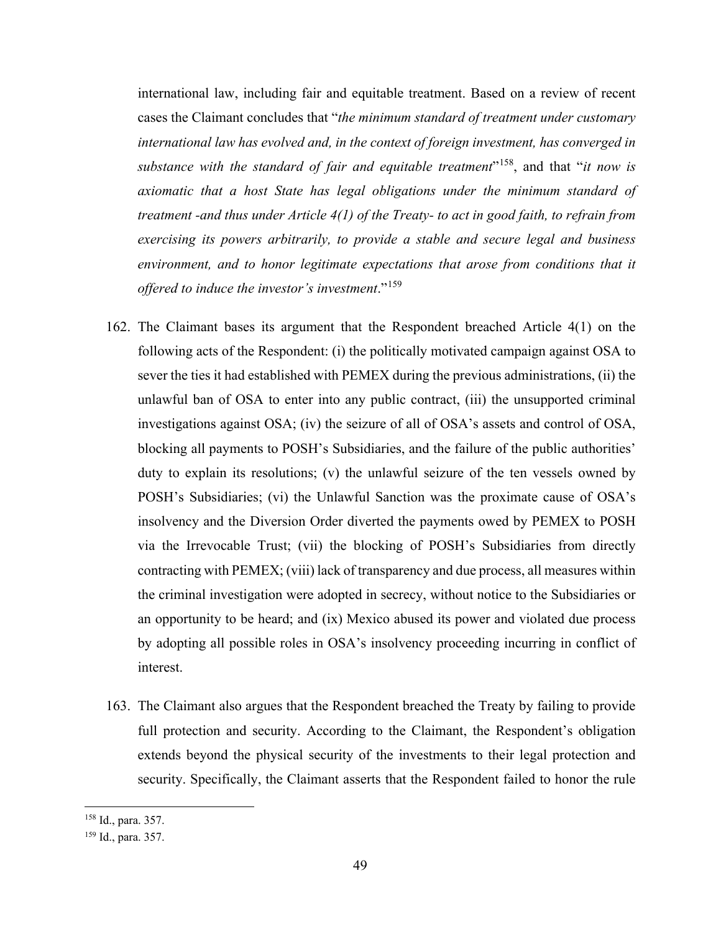international law, including fair and equitable treatment. Based on a review of recent cases the Claimant concludes that "*the minimum standard of treatment under customary international law has evolved and, in the context of foreign investment, has converged in substance with the standard of fair and equitable treatment*"[158](#page-55-0), and that "*it now is axiomatic that a host State has legal obligations under the minimum standard of treatment -and thus under Article 4(1) of the Treaty- to act in good faith, to refrain from exercising its powers arbitrarily, to provide a stable and secure legal and business environment, and to honor legitimate expectations that arose from conditions that it offered to induce the investor's investment*."[159](#page-55-1)

- 162. The Claimant bases its argument that the Respondent breached Article 4(1) on the following acts of the Respondent: (i) the politically motivated campaign against OSA to sever the ties it had established with PEMEX during the previous administrations, (ii) the unlawful ban of OSA to enter into any public contract, (iii) the unsupported criminal investigations against OSA; (iv) the seizure of all of OSA's assets and control of OSA, blocking all payments to POSH's Subsidiaries, and the failure of the public authorities' duty to explain its resolutions; (v) the unlawful seizure of the ten vessels owned by POSH's Subsidiaries; (vi) the Unlawful Sanction was the proximate cause of OSA's insolvency and the Diversion Order diverted the payments owed by PEMEX to POSH via the Irrevocable Trust; (vii) the blocking of POSH's Subsidiaries from directly contracting with PEMEX; (viii) lack of transparency and due process, all measures within the criminal investigation were adopted in secrecy, without notice to the Subsidiaries or an opportunity to be heard; and (ix) Mexico abused its power and violated due process by adopting all possible roles in OSA's insolvency proceeding incurring in conflict of interest.
- 163. The Claimant also argues that the Respondent breached the Treaty by failing to provide full protection and security. According to the Claimant, the Respondent's obligation extends beyond the physical security of the investments to their legal protection and security. Specifically, the Claimant asserts that the Respondent failed to honor the rule

<span id="page-55-0"></span><sup>158</sup> Id., para. 357.

<span id="page-55-1"></span><sup>159</sup> Id., para. 357.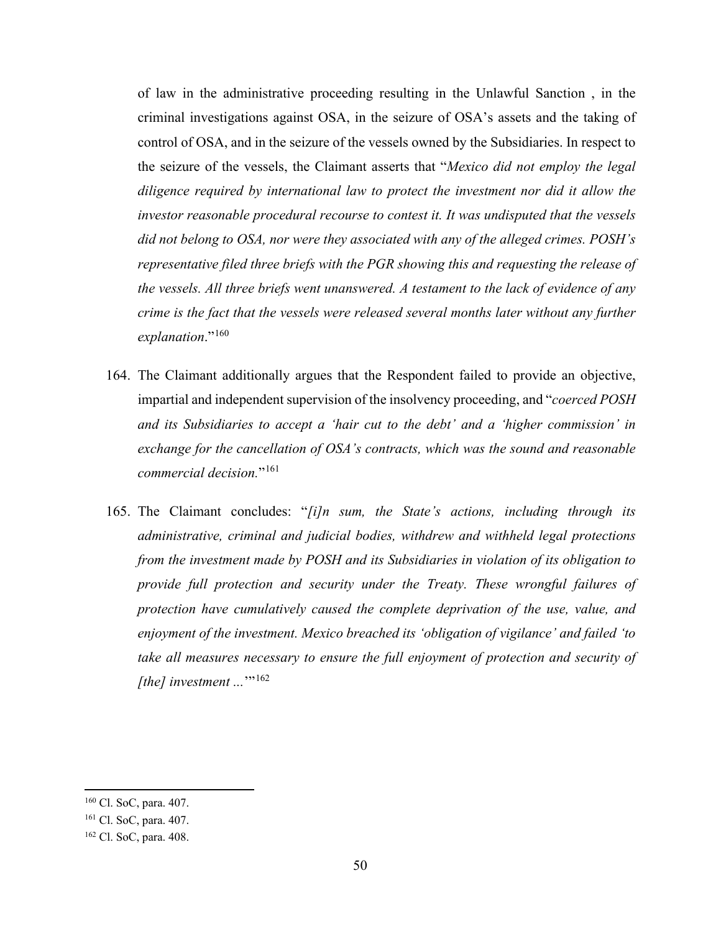of law in the administrative proceeding resulting in the Unlawful Sanction , in the criminal investigations against OSA, in the seizure of OSA's assets and the taking of control of OSA, and in the seizure of the vessels owned by the Subsidiaries. In respect to the seizure of the vessels, the Claimant asserts that "*Mexico did not employ the legal diligence required by international law to protect the investment nor did it allow the investor reasonable procedural recourse to contest it. It was undisputed that the vessels did not belong to OSA, nor were they associated with any of the alleged crimes. POSH's representative filed three briefs with the PGR showing this and requesting the release of the vessels. All three briefs went unanswered. A testament to the lack of evidence of any crime is the fact that the vessels were released several months later without any further explanation*."[160](#page-56-0)

- 164. The Claimant additionally argues that the Respondent failed to provide an objective, impartial and independent supervision of the insolvency proceeding, and "*coerced POSH and its Subsidiaries to accept a 'hair cut to the debt' and a 'higher commission' in exchange for the cancellation of OSA's contracts, which was the sound and reasonable commercial decision.*"[161](#page-56-1)
- 165. The Claimant concludes: "*[i]n sum, the State's actions, including through its administrative, criminal and judicial bodies, withdrew and withheld legal protections from the investment made by POSH and its Subsidiaries in violation of its obligation to provide full protection and security under the Treaty. These wrongful failures of protection have cumulatively caused the complete deprivation of the use, value, and enjoyment of the investment. Mexico breached its 'obligation of vigilance' and failed 'to take all measures necessary to ensure the full enjoyment of protection and security of [the] investment ...*'"<sup>[162](#page-56-2)</sup>

<span id="page-56-0"></span><sup>160</sup> Cl. SoC, para. 407.

<span id="page-56-1"></span><sup>161</sup> Cl. SoC, para. 407.

<span id="page-56-2"></span><sup>162</sup> Cl. SoC, para. 408.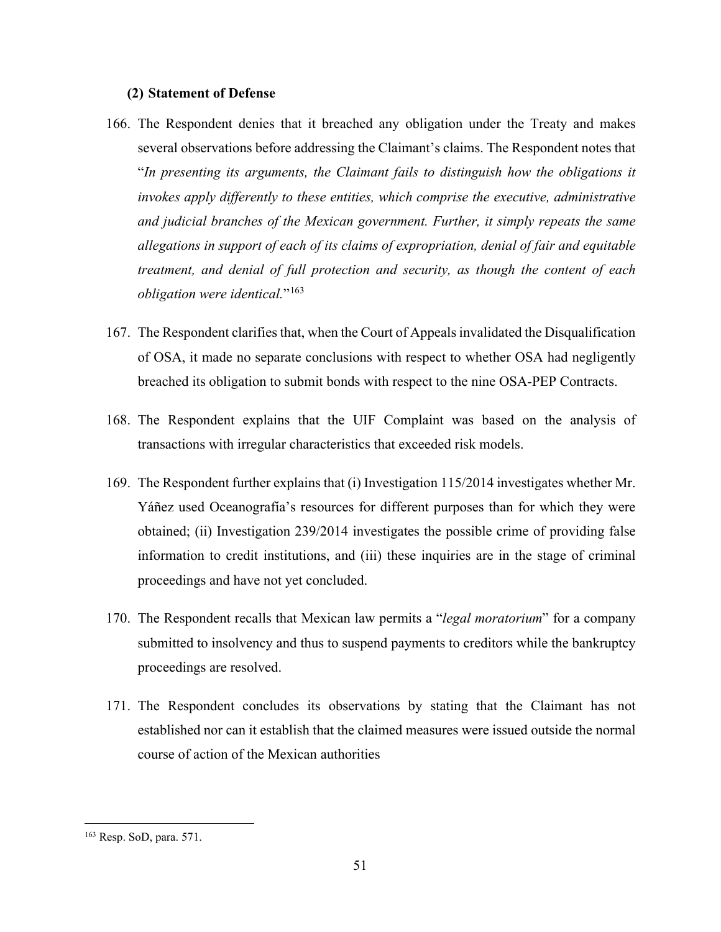### **(2) Statement of Defense**

- 166. The Respondent denies that it breached any obligation under the Treaty and makes several observations before addressing the Claimant's claims. The Respondent notes that "*In presenting its arguments, the Claimant fails to distinguish how the obligations it invokes apply differently to these entities, which comprise the executive, administrative and judicial branches of the Mexican government. Further, it simply repeats the same allegations in support of each of its claims of expropriation, denial of fair and equitable treatment, and denial of full protection and security, as though the content of each obligation were identical.*"[163](#page-57-0)
- 167. The Respondent clarifies that, when the Court of Appeals invalidated the Disqualification of OSA, it made no separate conclusions with respect to whether OSA had negligently breached its obligation to submit bonds with respect to the nine OSA-PEP Contracts.
- 168. The Respondent explains that the UIF Complaint was based on the analysis of transactions with irregular characteristics that exceeded risk models.
- 169. The Respondent further explains that (i) Investigation 115/2014 investigates whether Mr. Yáñez used Oceanografía's resources for different purposes than for which they were obtained; (ii) Investigation 239/2014 investigates the possible crime of providing false information to credit institutions, and (iii) these inquiries are in the stage of criminal proceedings and have not yet concluded.
- 170. The Respondent recalls that Mexican law permits a "*legal moratorium*" for a company submitted to insolvency and thus to suspend payments to creditors while the bankruptcy proceedings are resolved.
- 171. The Respondent concludes its observations by stating that the Claimant has not established nor can it establish that the claimed measures were issued outside the normal course of action of the Mexican authorities

<span id="page-57-0"></span><sup>163</sup> Resp. SoD, para. 571.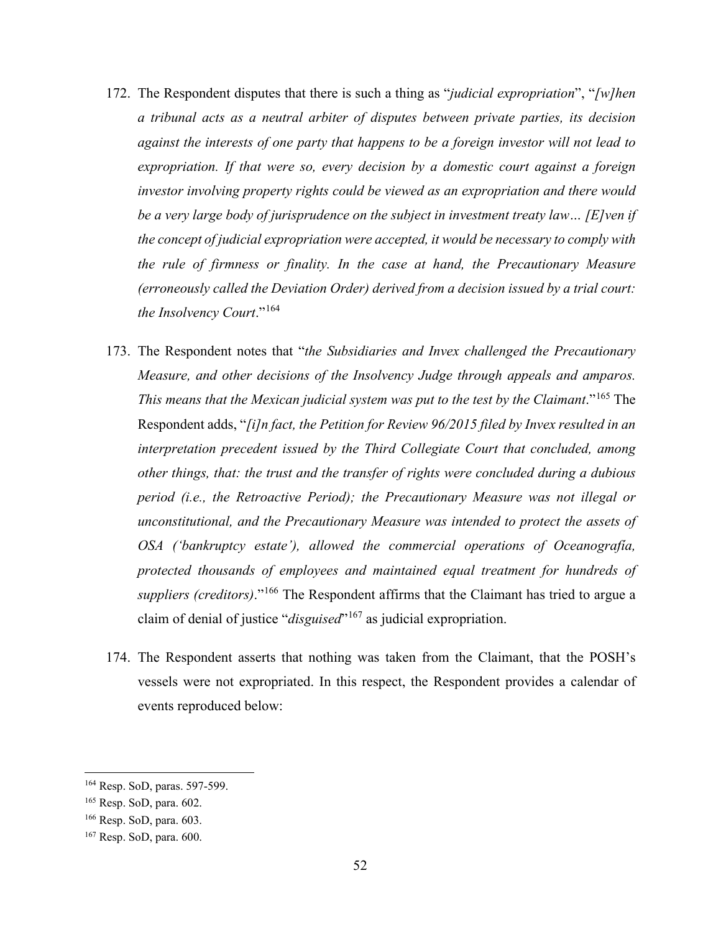- 172. The Respondent disputes that there is such a thing as "*judicial expropriation*", "*[w]hen a tribunal acts as a neutral arbiter of disputes between private parties, its decision against the interests of one party that happens to be a foreign investor will not lead to expropriation. If that were so, every decision by a domestic court against a foreign investor involving property rights could be viewed as an expropriation and there would be a very large body of jurisprudence on the subject in investment treaty law… [E]ven if the concept of judicial expropriation were accepted, it would be necessary to comply with the rule of firmness or finality. In the case at hand, the Precautionary Measure (erroneously called the Deviation Order) derived from a decision issued by a trial court: the Insolvency Court*."[164](#page-58-0)
- 173. The Respondent notes that "*the Subsidiaries and Invex challenged the Precautionary Measure, and other decisions of the Insolvency Judge through appeals and amparos. This means that the Mexican judicial system was put to the test by the Claimant.*"<sup>[165](#page-58-1)</sup> The Respondent adds, "*[i]n fact, the Petition for Review 96/2015 filed by Invex resulted in an interpretation precedent issued by the Third Collegiate Court that concluded, among other things, that: the trust and the transfer of rights were concluded during a dubious period (i.e., the Retroactive Period); the Precautionary Measure was not illegal or unconstitutional, and the Precautionary Measure was intended to protect the assets of OSA ('bankruptcy estate'), allowed the commercial operations of Oceanografía, protected thousands of employees and maintained equal treatment for hundreds of suppliers (creditors)*."[166](#page-58-2) The Respondent affirms that the Claimant has tried to argue a claim of denial of justice "*disguised*"[167](#page-58-3) as judicial expropriation.
- 174. The Respondent asserts that nothing was taken from the Claimant, that the POSH's vessels were not expropriated. In this respect, the Respondent provides a calendar of events reproduced below:

<span id="page-58-0"></span><sup>164</sup> Resp. SoD, paras. 597-599.

<span id="page-58-1"></span><sup>165</sup> Resp. SoD, para. 602.

<span id="page-58-2"></span><sup>166</sup> Resp. SoD, para. 603.

<span id="page-58-3"></span><sup>167</sup> Resp. SoD, para. 600.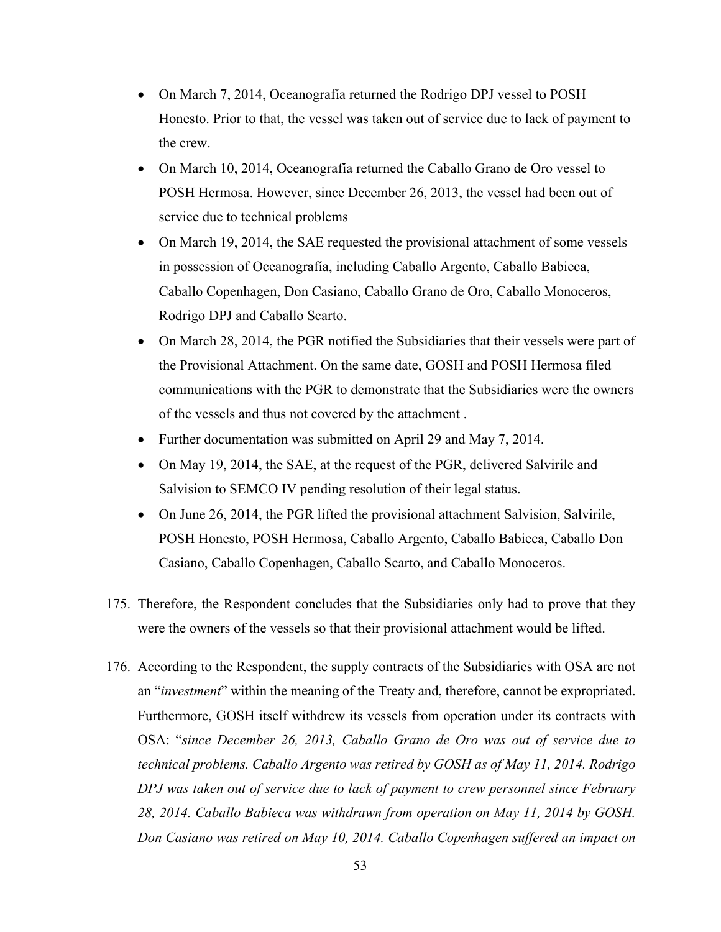- On March 7, 2014, Oceanografía returned the Rodrigo DPJ vessel to POSH Honesto. Prior to that, the vessel was taken out of service due to lack of payment to the crew.
- On March 10, 2014, Oceanografía returned the Caballo Grano de Oro vessel to POSH Hermosa. However, since December 26, 2013, the vessel had been out of service due to technical problems
- On March 19, 2014, the SAE requested the provisional attachment of some vessels in possession of Oceanografía, including Caballo Argento, Caballo Babieca, Caballo Copenhagen, Don Casiano, Caballo Grano de Oro, Caballo Monoceros, Rodrigo DPJ and Caballo Scarto.
- On March 28, 2014, the PGR notified the Subsidiaries that their vessels were part of the Provisional Attachment. On the same date, GOSH and POSH Hermosa filed communications with the PGR to demonstrate that the Subsidiaries were the owners of the vessels and thus not covered by the attachment .
- Further documentation was submitted on April 29 and May 7, 2014.
- On May 19, 2014, the SAE, at the request of the PGR, delivered Salvirile and Salvision to SEMCO IV pending resolution of their legal status.
- On June 26, 2014, the PGR lifted the provisional attachment Salvision, Salvirile, POSH Honesto, POSH Hermosa, Caballo Argento, Caballo Babieca, Caballo Don Casiano, Caballo Copenhagen, Caballo Scarto, and Caballo Monoceros.
- 175. Therefore, the Respondent concludes that the Subsidiaries only had to prove that they were the owners of the vessels so that their provisional attachment would be lifted.
- 176. According to the Respondent, the supply contracts of the Subsidiaries with OSA are not an "*investment*" within the meaning of the Treaty and, therefore, cannot be expropriated. Furthermore, GOSH itself withdrew its vessels from operation under its contracts with OSA: "*since December 26, 2013, Caballo Grano de Oro was out of service due to technical problems. Caballo Argento was retired by GOSH as of May 11, 2014. Rodrigo DPJ was taken out of service due to lack of payment to crew personnel since February 28, 2014. Caballo Babieca was withdrawn from operation on May 11, 2014 by GOSH. Don Casiano was retired on May 10, 2014. Caballo Copenhagen suffered an impact on*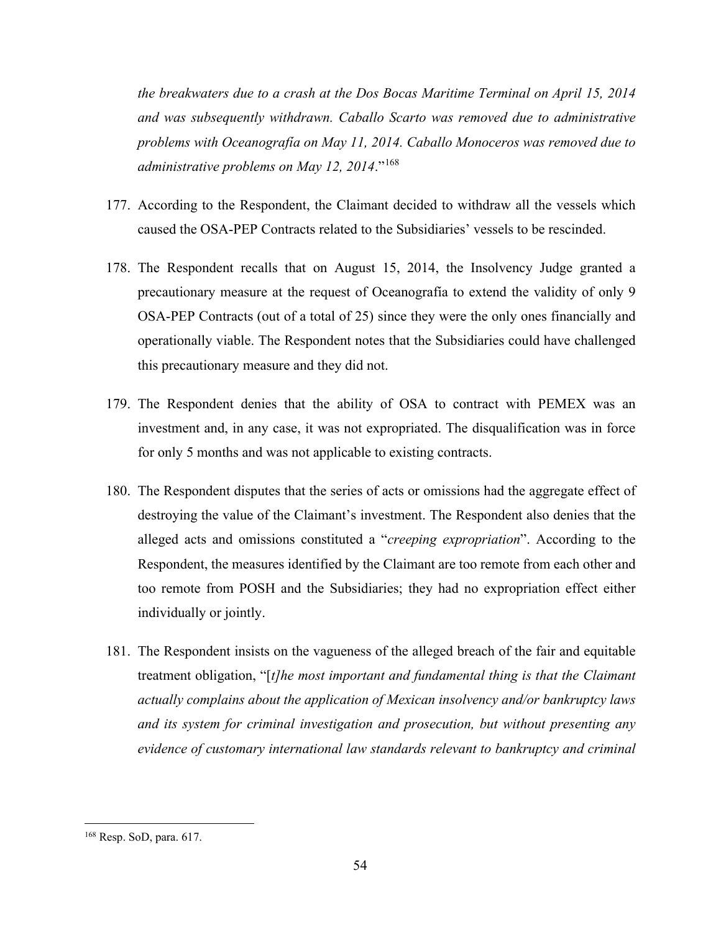*the breakwaters due to a crash at the Dos Bocas Maritime Terminal on April 15, 2014 and was subsequently withdrawn. Caballo Scarto was removed due to administrative problems with Oceanografía on May 11, 2014. Caballo Monoceros was removed due to administrative problems on May 12, 2014*."[168](#page-60-0)

- 177. According to the Respondent, the Claimant decided to withdraw all the vessels which caused the OSA-PEP Contracts related to the Subsidiaries' vessels to be rescinded.
- 178. The Respondent recalls that on August 15, 2014, the Insolvency Judge granted a precautionary measure at the request of Oceanografía to extend the validity of only 9 OSA-PEP Contracts (out of a total of 25) since they were the only ones financially and operationally viable. The Respondent notes that the Subsidiaries could have challenged this precautionary measure and they did not.
- 179. The Respondent denies that the ability of OSA to contract with PEMEX was an investment and, in any case, it was not expropriated. The disqualification was in force for only 5 months and was not applicable to existing contracts.
- 180. The Respondent disputes that the series of acts or omissions had the aggregate effect of destroying the value of the Claimant's investment. The Respondent also denies that the alleged acts and omissions constituted a "*creeping expropriation*". According to the Respondent, the measures identified by the Claimant are too remote from each other and too remote from POSH and the Subsidiaries; they had no expropriation effect either individually or jointly.
- 181. The Respondent insists on the vagueness of the alleged breach of the fair and equitable treatment obligation, "[*t]he most important and fundamental thing is that the Claimant actually complains about the application of Mexican insolvency and/or bankruptcy laws and its system for criminal investigation and prosecution, but without presenting any evidence of customary international law standards relevant to bankruptcy and criminal*

<span id="page-60-0"></span><sup>168</sup> Resp. SoD, para. 617.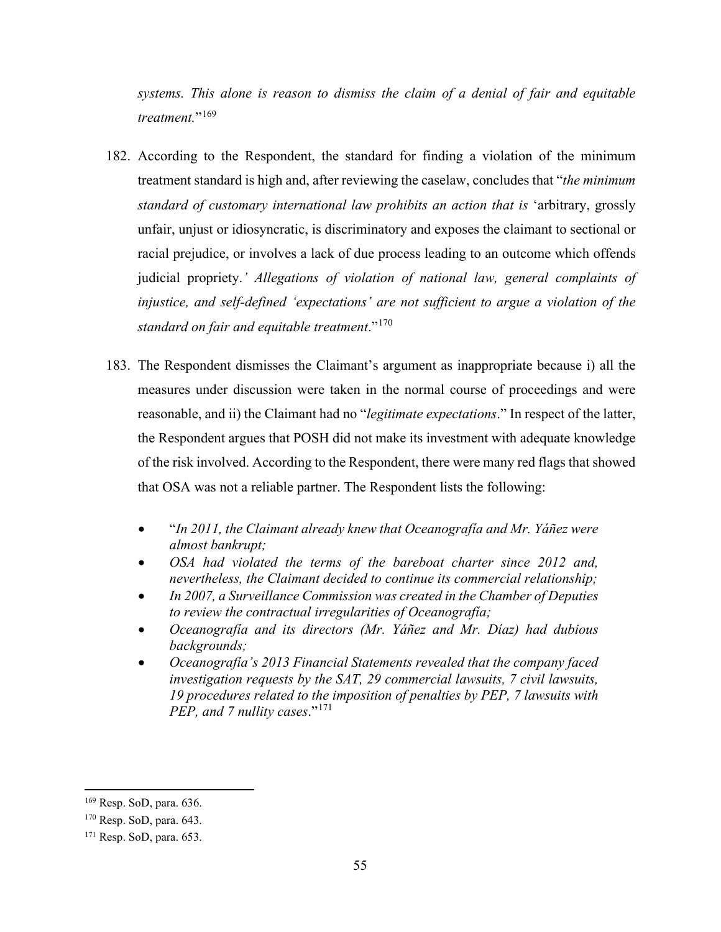*systems. This alone is reason to dismiss the claim of a denial of fair and equitable treatment.*"[169](#page-61-0)

- 182. According to the Respondent, the standard for finding a violation of the minimum treatment standard is high and, after reviewing the caselaw, concludes that "*the minimum standard of customary international law prohibits an action that is* 'arbitrary, grossly unfair, unjust or idiosyncratic, is discriminatory and exposes the claimant to sectional or racial prejudice, or involves a lack of due process leading to an outcome which offends judicial propriety.*' Allegations of violation of national law, general complaints of injustice, and self-defined 'expectations' are not sufficient to argue a violation of the standard on fair and equitable treatment*."[170](#page-61-1)
- 183. The Respondent dismisses the Claimant's argument as inappropriate because i) all the measures under discussion were taken in the normal course of proceedings and were reasonable, and ii) the Claimant had no "*legitimate expectations*." In respect of the latter, the Respondent argues that POSH did not make its investment with adequate knowledge of the risk involved. According to the Respondent, there were many red flags that showed that OSA was not a reliable partner. The Respondent lists the following:
	- "*In 2011, the Claimant already knew that Oceanografía and Mr. Yáñez were almost bankrupt;*
	- *OSA had violated the terms of the bareboat charter since 2012 and, nevertheless, the Claimant decided to continue its commercial relationship;*
	- *In 2007, a Surveillance Commission was created in the Chamber of Deputies to review the contractual irregularities of Oceanografía;*
	- *Oceanografía and its directors (Mr. Yáñez and Mr. Díaz) had dubious backgrounds;*
	- *Oceanografía's 2013 Financial Statements revealed that the company faced investigation requests by the SAT, 29 commercial lawsuits, 7 civil lawsuits, 19 procedures related to the imposition of penalties by PEP, 7 lawsuits with PEP, and 7 nullity cases.*"<sup>[171](#page-61-2)</sup>

<span id="page-61-0"></span><sup>169</sup> Resp. SoD, para. 636.

<span id="page-61-1"></span><sup>170</sup> Resp. SoD, para. 643.

<span id="page-61-2"></span><sup>171</sup> Resp. SoD, para. 653.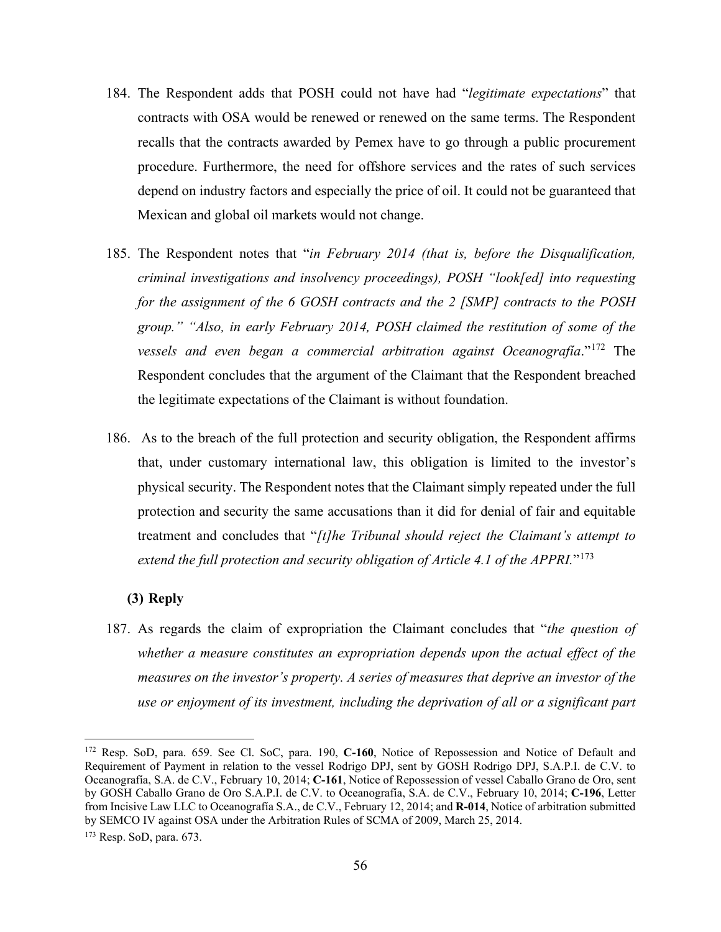- 184. The Respondent adds that POSH could not have had "*legitimate expectations*" that contracts with OSA would be renewed or renewed on the same terms. The Respondent recalls that the contracts awarded by Pemex have to go through a public procurement procedure. Furthermore, the need for offshore services and the rates of such services depend on industry factors and especially the price of oil. It could not be guaranteed that Mexican and global oil markets would not change.
- 185. The Respondent notes that "*in February 2014 (that is, before the Disqualification, criminal investigations and insolvency proceedings), POSH "look[ed] into requesting for the assignment of the 6 GOSH contracts and the 2 [SMP] contracts to the POSH group." "Also, in early February 2014, POSH claimed the restitution of some of the vessels and even began a commercial arbitration against Oceanografía*."[172](#page-62-0) The Respondent concludes that the argument of the Claimant that the Respondent breached the legitimate expectations of the Claimant is without foundation.
- 186. As to the breach of the full protection and security obligation, the Respondent affirms that, under customary international law, this obligation is limited to the investor's physical security. The Respondent notes that the Claimant simply repeated under the full protection and security the same accusations than it did for denial of fair and equitable treatment and concludes that "*[t]he Tribunal should reject the Claimant's attempt to extend the full protection and security obligation of Article 4.1 of the APPRI.*"[173](#page-62-1)

### **(3) Reply**

187. As regards the claim of expropriation the Claimant concludes that "*the question of whether a measure constitutes an expropriation depends upon the actual effect of the measures on the investor's property. A series of measures that deprive an investor of the use or enjoyment of its investment, including the deprivation of all or a significant part* 

<span id="page-62-0"></span><sup>172</sup> Resp. SoD, para. 659. See Cl. SoC, para. 190, **C-160**, Notice of Repossession and Notice of Default and Requirement of Payment in relation to the vessel Rodrigo DPJ, sent by GOSH Rodrigo DPJ, S.A.P.I. de C.V. to Oceanografía, S.A. de C.V., February 10, 2014; **C-161**, Notice of Repossession of vessel Caballo Grano de Oro, sent by GOSH Caballo Grano de Oro S.A.P.I. de C.V. to Oceanografía, S.A. de C.V., February 10, 2014; **C-196**, Letter from Incisive Law LLC to Oceanografía S.A., de C.V., February 12, 2014; and **R-014**, Notice of arbitration submitted by SEMCO IV against OSA under the Arbitration Rules of SCMA of 2009, March 25, 2014.

<span id="page-62-1"></span><sup>173</sup> Resp. SoD, para. 673.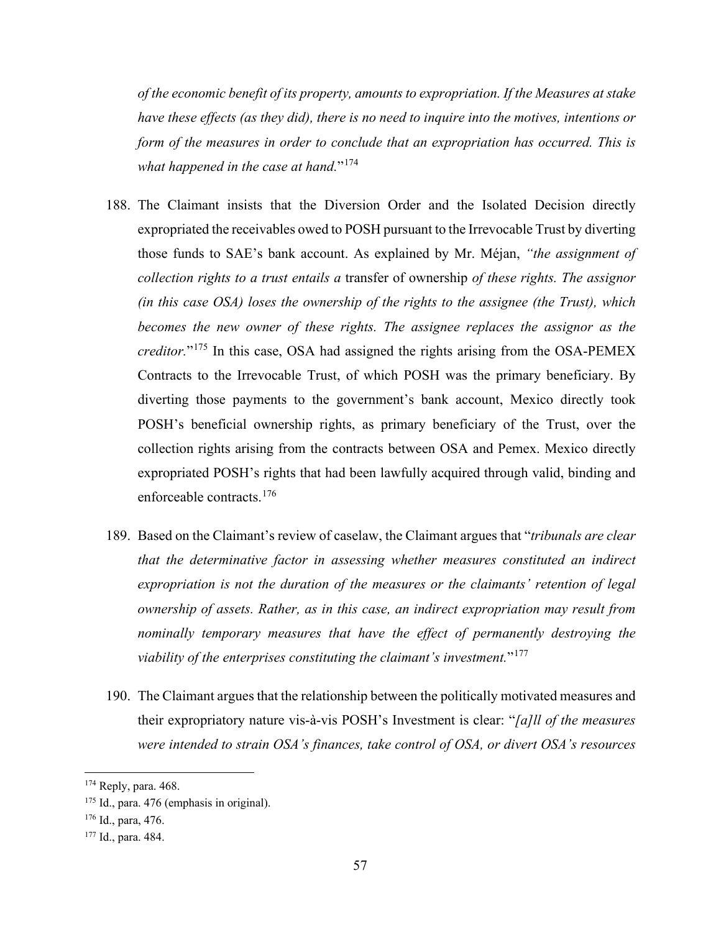*of the economic benefit of its property, amounts to expropriation. If the Measures at stake have these effects (as they did), there is no need to inquire into the motives, intentions or form of the measures in order to conclude that an expropriation has occurred. This is* what happened in the case at hand."<sup>[174](#page-63-0)</sup>

- 188. The Claimant insists that the Diversion Order and the Isolated Decision directly expropriated the receivables owed to POSH pursuant to the Irrevocable Trust by diverting those funds to SAE's bank account. As explained by Mr. Méjan, *"the assignment of collection rights to a trust entails a* transfer of ownership *of these rights. The assignor (in this case OSA) loses the ownership of the rights to the assignee (the Trust), which becomes the new owner of these rights. The assignee replaces the assignor as the creditor.*"[175](#page-63-1) In this case, OSA had assigned the rights arising from the OSA-PEMEX Contracts to the Irrevocable Trust, of which POSH was the primary beneficiary. By diverting those payments to the government's bank account, Mexico directly took POSH's beneficial ownership rights, as primary beneficiary of the Trust, over the collection rights arising from the contracts between OSA and Pemex. Mexico directly expropriated POSH's rights that had been lawfully acquired through valid, binding and enforceable contracts.<sup>[176](#page-63-2)</sup>
- 189. Based on the Claimant's review of caselaw, the Claimant argues that "*tribunals are clear that the determinative factor in assessing whether measures constituted an indirect expropriation is not the duration of the measures or the claimants' retention of legal ownership of assets. Rather, as in this case, an indirect expropriation may result from nominally temporary measures that have the effect of permanently destroying the viability of the enterprises constituting the claimant's investment.*"[177](#page-63-3)
- 190. The Claimant argues that the relationship between the politically motivated measures and their expropriatory nature vis-à-vis POSH's Investment is clear: "*[a]ll of the measures were intended to strain OSA's finances, take control of OSA, or divert OSA's resources*

<span id="page-63-0"></span><sup>174</sup> Reply, para. 468.

<span id="page-63-1"></span><sup>&</sup>lt;sup>175</sup> Id., para. 476 (emphasis in original).

<span id="page-63-2"></span><sup>176</sup> Id., para, 476.

<span id="page-63-3"></span><sup>177</sup> Id., para. 484.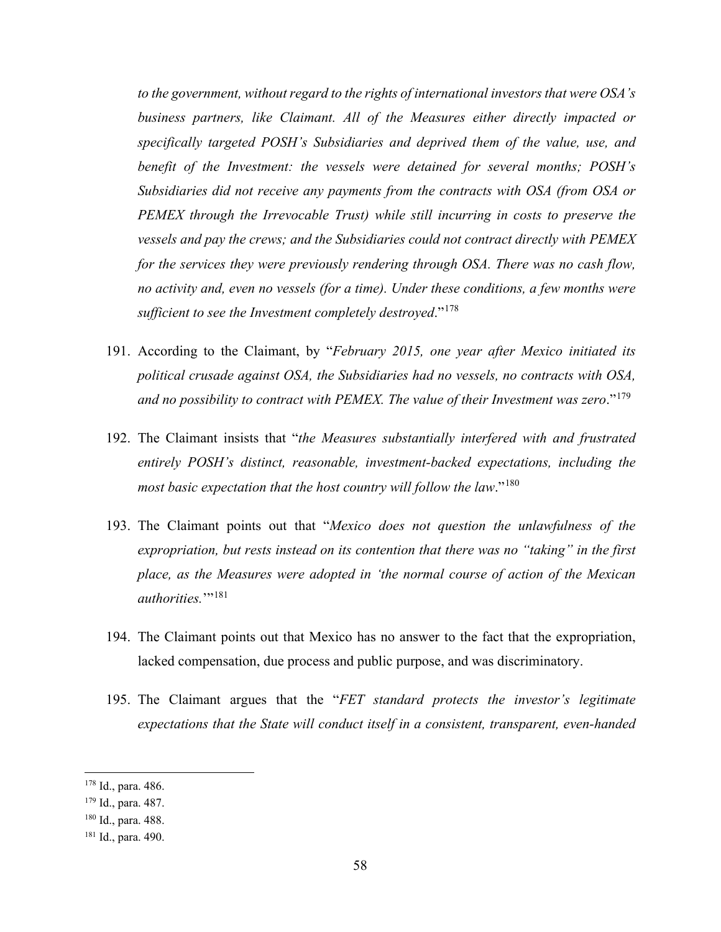*to the government, without regard to the rights of international investors that were OSA's business partners, like Claimant. All of the Measures either directly impacted or specifically targeted POSH's Subsidiaries and deprived them of the value, use, and benefit of the Investment: the vessels were detained for several months; POSH's Subsidiaries did not receive any payments from the contracts with OSA (from OSA or PEMEX through the Irrevocable Trust) while still incurring in costs to preserve the vessels and pay the crews; and the Subsidiaries could not contract directly with PEMEX for the services they were previously rendering through OSA. There was no cash flow, no activity and, even no vessels (for a time). Under these conditions, a few months were sufficient to see the Investment completely destroyed*."[178](#page-64-0)

- 191. According to the Claimant, by "*February 2015, one year after Mexico initiated its political crusade against OSA, the Subsidiaries had no vessels, no contracts with OSA, and no possibility to contract with PEMEX. The value of their Investment was zero*."[179](#page-64-1)
- 192. The Claimant insists that "*the Measures substantially interfered with and frustrated entirely POSH's distinct, reasonable, investment-backed expectations, including the most basic expectation that the host country will follow the law*."[180](#page-64-2)
- 193. The Claimant points out that "*Mexico does not question the unlawfulness of the expropriation, but rests instead on its contention that there was no "taking" in the first place, as the Measures were adopted in 'the normal course of action of the Mexican authorities.*"<sup>[181](#page-64-3)</sup>
- 194. The Claimant points out that Mexico has no answer to the fact that the expropriation, lacked compensation, due process and public purpose, and was discriminatory.
- 195. The Claimant argues that the "*FET standard protects the investor's legitimate expectations that the State will conduct itself in a consistent, transparent, even-handed*

<span id="page-64-0"></span><sup>178</sup> Id., para. 486.

<span id="page-64-1"></span><sup>179</sup> Id., para. 487.

<span id="page-64-2"></span><sup>180</sup> Id., para. 488.

<span id="page-64-3"></span><sup>181</sup> Id., para. 490.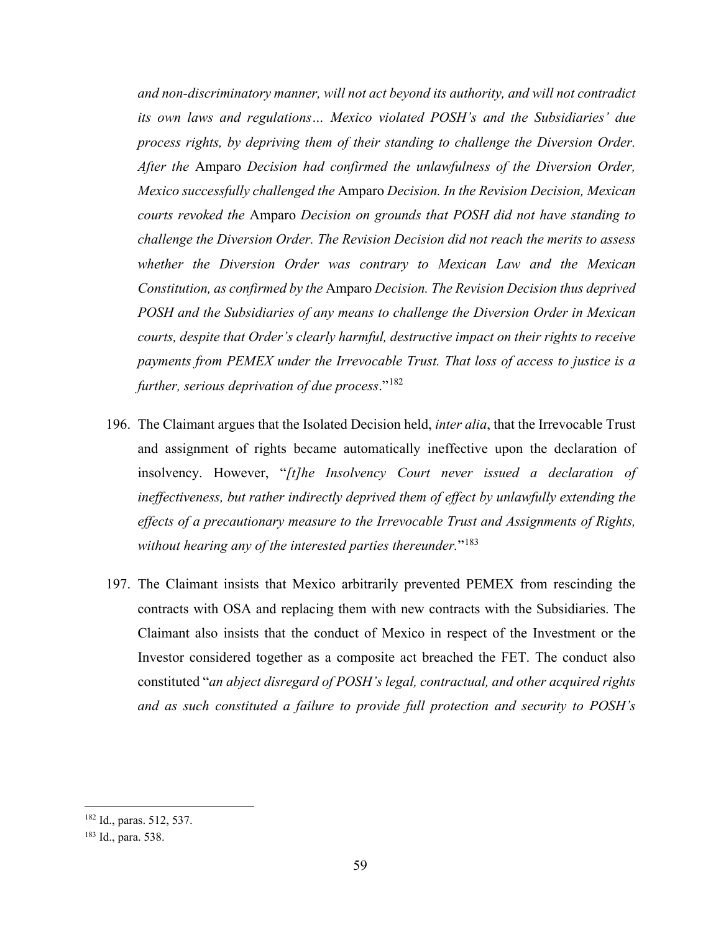*and non-discriminatory manner, will not act beyond its authority, and will not contradict its own laws and regulations… Mexico violated POSH's and the Subsidiaries' due process rights, by depriving them of their standing to challenge the Diversion Order. After the* Amparo *Decision had confirmed the unlawfulness of the Diversion Order, Mexico successfully challenged the* Amparo *Decision. In the Revision Decision, Mexican courts revoked the* Amparo *Decision on grounds that POSH did not have standing to challenge the Diversion Order. The Revision Decision did not reach the merits to assess whether the Diversion Order was contrary to Mexican Law and the Mexican Constitution, as confirmed by the* Amparo *Decision. The Revision Decision thus deprived POSH and the Subsidiaries of any means to challenge the Diversion Order in Mexican courts, despite that Order's clearly harmful, destructive impact on their rights to receive payments from PEMEX under the Irrevocable Trust. That loss of access to justice is a further, serious deprivation of due process*."[182](#page-65-0)

- 196. The Claimant argues that the Isolated Decision held, *inter alia*, that the Irrevocable Trust and assignment of rights became automatically ineffective upon the declaration of insolvency. However, "*[t]he Insolvency Court never issued a declaration of ineffectiveness, but rather indirectly deprived them of effect by unlawfully extending the effects of a precautionary measure to the Irrevocable Trust and Assignments of Rights, without hearing any of the interested parties thereunder.*"[183](#page-65-1)
- 197. The Claimant insists that Mexico arbitrarily prevented PEMEX from rescinding the contracts with OSA and replacing them with new contracts with the Subsidiaries. The Claimant also insists that the conduct of Mexico in respect of the Investment or the Investor considered together as a composite act breached the FET. The conduct also constituted "*an abject disregard of POSH's legal, contractual, and other acquired rights and as such constituted a failure to provide full protection and security to POSH's*

<span id="page-65-0"></span><sup>182</sup> Id., paras. 512, 537.

<span id="page-65-1"></span><sup>183</sup> Id., para. 538.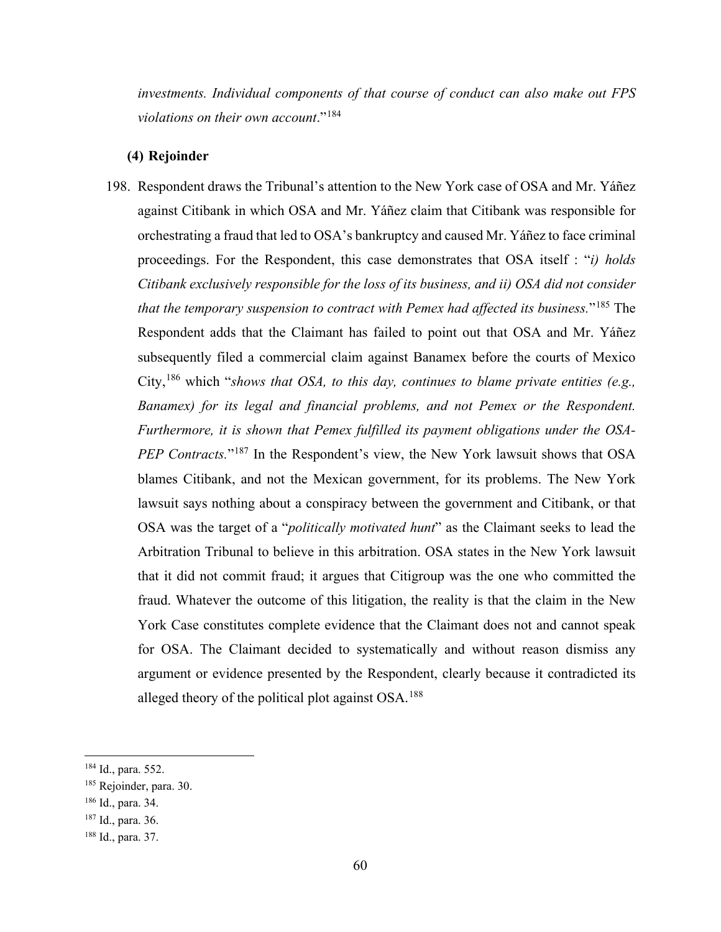*investments. Individual components of that course of conduct can also make out FPS violations on their own account*."[184](#page-66-0)

# **(4) Rejoinder**

198. Respondent draws the Tribunal's attention to the New York case of OSA and Mr. Yáñez against Citibank in which OSA and Mr. Yáñez claim that Citibank was responsible for orchestrating a fraud that led to OSA's bankruptcy and caused Mr. Yáñez to face criminal proceedings. For the Respondent, this case demonstrates that OSA itself : "*i) holds Citibank exclusively responsible for the loss of its business, and ii) OSA did not consider that the temporary suspension to contract with Pemex had affected its business.*"[185](#page-66-1) The Respondent adds that the Claimant has failed to point out that OSA and Mr. Yáñez subsequently filed a commercial claim against Banamex before the courts of Mexico City,[186](#page-66-2) which "*shows that OSA, to this day, continues to blame private entities (e.g., Banamex) for its legal and financial problems, and not Pemex or the Respondent. Furthermore, it is shown that Pemex fulfilled its payment obligations under the OSA-PEP Contracts.*"<sup>[187](#page-66-3)</sup> In the Respondent's view, the New York lawsuit shows that OSA blames Citibank, and not the Mexican government, for its problems. The New York lawsuit says nothing about a conspiracy between the government and Citibank, or that OSA was the target of a "*politically motivated hunt*" as the Claimant seeks to lead the Arbitration Tribunal to believe in this arbitration. OSA states in the New York lawsuit that it did not commit fraud; it argues that Citigroup was the one who committed the fraud. Whatever the outcome of this litigation, the reality is that the claim in the New York Case constitutes complete evidence that the Claimant does not and cannot speak for OSA. The Claimant decided to systematically and without reason dismiss any argument or evidence presented by the Respondent, clearly because it contradicted its alleged theory of the political plot against OSA.<sup>[188](#page-66-4)</sup>

<span id="page-66-0"></span><sup>184</sup> Id., para. 552.

<span id="page-66-1"></span><sup>185</sup> Rejoinder, para. 30.

<span id="page-66-2"></span><sup>186</sup> Id., para. 34.

<span id="page-66-3"></span><sup>187</sup> Id., para. 36.

<span id="page-66-4"></span><sup>188</sup> Id., para. 37.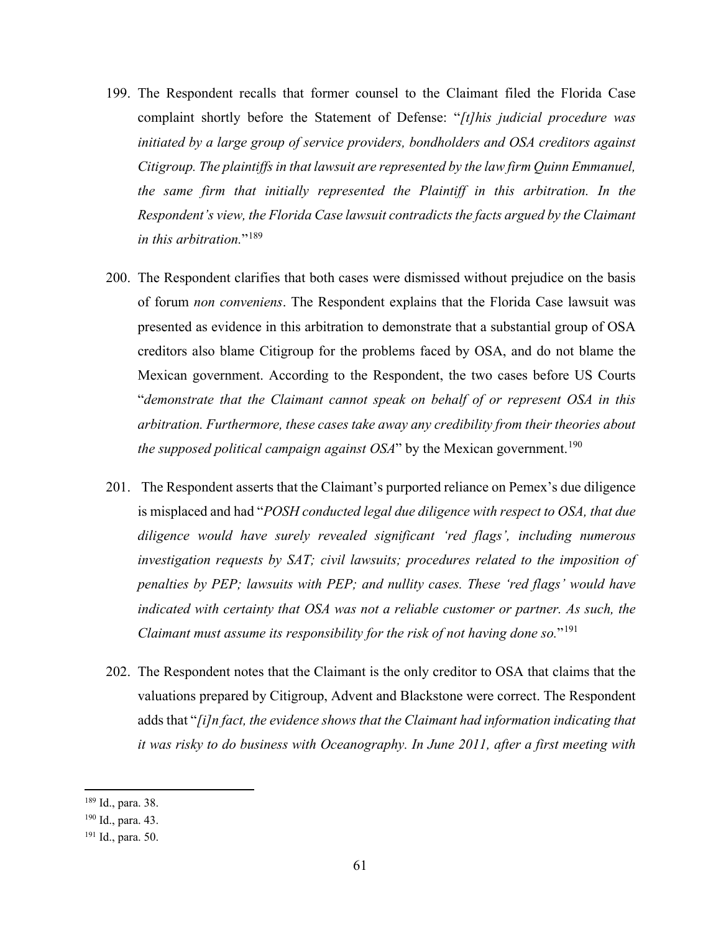- 199. The Respondent recalls that former counsel to the Claimant filed the Florida Case complaint shortly before the Statement of Defense: "*[t]his judicial procedure was initiated by a large group of service providers, bondholders and OSA creditors against Citigroup. The plaintiffs in that lawsuit are represented by the law firm Quinn Emmanuel, the same firm that initially represented the Plaintiff in this arbitration. In the Respondent's view, the Florida Case lawsuit contradicts the facts argued by the Claimant in this arbitration.*"<sup>[189](#page-67-0)</sup>
- 200. The Respondent clarifies that both cases were dismissed without prejudice on the basis of forum *non conveniens*. The Respondent explains that the Florida Case lawsuit was presented as evidence in this arbitration to demonstrate that a substantial group of OSA creditors also blame Citigroup for the problems faced by OSA, and do not blame the Mexican government. According to the Respondent, the two cases before US Courts "*demonstrate that the Claimant cannot speak on behalf of or represent OSA in this arbitration. Furthermore, these cases take away any credibility from their theories about the supposed political campaign against OSA*" by the Mexican government.<sup>[190](#page-67-1)</sup>
- 201. The Respondent asserts that the Claimant's purported reliance on Pemex's due diligence is misplaced and had "*POSH conducted legal due diligence with respect to OSA, that due diligence would have surely revealed significant 'red flags', including numerous investigation requests by SAT; civil lawsuits; procedures related to the imposition of penalties by PEP; lawsuits with PEP; and nullity cases. These 'red flags' would have indicated with certainty that OSA was not a reliable customer or partner. As such, the Claimant must assume its responsibility for the risk of not having done so.*"[191](#page-67-2)
- 202. The Respondent notes that the Claimant is the only creditor to OSA that claims that the valuations prepared by Citigroup, Advent and Blackstone were correct. The Respondent adds that "*[i]n fact, the evidence shows that the Claimant had information indicating that it was risky to do business with Oceanography. In June 2011, after a first meeting with*

<span id="page-67-0"></span><sup>189</sup> Id., para. 38.

<span id="page-67-1"></span><sup>190</sup> Id., para. 43.

<span id="page-67-2"></span><sup>191</sup> Id., para. 50.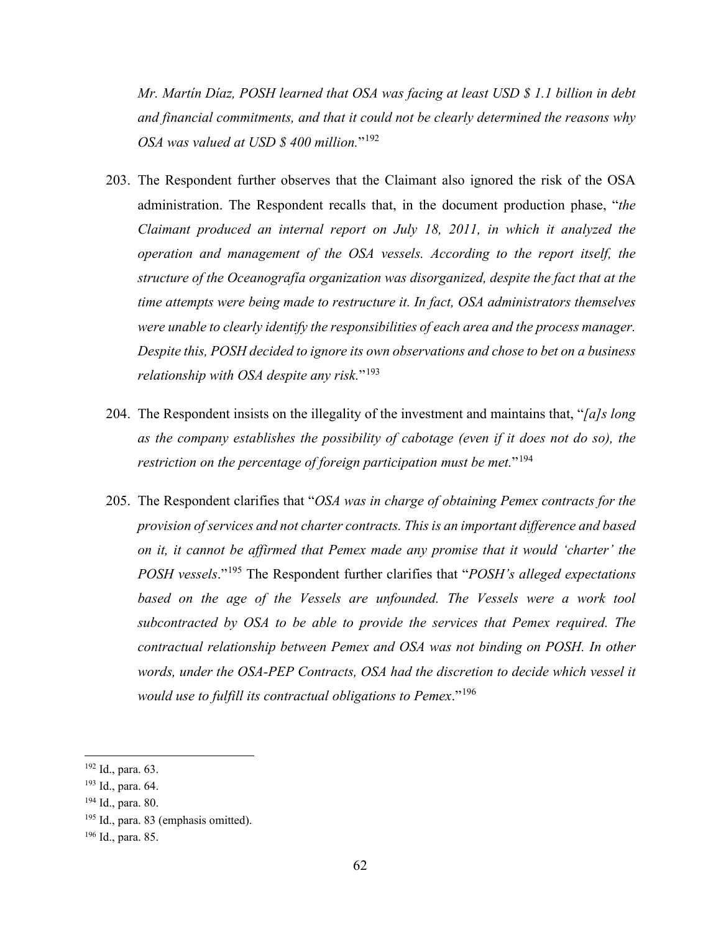*Mr. Martín Díaz, POSH learned that OSA was facing at least USD \$ 1.1 billion in debt and financial commitments, and that it could not be clearly determined the reasons why OSA was valued at USD \$ 400 million.*"[192](#page-68-0)

- 203. The Respondent further observes that the Claimant also ignored the risk of the OSA administration. The Respondent recalls that, in the document production phase, "*the Claimant produced an internal report on July 18, 2011, in which it analyzed the operation and management of the OSA vessels. According to the report itself, the structure of the Oceanografía organization was disorganized, despite the fact that at the time attempts were being made to restructure it. In fact, OSA administrators themselves were unable to clearly identify the responsibilities of each area and the process manager. Despite this, POSH decided to ignore its own observations and chose to bet on a business relationship with OSA despite any risk.*"[193](#page-68-1)
- 204. The Respondent insists on the illegality of the investment and maintains that, "*[a]s long as the company establishes the possibility of cabotage (even if it does not do so), the restriction on the percentage of foreign participation must be met.*"[194](#page-68-2)
- 205. The Respondent clarifies that "*OSA was in charge of obtaining Pemex contracts for the provision of services and not charter contracts. This is an important difference and based on it, it cannot be affirmed that Pemex made any promise that it would 'charter' the POSH vessels*."[195](#page-68-3) The Respondent further clarifies that "*POSH's alleged expectations based on the age of the Vessels are unfounded. The Vessels were a work tool subcontracted by OSA to be able to provide the services that Pemex required. The contractual relationship between Pemex and OSA was not binding on POSH. In other words, under the OSA-PEP Contracts, OSA had the discretion to decide which vessel it would use to fulfill its contractual obligations to Pemex*."[196](#page-68-4)

<span id="page-68-0"></span><sup>192</sup> Id., para. 63.

<span id="page-68-1"></span><sup>193</sup> Id., para. 64.

<span id="page-68-2"></span><sup>194</sup> Id., para. 80.

<span id="page-68-3"></span><sup>&</sup>lt;sup>195</sup> Id., para. 83 (emphasis omitted).

<span id="page-68-4"></span><sup>196</sup> Id., para. 85.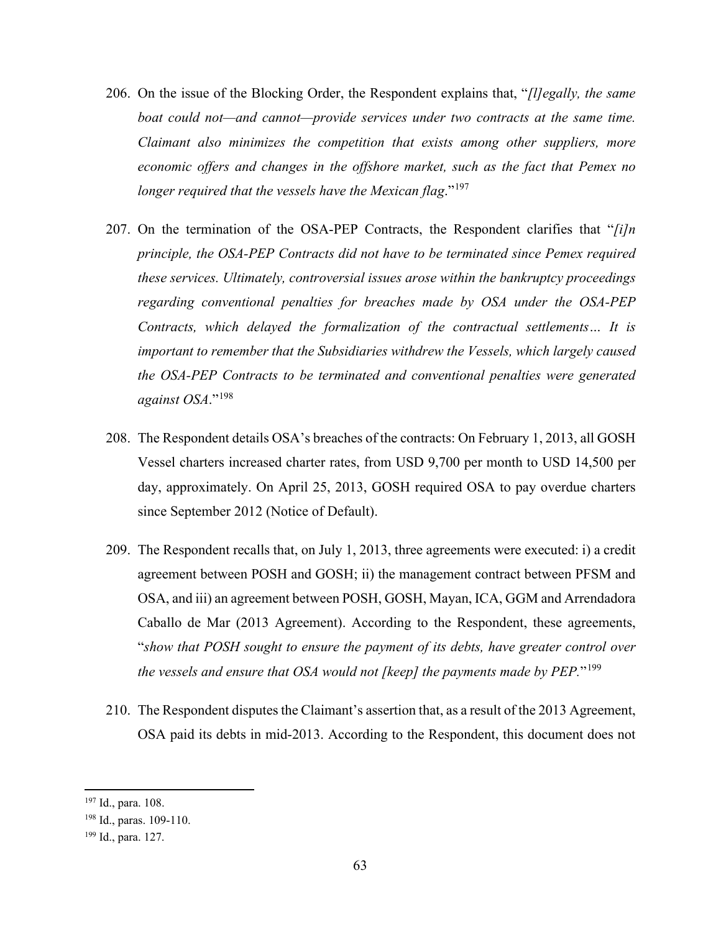- 206. On the issue of the Blocking Order, the Respondent explains that, "*[l]egally, the same boat could not—and cannot—provide services under two contracts at the same time. Claimant also minimizes the competition that exists among other suppliers, more economic offers and changes in the offshore market, such as the fact that Pemex no longer required that the vessels have the Mexican flag*."[197](#page-69-0)
- 207. On the termination of the OSA-PEP Contracts, the Respondent clarifies that "*[i]n principle, the OSA-PEP Contracts did not have to be terminated since Pemex required these services. Ultimately, controversial issues arose within the bankruptcy proceedings regarding conventional penalties for breaches made by OSA under the OSA-PEP Contracts, which delayed the formalization of the contractual settlements… It is important to remember that the Subsidiaries withdrew the Vessels, which largely caused the OSA-PEP Contracts to be terminated and conventional penalties were generated against OSA*."[198](#page-69-1)
- 208. The Respondent details OSA's breaches of the contracts: On February 1, 2013, all GOSH Vessel charters increased charter rates, from USD 9,700 per month to USD 14,500 per day, approximately. On April 25, 2013, GOSH required OSA to pay overdue charters since September 2012 (Notice of Default).
- 209. The Respondent recalls that, on July 1, 2013, three agreements were executed: i) a credit agreement between POSH and GOSH; ii) the management contract between PFSM and OSA, and iii) an agreement between POSH, GOSH, Mayan, ICA, GGM and Arrendadora Caballo de Mar (2013 Agreement). According to the Respondent, these agreements, "*show that POSH sought to ensure the payment of its debts, have greater control over the vessels and ensure that OSA would not [keep] the payments made by PEP.*"[199](#page-69-2)
- 210. The Respondent disputes the Claimant's assertion that, as a result of the 2013 Agreement, OSA paid its debts in mid-2013. According to the Respondent, this document does not

<span id="page-69-0"></span><sup>197</sup> Id., para. 108.

<span id="page-69-1"></span><sup>198</sup> Id., paras. 109-110.

<span id="page-69-2"></span><sup>199</sup> Id., para. 127.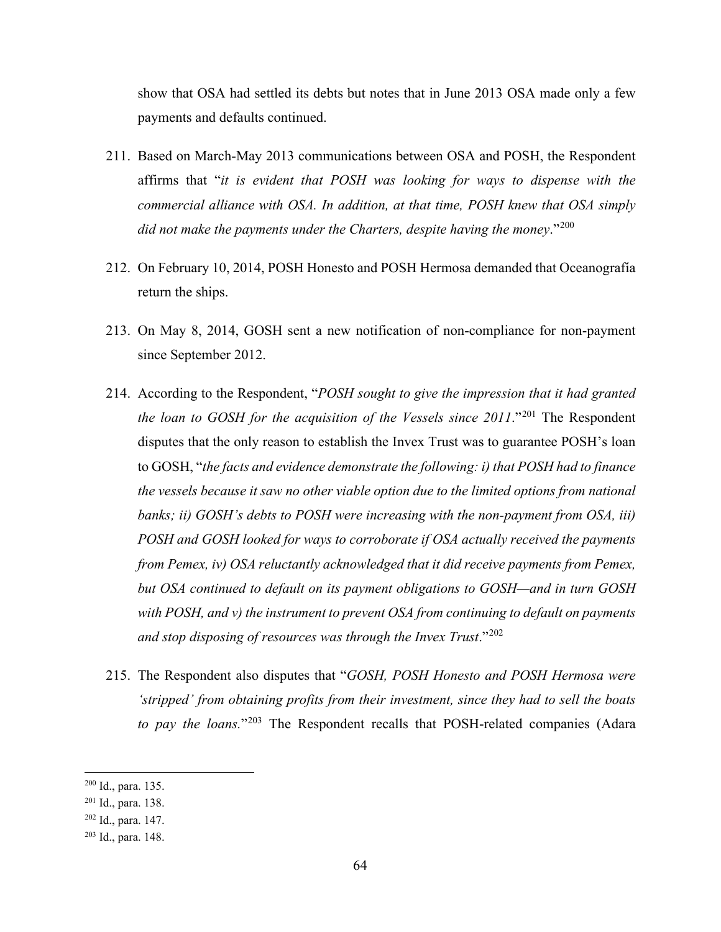show that OSA had settled its debts but notes that in June 2013 OSA made only a few payments and defaults continued.

- 211. Based on March-May 2013 communications between OSA and POSH, the Respondent affirms that "*it is evident that POSH was looking for ways to dispense with the commercial alliance with OSA. In addition, at that time, POSH knew that OSA simply did not make the payments under the Charters, despite having the money*."[200](#page-70-0)
- 212. On February 10, 2014, POSH Honesto and POSH Hermosa demanded that Oceanografía return the ships.
- 213. On May 8, 2014, GOSH sent a new notification of non-compliance for non-payment since September 2012.
- 214. According to the Respondent, "*POSH sought to give the impression that it had granted the loan to GOSH for the acquisition of the Vessels since [201](#page-70-1)1.*"<sup>201</sup> The Respondent disputes that the only reason to establish the Invex Trust was to guarantee POSH's loan to GOSH, "*the facts and evidence demonstrate the following: i) that POSH had to finance the vessels because it saw no other viable option due to the limited options from national banks; ii) GOSH's debts to POSH were increasing with the non-payment from OSA, iii) POSH and GOSH looked for ways to corroborate if OSA actually received the payments from Pemex, iv) OSA reluctantly acknowledged that it did receive payments from Pemex, but OSA continued to default on its payment obligations to GOSH—and in turn GOSH with POSH, and v) the instrument to prevent OSA from continuing to default on payments and stop disposing of resources was through the Invex Trust*."[202](#page-70-2)
- 215. The Respondent also disputes that "*GOSH, POSH Honesto and POSH Hermosa were 'stripped' from obtaining profits from their investment, since they had to sell the boats to pay the loans.*"[203](#page-70-3) The Respondent recalls that POSH-related companies (Adara

<span id="page-70-0"></span><sup>200</sup> Id., para. 135.

<span id="page-70-1"></span><sup>201</sup> Id., para. 138.

<span id="page-70-2"></span><sup>202</sup> Id., para. 147.

<span id="page-70-3"></span><sup>203</sup> Id., para. 148.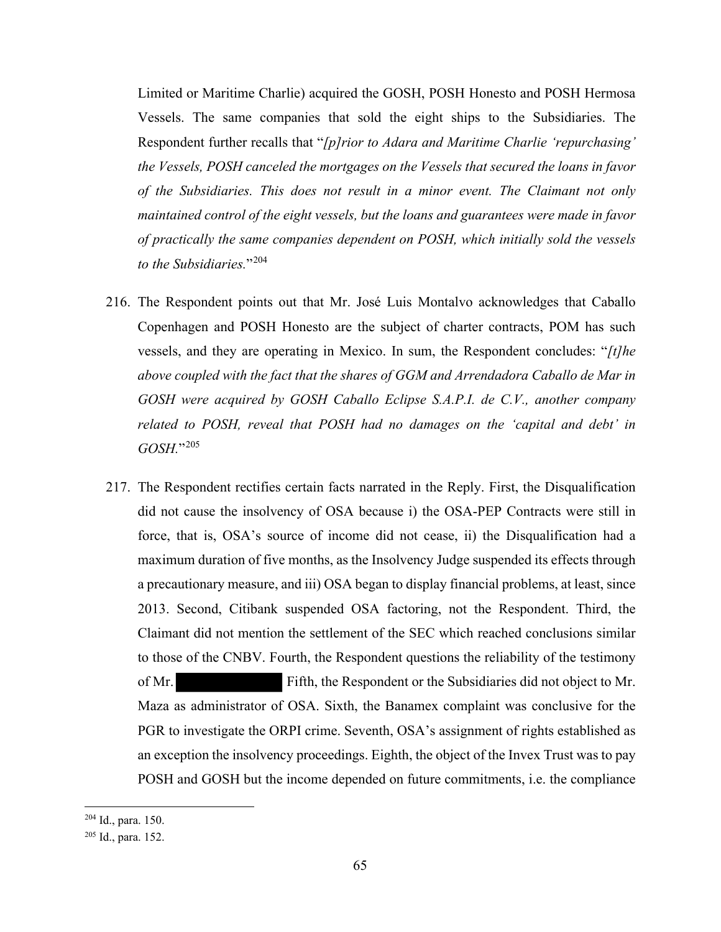Limited or Maritime Charlie) acquired the GOSH, POSH Honesto and POSH Hermosa Vessels. The same companies that sold the eight ships to the Subsidiaries. The Respondent further recalls that "*[p]rior to Adara and Maritime Charlie 'repurchasing' the Vessels, POSH canceled the mortgages on the Vessels that secured the loans in favor of the Subsidiaries. This does not result in a minor event. The Claimant not only maintained control of the eight vessels, but the loans and guarantees were made in favor of practically the same companies dependent on POSH, which initially sold the vessels to the Subsidiaries.*"[204](#page-71-0)

- 216. The Respondent points out that Mr. José Luis Montalvo acknowledges that Caballo Copenhagen and POSH Honesto are the subject of charter contracts, POM has such vessels, and they are operating in Mexico. In sum, the Respondent concludes: "*[t]he above coupled with the fact that the shares of GGM and Arrendadora Caballo de Mar in GOSH were acquired by GOSH Caballo Eclipse S.A.P.I. de C.V., another company related to POSH, reveal that POSH had no damages on the 'capital and debt' in GOSH.*"[205](#page-71-1)
- 217. The Respondent rectifies certain facts narrated in the Reply. First, the Disqualification did not cause the insolvency of OSA because i) the OSA-PEP Contracts were still in force, that is, OSA's source of income did not cease, ii) the Disqualification had a maximum duration of five months, as the Insolvency Judge suspended its effects through a precautionary measure, and iii) OSA began to display financial problems, at least, since 2013. Second, Citibank suspended OSA factoring, not the Respondent. Third, the Claimant did not mention the settlement of the SEC which reached conclusions similar to those of the CNBV. Fourth, the Respondent questions the reliability of the testimony of Mr. Fifth, the Respondent or the Subsidiaries did not object to Mr. Maza as administrator of OSA. Sixth, the Banamex complaint was conclusive for the PGR to investigate the ORPI crime. Seventh, OSA's assignment of rights established as an exception the insolvency proceedings. Eighth, the object of the Invex Trust was to pay POSH and GOSH but the income depended on future commitments, i.e. the compliance

<span id="page-71-0"></span><sup>204</sup> Id., para. 150.

<span id="page-71-1"></span><sup>205</sup> Id., para. 152.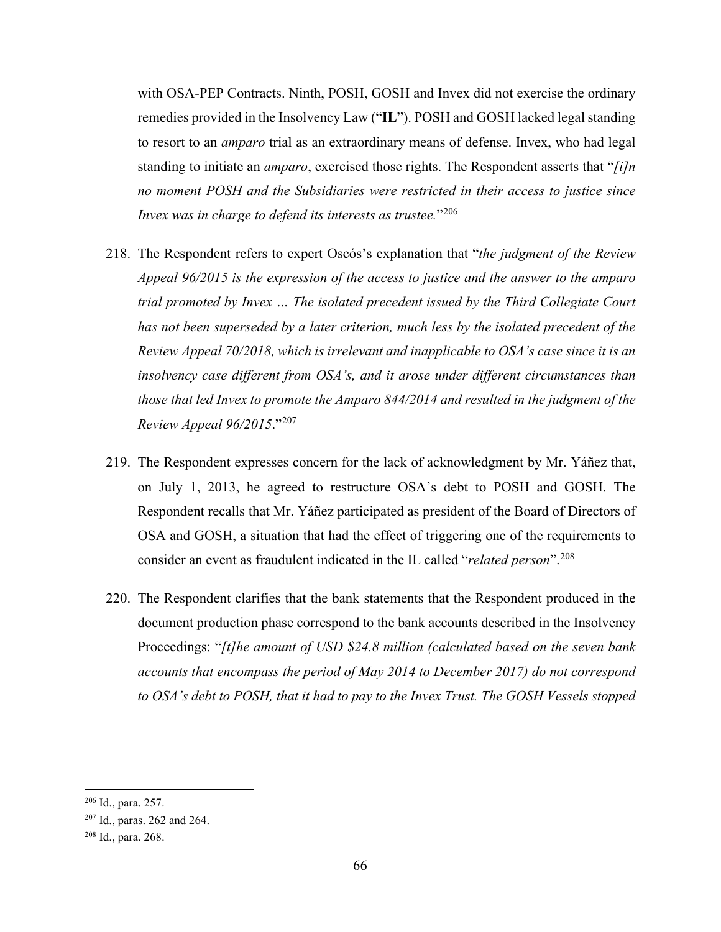with OSA-PEP Contracts. Ninth, POSH, GOSH and Invex did not exercise the ordinary remedies provided in the Insolvency Law ("**IL**"). POSH and GOSH lacked legal standing to resort to an *amparo* trial as an extraordinary means of defense. Invex, who had legal standing to initiate an *amparo*, exercised those rights. The Respondent asserts that "*[i]n no moment POSH and the Subsidiaries were restricted in their access to justice since Invex was in charge to defend its interests as trustee.*"<sup>[206](#page-72-0)</sup>

- 218. The Respondent refers to expert Oscós's explanation that "*the judgment of the Review Appeal 96/2015 is the expression of the access to justice and the answer to the amparo trial promoted by Invex … The isolated precedent issued by the Third Collegiate Court has not been superseded by a later criterion, much less by the isolated precedent of the Review Appeal 70/2018, which is irrelevant and inapplicable to OSA's case since it is an insolvency case different from OSA's, and it arose under different circumstances than those that led Invex to promote the Amparo 844/2014 and resulted in the judgment of the Review Appeal 96/2015*."[207](#page-72-1)
- 219. The Respondent expresses concern for the lack of acknowledgment by Mr. Yáñez that, on July 1, 2013, he agreed to restructure OSA's debt to POSH and GOSH. The Respondent recalls that Mr. Yáñez participated as president of the Board of Directors of OSA and GOSH, a situation that had the effect of triggering one of the requirements to consider an event as fraudulent indicated in the IL called "*related person*".[208](#page-72-2)
- 220. The Respondent clarifies that the bank statements that the Respondent produced in the document production phase correspond to the bank accounts described in the Insolvency Proceedings: "*[t]he amount of USD \$24.8 million (calculated based on the seven bank accounts that encompass the period of May 2014 to December 2017) do not correspond to OSA's debt to POSH, that it had to pay to the Invex Trust. The GOSH Vessels stopped*

<span id="page-72-0"></span><sup>206</sup> Id., para. 257.

<span id="page-72-1"></span><sup>207</sup> Id., paras. 262 and 264.

<span id="page-72-2"></span><sup>208</sup> Id., para. 268.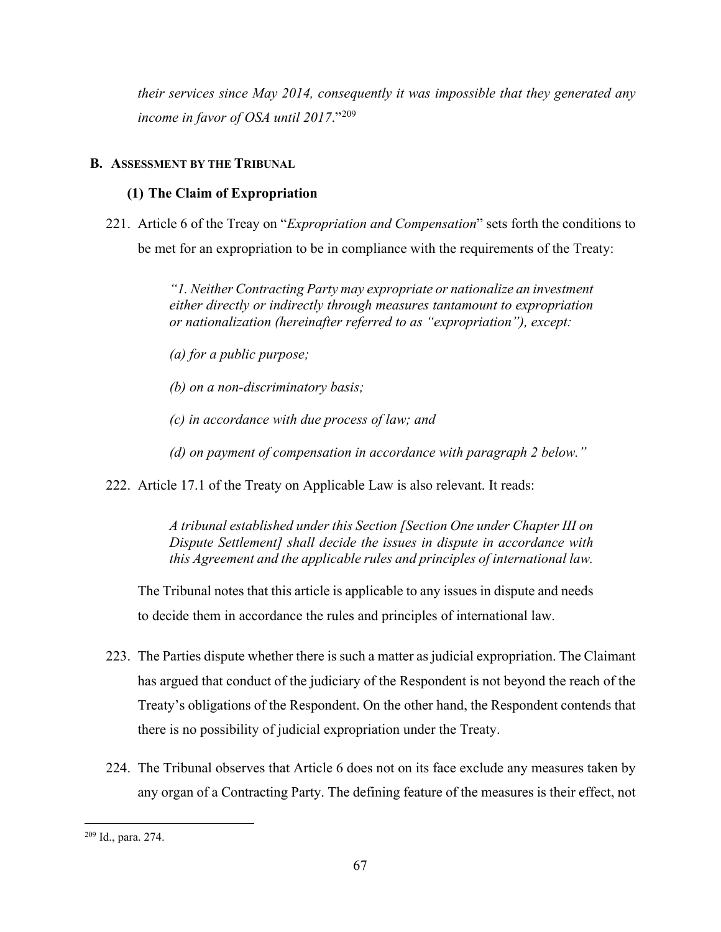*their services since May 2014, consequently it was impossible that they generated any income in favor of OSA until 2017*."[209](#page-73-0)

# **B. ASSESSMENT BY THE TRIBUNAL**

## **(1) The Claim of Expropriation**

221. Article 6 of the Treay on "*Expropriation and Compensation*" sets forth the conditions to be met for an expropriation to be in compliance with the requirements of the Treaty:

> *"1. Neither Contracting Party may expropriate or nationalize an investment either directly or indirectly through measures tantamount to expropriation or nationalization (hereinafter referred to as "expropriation"), except:*

*(a) for a public purpose;* 

*(b) on a non-discriminatory basis;* 

*(c) in accordance with due process of law; and*

*(d) on payment of compensation in accordance with paragraph 2 below."*

222. Article 17.1 of the Treaty on Applicable Law is also relevant. It reads:

*A tribunal established under this Section [Section One under Chapter III on Dispute Settlement] shall decide the issues in dispute in accordance with this Agreement and the applicable rules and principles of international law.*

The Tribunal notes that this article is applicable to any issues in dispute and needs to decide them in accordance the rules and principles of international law.

- 223. The Parties dispute whether there is such a matter as judicial expropriation. The Claimant has argued that conduct of the judiciary of the Respondent is not beyond the reach of the Treaty's obligations of the Respondent. On the other hand, the Respondent contends that there is no possibility of judicial expropriation under the Treaty.
- 224. The Tribunal observes that Article 6 does not on its face exclude any measures taken by any organ of a Contracting Party. The defining feature of the measures is their effect, not

<span id="page-73-0"></span><sup>209</sup> Id., para. 274.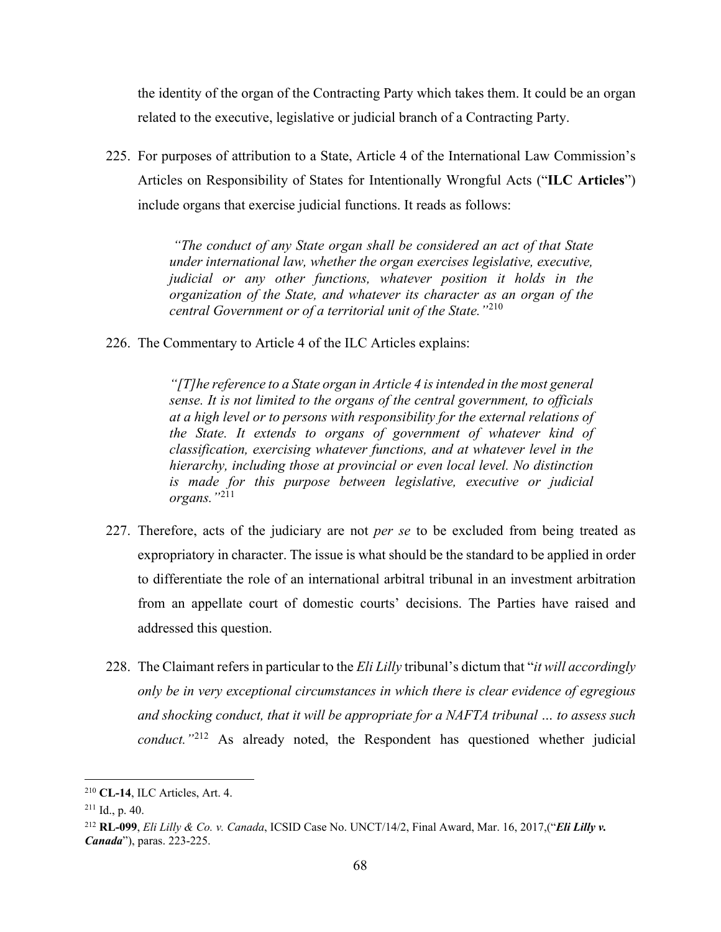the identity of the organ of the Contracting Party which takes them. It could be an organ related to the executive, legislative or judicial branch of a Contracting Party.

225. For purposes of attribution to a State, Article 4 of the International Law Commission's Articles on Responsibility of States for Intentionally Wrongful Acts ("**ILC Articles**") include organs that exercise judicial functions. It reads as follows:

> *"The conduct of any State organ shall be considered an act of that State under international law, whether the organ exercises legislative, executive, judicial or any other functions, whatever position it holds in the organization of the State, and whatever its character as an organ of the central Government or of a territorial unit of the State."*[210](#page-74-0)

226. The Commentary to Article 4 of the ILC Articles explains:

*"[T]he reference to a State organ in Article 4 is intended in the most general sense. It is not limited to the organs of the central government, to officials at a high level or to persons with responsibility for the external relations of the State. It extends to organs of government of whatever kind of classification, exercising whatever functions, and at whatever level in the hierarchy, including those at provincial or even local level. No distinction is made for this purpose between legislative, executive or judicial organs."*[211](#page-74-1)

- 227. Therefore, acts of the judiciary are not *per se* to be excluded from being treated as expropriatory in character. The issue is what should be the standard to be applied in order to differentiate the role of an international arbitral tribunal in an investment arbitration from an appellate court of domestic courts' decisions. The Parties have raised and addressed this question.
- 228. The Claimant refers in particular to the *Eli Lilly* tribunal's dictum that "*it will accordingly only be in very exceptional circumstances in which there is clear evidence of egregious and shocking conduct, that it will be appropriate for a NAFTA tribunal … to assess such conduct.*"<sup>[212](#page-74-2)</sup> As already noted, the Respondent has questioned whether judicial

<span id="page-74-0"></span><sup>210</sup> **CL-14**, ILC Articles, Art. 4.

<span id="page-74-1"></span> $211$  Id., p. 40.

<span id="page-74-2"></span><sup>212</sup> **RL-099**, *Eli Lilly & Co. v. Canada*, ICSID Case No. UNCT/14/2, Final Award, Mar. 16, 2017,("*Eli Lilly v. Canada*"), paras. 223-225.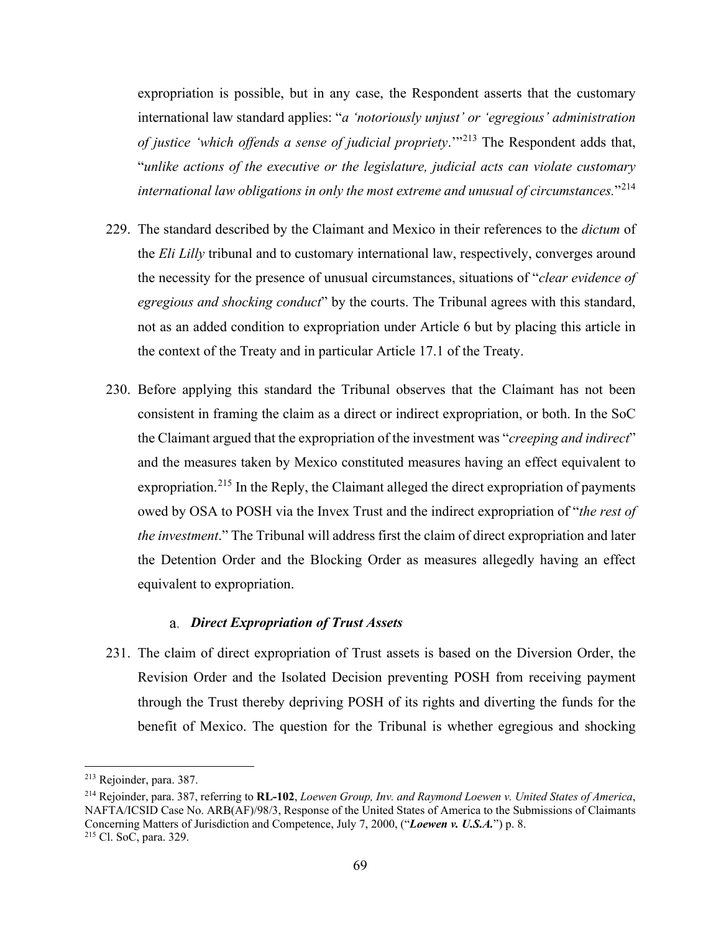expropriation is possible, but in any case, the Respondent asserts that the customary international law standard applies: "*a 'notoriously unjust' or 'egregious' administration of justice 'which offends a sense of judicial propriety*.'"[213](#page-75-0) The Respondent adds that, "*unlike actions of the executive or the legislature, judicial acts can violate customary international law obligations in only the most extreme and unusual of circumstances.*"[214](#page-75-1)

- 229. The standard described by the Claimant and Mexico in their references to the *dictum* of the *Eli Lilly* tribunal and to customary international law, respectively, converges around the necessity for the presence of unusual circumstances, situations of "*clear evidence of egregious and shocking conduct*" by the courts. The Tribunal agrees with this standard, not as an added condition to expropriation under Article 6 but by placing this article in the context of the Treaty and in particular Article 17.1 of the Treaty.
- 230. Before applying this standard the Tribunal observes that the Claimant has not been consistent in framing the claim as a direct or indirect expropriation, or both. In the SoC the Claimant argued that the expropriation of the investment was "*creeping and indirect*" and the measures taken by Mexico constituted measures having an effect equivalent to expropriation.<sup>[215](#page-75-2)</sup> In the Reply, the Claimant alleged the direct expropriation of payments owed by OSA to POSH via the Invex Trust and the indirect expropriation of "*the rest of the investment*." The Tribunal will address first the claim of direct expropriation and later the Detention Order and the Blocking Order as measures allegedly having an effect equivalent to expropriation.

#### *Direct Expropriation of Trust Assets*

231. The claim of direct expropriation of Trust assets is based on the Diversion Order, the Revision Order and the Isolated Decision preventing POSH from receiving payment through the Trust thereby depriving POSH of its rights and diverting the funds for the benefit of Mexico. The question for the Tribunal is whether egregious and shocking

<span id="page-75-0"></span><sup>213</sup> Rejoinder, para. 387.

<span id="page-75-2"></span><span id="page-75-1"></span><sup>214</sup> Rejoinder, para. 387, referring to **RL-102**, *Loewen Group, Inv. and Raymond Loewen v. United States of America*, NAFTA/ICSID Case No. ARB(AF)/98/3, Response of the United States of America to the Submissions of Claimants Concerning Matters of Jurisdiction and Competence, July 7, 2000, ("*Loewen v. U.S.A.*") p. 8. 215 Cl. SoC, para. 329.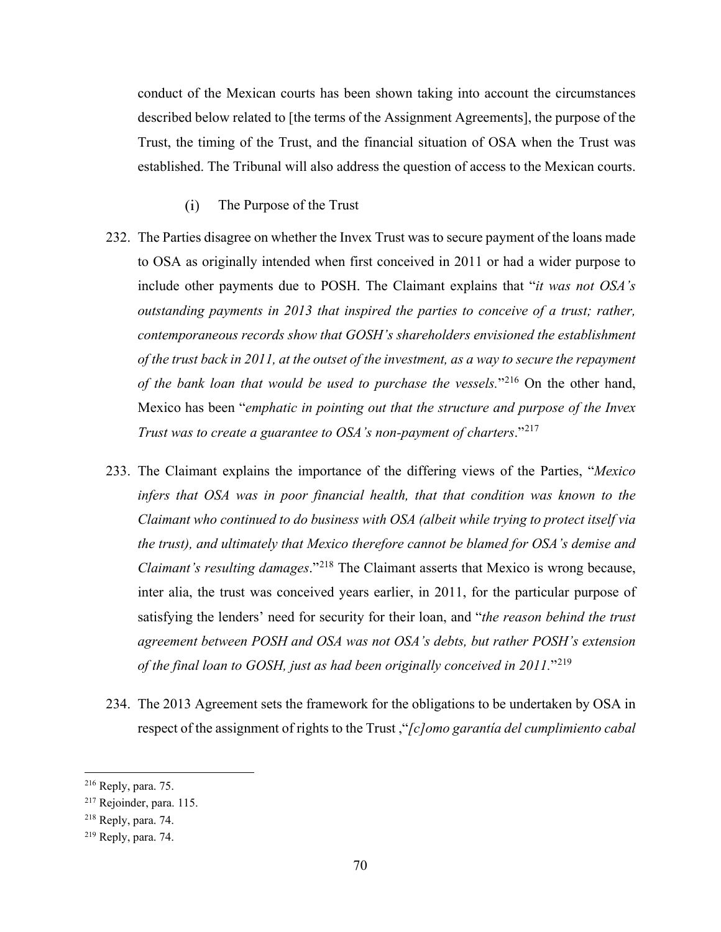conduct of the Mexican courts has been shown taking into account the circumstances described below related to [the terms of the Assignment Agreements], the purpose of the Trust, the timing of the Trust, and the financial situation of OSA when the Trust was established. The Tribunal will also address the question of access to the Mexican courts.

- $(i)$ The Purpose of the Trust
- 232. The Parties disagree on whether the Invex Trust was to secure payment of the loans made to OSA as originally intended when first conceived in 2011 or had a wider purpose to include other payments due to POSH. The Claimant explains that "*it was not OSA's outstanding payments in 2013 that inspired the parties to conceive of a trust; rather, contemporaneous records show that GOSH's shareholders envisioned the establishment of the trust back in 2011, at the outset of the investment, as a way to secure the repayment of the bank loan that would be used to purchase the vessels.*"[216](#page-76-0) On the other hand, Mexico has been "*emphatic in pointing out that the structure and purpose of the Invex Trust was to create a guarantee to OSA's non-payment of charters*."[217](#page-76-1)
- 233. The Claimant explains the importance of the differing views of the Parties, "*Mexico infers that OSA was in poor financial health, that that condition was known to the Claimant who continued to do business with OSA (albeit while trying to protect itself via the trust), and ultimately that Mexico therefore cannot be blamed for OSA's demise and Claimant's resulting damages*."[218](#page-76-2) The Claimant asserts that Mexico is wrong because, inter alia, the trust was conceived years earlier, in 2011, for the particular purpose of satisfying the lenders' need for security for their loan, and "*the reason behind the trust agreement between POSH and OSA was not OSA's debts, but rather POSH's extension of the final loan to GOSH, just as had been originally conceived in 2011.*"[219](#page-76-3)
- 234. The 2013 Agreement sets the framework for the obligations to be undertaken by OSA in respect of the assignment of rights to the Trust ,"*[c]omo garantía del cumplimiento cabal*

<span id="page-76-0"></span><sup>216</sup> Reply, para. 75.

<span id="page-76-1"></span><sup>217</sup> Rejoinder, para. 115.

<span id="page-76-2"></span><sup>218</sup> Reply, para. 74.

<span id="page-76-3"></span><sup>219</sup> Reply, para. 74.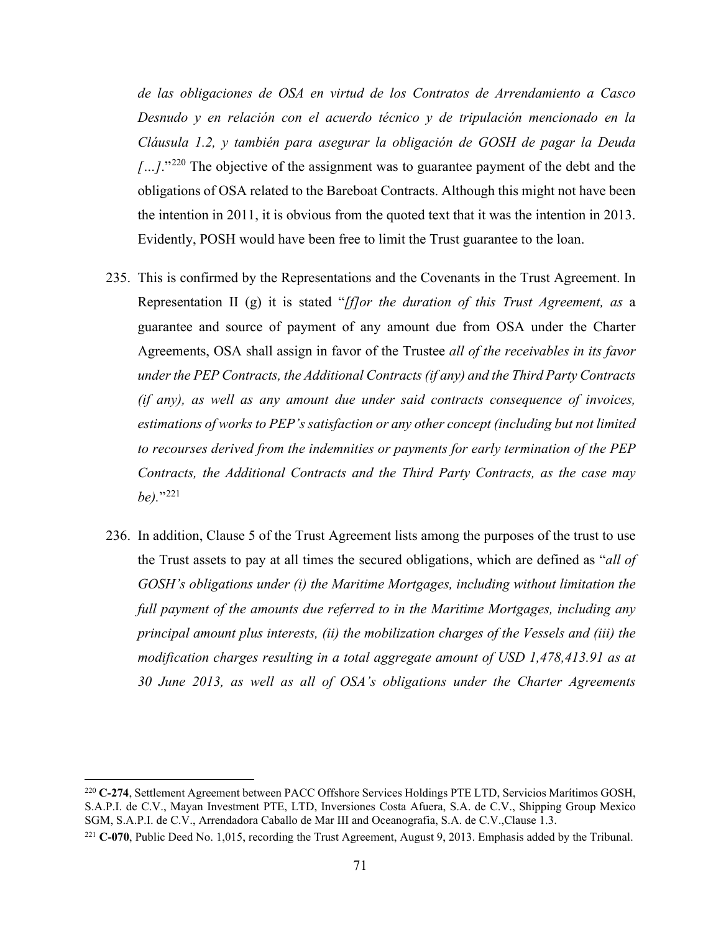*de las obligaciones de OSA en virtud de los Contratos de Arrendamiento a Casco Desnudo y en relación con el acuerdo técnico y de tripulación mencionado en la Cláusula 1.2, y también para asegurar la obligación de GOSH de pagar la Deuda […]*."[220](#page-77-0) The objective of the assignment was to guarantee payment of the debt and the obligations of OSA related to the Bareboat Contracts. Although this might not have been the intention in 2011, it is obvious from the quoted text that it was the intention in 2013. Evidently, POSH would have been free to limit the Trust guarantee to the loan.

- 235. This is confirmed by the Representations and the Covenants in the Trust Agreement. In Representation II (g) it is stated "*[f]or the duration of this Trust Agreement, as* a guarantee and source of payment of any amount due from OSA under the Charter Agreements, OSA shall assign in favor of the Trustee *all of the receivables in its favor under the PEP Contracts, the Additional Contracts (if any) and the Third Party Contracts (if any), as well as any amount due under said contracts consequence of invoices, estimations of works to PEP's satisfaction or any other concept (including but not limited to recourses derived from the indemnities or payments for early termination of the PEP Contracts, the Additional Contracts and the Third Party Contracts, as the case may be).*"[221](#page-77-1)
- 236. In addition, Clause 5 of the Trust Agreement lists among the purposes of the trust to use the Trust assets to pay at all times the secured obligations, which are defined as "*all of GOSH's obligations under (i) the Maritime Mortgages, including without limitation the full payment of the amounts due referred to in the Maritime Mortgages, including any principal amount plus interests, (ii) the mobilization charges of the Vessels and (iii) the modification charges resulting in a total aggregate amount of USD 1,478,413.91 as at 30 June 2013, as well as all of OSA's obligations under the Charter Agreements*

<span id="page-77-0"></span><sup>220</sup> **C-274**, Settlement Agreement between PACC Offshore Services Holdings PTE LTD, Servicios Marítimos GOSH, S.A.P.I. de C.V., Mayan Investment PTE, LTD, Inversiones Costa Afuera, S.A. de C.V., Shipping Group Mexico SGM, S.A.P.I. de C.V., Arrendadora Caballo de Mar III and Oceanografia, S.A. de C.V.,Clause 1.3.

<span id="page-77-1"></span><sup>221</sup> **C-070**, Public Deed No. 1,015, recording the Trust Agreement, August 9, 2013. Emphasis added by the Tribunal.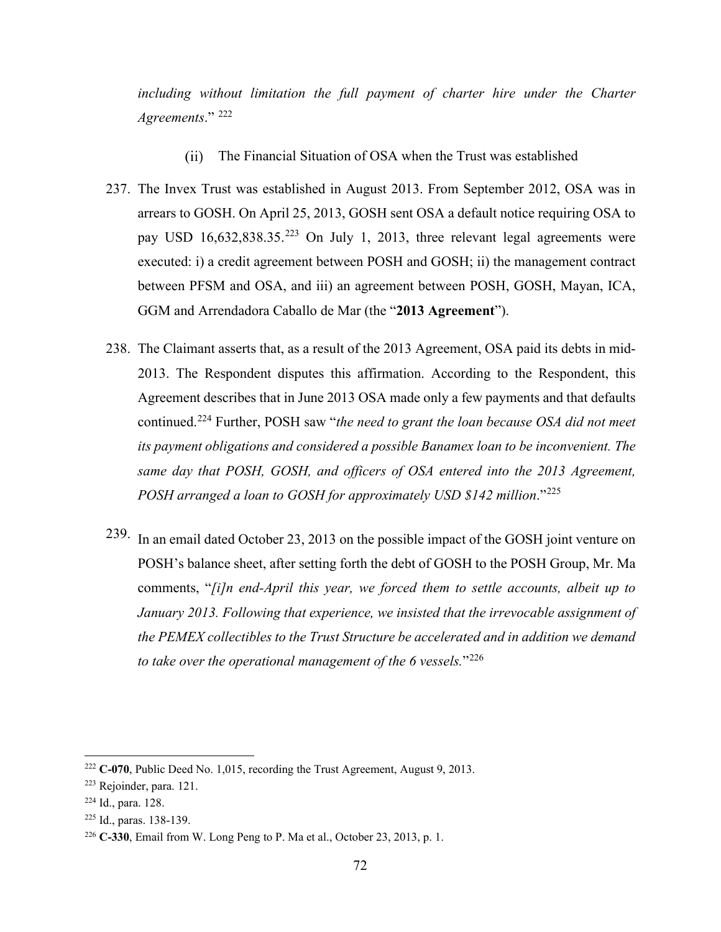*including without limitation the full payment of charter hire under the Charter Agreements*." [222](#page-78-0)

- $(ii)$ The Financial Situation of OSA when the Trust was established
- 237. The Invex Trust was established in August 2013. From September 2012, OSA was in arrears to GOSH. On April 25, 2013, GOSH sent OSA a default notice requiring OSA to pay USD  $16,632,838.35^{223}$  $16,632,838.35^{223}$  $16,632,838.35^{223}$  On July 1, 2013, three relevant legal agreements were executed: i) a credit agreement between POSH and GOSH; ii) the management contract between PFSM and OSA, and iii) an agreement between POSH, GOSH, Mayan, ICA, GGM and Arrendadora Caballo de Mar (the "**2013 Agreement**").
- 238. The Claimant asserts that, as a result of the 2013 Agreement, OSA paid its debts in mid-2013. The Respondent disputes this affirmation. According to the Respondent, this Agreement describes that in June 2013 OSA made only a few payments and that defaults continued.[224](#page-78-2) Further, POSH saw "*the need to grant the loan because OSA did not meet its payment obligations and considered a possible Banamex loan to be inconvenient. The same day that POSH, GOSH, and officers of OSA entered into the 2013 Agreement, POSH arranged a loan to GOSH for approximately USD \$142 million*."[225](#page-78-3)
- 239. In an email dated October 23, 2013 on the possible impact of the GOSH joint venture on POSH's balance sheet, after setting forth the debt of GOSH to the POSH Group, Mr. Ma comments, "*[i]n end-April this year, we forced them to settle accounts, albeit up to January 2013. Following that experience, we insisted that the irrevocable assignment of the PEMEX collectibles to the Trust Structure be accelerated and in addition we demand to take over the operational management of the 6 vessels.*"[226](#page-78-4)

<span id="page-78-0"></span><sup>222</sup> **C-070**, Public Deed No. 1,015, recording the Trust Agreement, August 9, 2013.

<span id="page-78-1"></span><sup>223</sup> Rejoinder, para. 121.

<span id="page-78-2"></span><sup>224</sup> Id., para. 128.

<span id="page-78-3"></span><sup>225</sup> Id., paras. 138-139.

<span id="page-78-4"></span><sup>226</sup> **C-330**, Email from W. Long Peng to P. Ma et al., October 23, 2013, p. 1.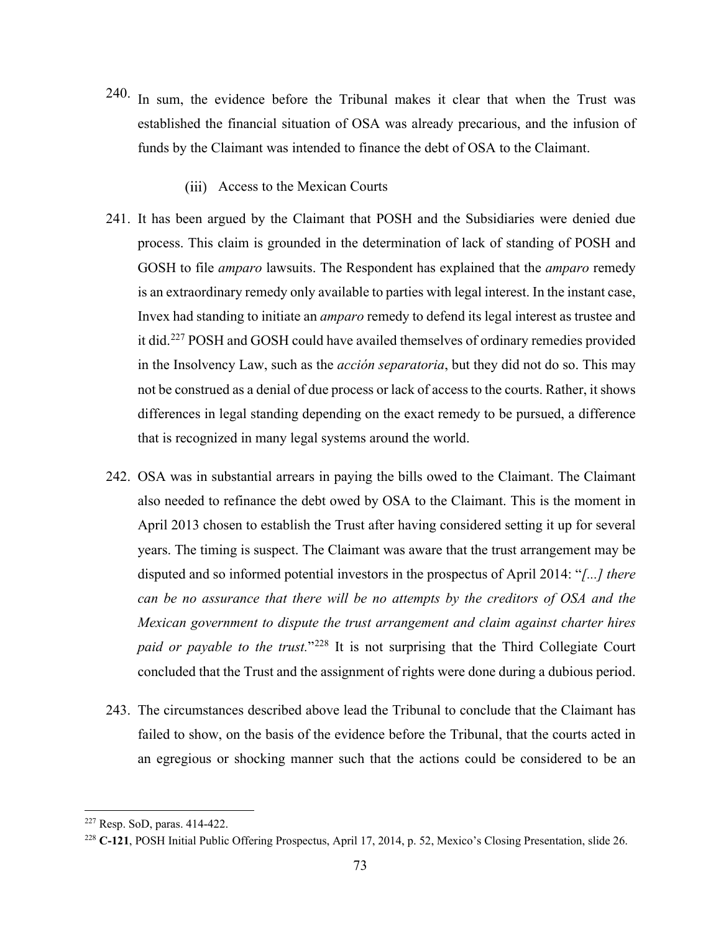- 240. In sum, the evidence before the Tribunal makes it clear that when the Trust was established the financial situation of OSA was already precarious, and the infusion of funds by the Claimant was intended to finance the debt of OSA to the Claimant.
	- Access to the Mexican Courts
- 241. It has been argued by the Claimant that POSH and the Subsidiaries were denied due process. This claim is grounded in the determination of lack of standing of POSH and GOSH to file *amparo* lawsuits. The Respondent has explained that the *amparo* remedy is an extraordinary remedy only available to parties with legal interest. In the instant case, Invex had standing to initiate an *amparo* remedy to defend its legal interest as trustee and it did.[227](#page-79-0) POSH and GOSH could have availed themselves of ordinary remedies provided in the Insolvency Law, such as the *acción separatoria*, but they did not do so. This may not be construed as a denial of due process or lack of access to the courts. Rather, it shows differences in legal standing depending on the exact remedy to be pursued, a difference that is recognized in many legal systems around the world.
- 242. OSA was in substantial arrears in paying the bills owed to the Claimant. The Claimant also needed to refinance the debt owed by OSA to the Claimant. This is the moment in April 2013 chosen to establish the Trust after having considered setting it up for several years. The timing is suspect. The Claimant was aware that the trust arrangement may be disputed and so informed potential investors in the prospectus of April 2014: "*[...] there can be no assurance that there will be no attempts by the creditors of OSA and the Mexican government to dispute the trust arrangement and claim against charter hires paid or payable to the trust.*"[228](#page-79-1) It is not surprising that the Third Collegiate Court concluded that the Trust and the assignment of rights were done during a dubious period.
- 243. The circumstances described above lead the Tribunal to conclude that the Claimant has failed to show, on the basis of the evidence before the Tribunal, that the courts acted in an egregious or shocking manner such that the actions could be considered to be an

<span id="page-79-0"></span><sup>227</sup> Resp. SoD, paras. 414-422.

<span id="page-79-1"></span><sup>228</sup> **C-121**, POSH Initial Public Offering Prospectus, April 17, 2014, p. 52, Mexico's Closing Presentation, slide 26.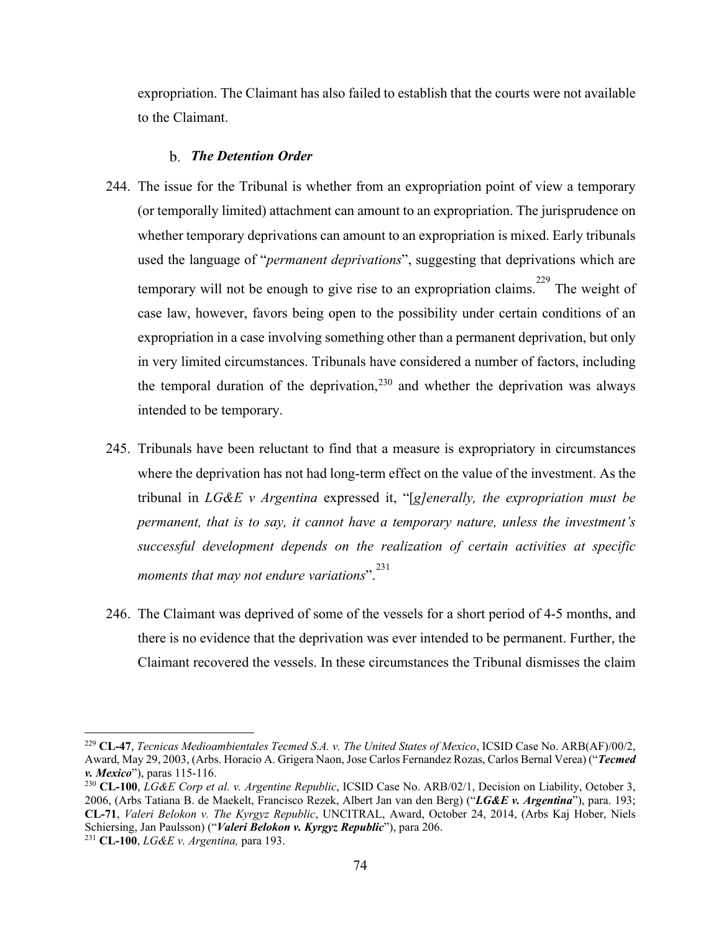expropriation. The Claimant has also failed to establish that the courts were not available to the Claimant.

#### *The Detention Order*

- 244. The issue for the Tribunal is whether from an expropriation point of view a temporary (or temporally limited) attachment can amount to an expropriation. The jurisprudence on whether temporary deprivations can amount to an expropriation is mixed. Early tribunals used the language of "*permanent deprivations*", suggesting that deprivations which are temporary will not be enough to give rise to an expropriation claims.<sup>[229](#page-80-0)</sup> The weight of case law, however, favors being open to the possibility under certain conditions of an expropriation in a case involving something other than a permanent deprivation, but only in very limited circumstances. Tribunals have considered a number of factors, including the temporal duration of the deprivation,  $230$  and whether the deprivation was always intended to be temporary.
- 245. Tribunals have been reluctant to find that a measure is expropriatory in circumstances where the deprivation has not had long-term effect on the value of the investment. As the tribunal in *LG&E v Argentina* expressed it, "[*g]enerally, the expropriation must be permanent, that is to say, it cannot have a temporary nature, unless the investment's successful development depends on the realization of certain activities at specific moments that may not endure variations*". [231](#page-80-2)
- 246. The Claimant was deprived of some of the vessels for a short period of 4-5 months, and there is no evidence that the deprivation was ever intended to be permanent. Further, the Claimant recovered the vessels. In these circumstances the Tribunal dismisses the claim

<span id="page-80-0"></span><sup>229</sup> **CL-47**, *Tecnicas Medioambientales Tecmed S.A. v. The United States of Mexico*, ICSID Case No. ARB(AF)/00/2, Award, May 29, 2003, (Arbs. Horacio A. Grigera Naon, Jose Carlos Fernandez Rozas, Carlos Bernal Verea) ("*Tecmed* 

<span id="page-80-1"></span><sup>&</sup>lt;sup>230</sup> **CL-100**, *LG&E Corp et al. v. Argentine Republic*, ICSID Case No. ARB/02/1, Decision on Liability, October 3, 2006, (Arbs Tatiana B. de Maekelt, Francisco Rezek, Albert Jan van den Berg) ("*LG&E v. Argentina*"), para. 193; **CL-71**, *Valeri Belokon v. The Kyrgyz Republic*, UNCITRAL, Award, October 24, 2014, (Arbs Kaj Hober, Niels Schiersing, Jan Paulsson) ("*Valeri Belokon v. Kyrgyz Republic*"), para 206.

<span id="page-80-2"></span><sup>231</sup> **CL-100**, *LG&E v. Argentina,* para 193.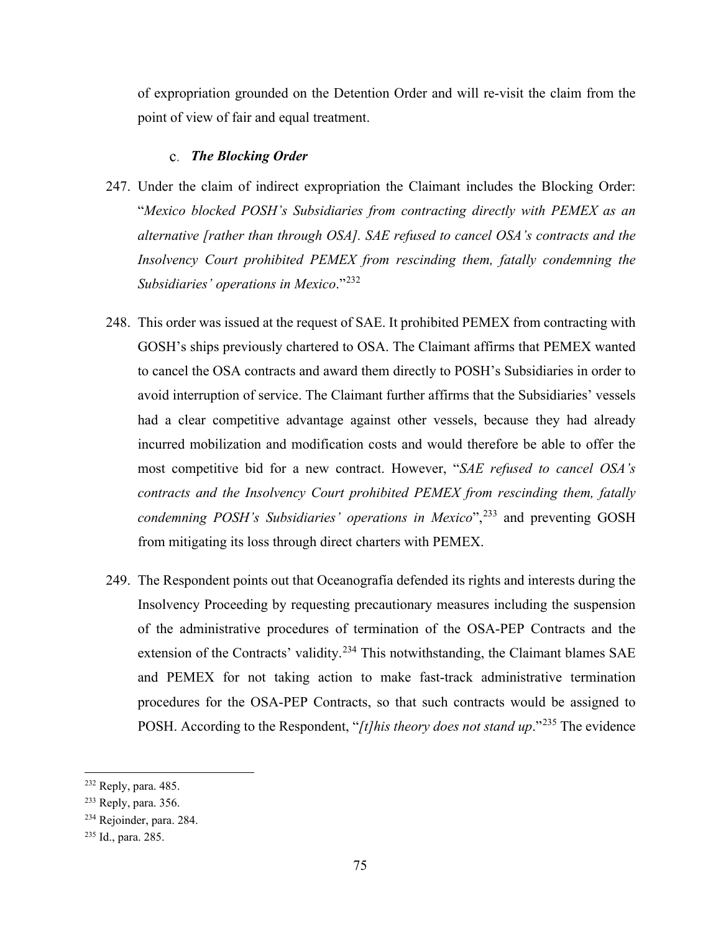of expropriation grounded on the Detention Order and will re-visit the claim from the point of view of fair and equal treatment.

#### *The Blocking Order*

- 247. Under the claim of indirect expropriation the Claimant includes the Blocking Order: "*Mexico blocked POSH's Subsidiaries from contracting directly with PEMEX as an alternative [rather than through OSA]. SAE refused to cancel OSA's contracts and the Insolvency Court prohibited PEMEX from rescinding them, fatally condemning the Subsidiaries' operations in Mexico*."[232](#page-81-0)
- 248. This order was issued at the request of SAE. It prohibited PEMEX from contracting with GOSH's ships previously chartered to OSA. The Claimant affirms that PEMEX wanted to cancel the OSA contracts and award them directly to POSH's Subsidiaries in order to avoid interruption of service. The Claimant further affirms that the Subsidiaries' vessels had a clear competitive advantage against other vessels, because they had already incurred mobilization and modification costs and would therefore be able to offer the most competitive bid for a new contract. However, "*SAE refused to cancel OSA's contracts and the Insolvency Court prohibited PEMEX from rescinding them, fatally condemning POSH's Subsidiaries' operations in Mexico*",<sup>[233](#page-81-1)</sup> and preventing GOSH from mitigating its loss through direct charters with PEMEX.
- 249. The Respondent points out that Oceanografía defended its rights and interests during the Insolvency Proceeding by requesting precautionary measures including the suspension of the administrative procedures of termination of the OSA-PEP Contracts and the extension of the Contracts' validity.<sup>[234](#page-81-2)</sup> This notwithstanding, the Claimant blames SAE and PEMEX for not taking action to make fast-track administrative termination procedures for the OSA-PEP Contracts, so that such contracts would be assigned to POSH. According to the Respondent, "*[t]his theory does not stand up*."[235](#page-81-3) The evidence

<span id="page-81-0"></span><sup>232</sup> Reply, para. 485.

<span id="page-81-1"></span><sup>233</sup> Reply, para. 356.

<span id="page-81-2"></span><sup>234</sup> Rejoinder, para. 284.

<span id="page-81-3"></span><sup>235</sup> Id., para. 285.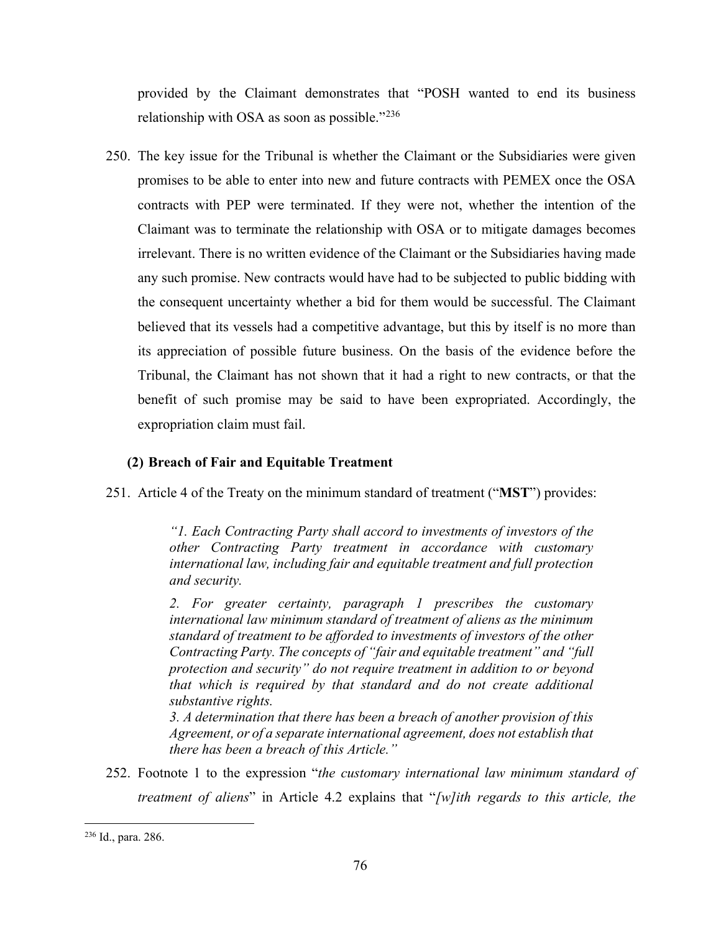provided by the Claimant demonstrates that "POSH wanted to end its business relationship with OSA as soon as possible."[236](#page-82-0)

250. The key issue for the Tribunal is whether the Claimant or the Subsidiaries were given promises to be able to enter into new and future contracts with PEMEX once the OSA contracts with PEP were terminated. If they were not, whether the intention of the Claimant was to terminate the relationship with OSA or to mitigate damages becomes irrelevant. There is no written evidence of the Claimant or the Subsidiaries having made any such promise. New contracts would have had to be subjected to public bidding with the consequent uncertainty whether a bid for them would be successful. The Claimant believed that its vessels had a competitive advantage, but this by itself is no more than its appreciation of possible future business. On the basis of the evidence before the Tribunal, the Claimant has not shown that it had a right to new contracts, or that the benefit of such promise may be said to have been expropriated. Accordingly, the expropriation claim must fail.

### **(2) Breach of Fair and Equitable Treatment**

251. Article 4 of the Treaty on the minimum standard of treatment ("**MST**") provides:

*"1. Each Contracting Party shall accord to investments of investors of the other Contracting Party treatment in accordance with customary international law, including fair and equitable treatment and full protection and security.*

*2. For greater certainty, paragraph 1 prescribes the customary international law minimum standard of treatment of aliens as the minimum standard of treatment to be afforded to investments of investors of the other Contracting Party. The concepts of "fair and equitable treatment" and "full protection and security" do not require treatment in addition to or beyond that which is required by that standard and do not create additional substantive rights.*

*3. A determination that there has been a breach of another provision of this Agreement, or of a separate international agreement, does not establish that there has been a breach of this Article."* 

252. Footnote 1 to the expression "*the customary international law minimum standard of treatment of aliens*" in Article 4.2 explains that "*[w]ith regards to this article, the* 

<span id="page-82-0"></span><sup>236</sup> Id., para. 286.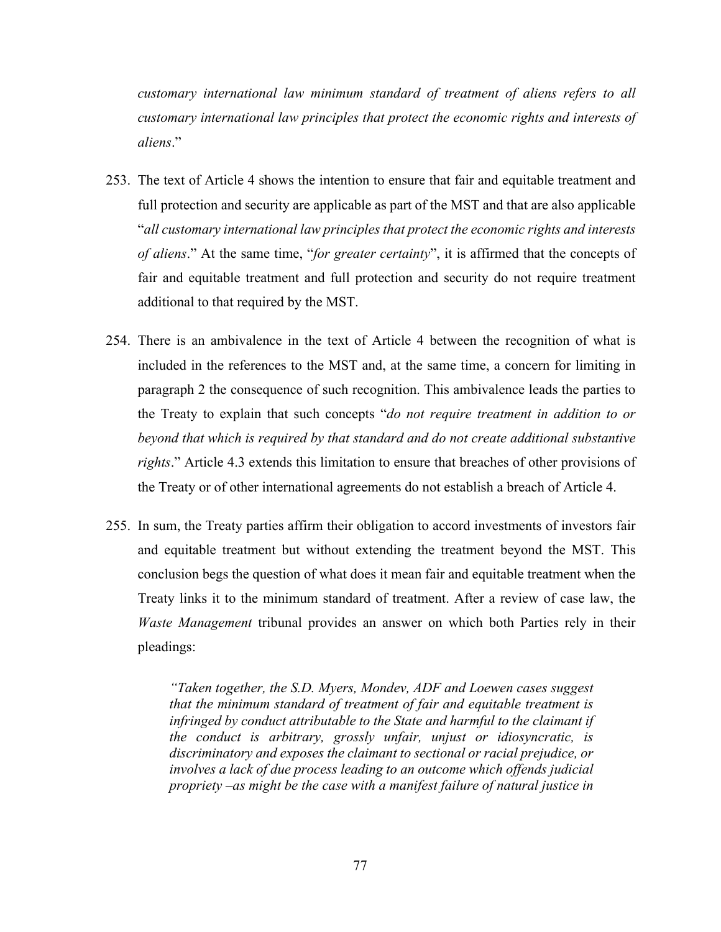*customary international law minimum standard of treatment of aliens refers to all customary international law principles that protect the economic rights and interests of aliens*."

- 253. The text of Article 4 shows the intention to ensure that fair and equitable treatment and full protection and security are applicable as part of the MST and that are also applicable "*all customary international law principles that protect the economic rights and interests of aliens*." At the same time, "*for greater certainty*", it is affirmed that the concepts of fair and equitable treatment and full protection and security do not require treatment additional to that required by the MST.
- 254. There is an ambivalence in the text of Article 4 between the recognition of what is included in the references to the MST and, at the same time, a concern for limiting in paragraph 2 the consequence of such recognition. This ambivalence leads the parties to the Treaty to explain that such concepts "*do not require treatment in addition to or beyond that which is required by that standard and do not create additional substantive rights*." Article 4.3 extends this limitation to ensure that breaches of other provisions of the Treaty or of other international agreements do not establish a breach of Article 4.
- 255. In sum, the Treaty parties affirm their obligation to accord investments of investors fair and equitable treatment but without extending the treatment beyond the MST. This conclusion begs the question of what does it mean fair and equitable treatment when the Treaty links it to the minimum standard of treatment. After a review of case law, the *Waste Management* tribunal provides an answer on which both Parties rely in their pleadings:

*"Taken together, the S.D. Myers, Mondev, ADF and Loewen cases suggest that the minimum standard of treatment of fair and equitable treatment is infringed by conduct attributable to the State and harmful to the claimant if the conduct is arbitrary, grossly unfair, unjust or idiosyncratic, is discriminatory and exposes the claimant to sectional or racial prejudice, or involves a lack of due process leading to an outcome which offends judicial propriety –as might be the case with a manifest failure of natural justice in*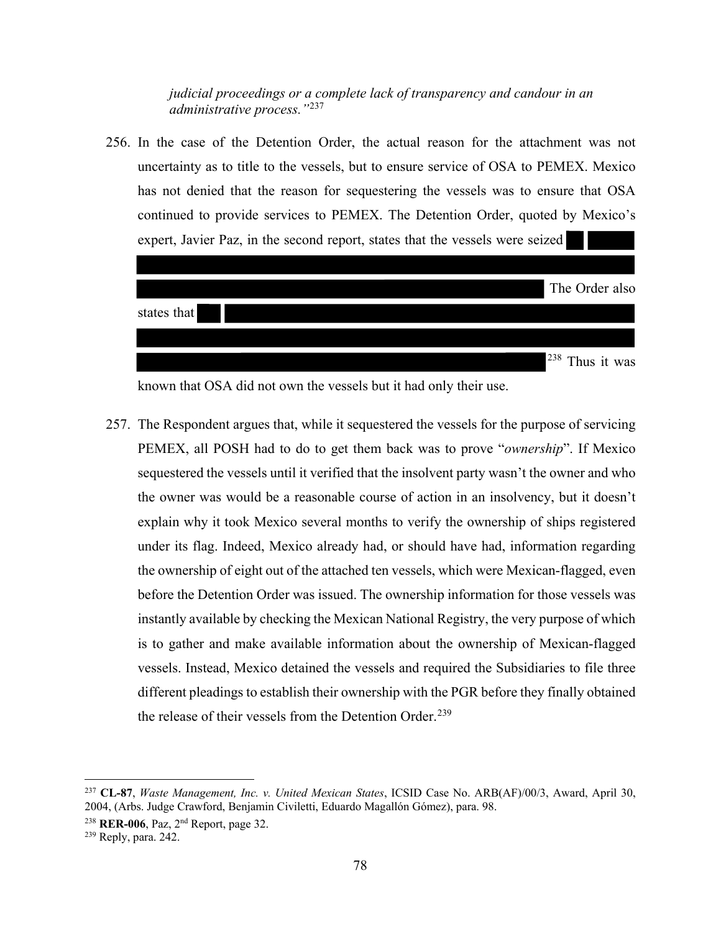*judicial proceedings or a complete lack of transparency and candour in an administrative process."*[237](#page-84-0)

256. In the case of the Detention Order, the actual reason for the attachment was not uncertainty as to title to the vessels, but to ensure service of OSA to PEMEX. Mexico has not denied that the reason for sequestering the vessels was to ensure that OSA continued to provide services to PEMEX. The Detention Order, quoted by Mexico's expert, Javier Paz, in the second report, states that the vessels were seized



known that OSA did not own the vessels but it had only their use.

257. The Respondent argues that, while it sequestered the vessels for the purpose of servicing PEMEX, all POSH had to do to get them back was to prove "*ownership*". If Mexico sequestered the vessels until it verified that the insolvent party wasn't the owner and who the owner was would be a reasonable course of action in an insolvency, but it doesn't explain why it took Mexico several months to verify the ownership of ships registered under its flag. Indeed, Mexico already had, or should have had, information regarding the ownership of eight out of the attached ten vessels, which were Mexican-flagged, even before the Detention Order was issued. The ownership information for those vessels was instantly available by checking the Mexican National Registry, the very purpose of which is to gather and make available information about the ownership of Mexican-flagged vessels. Instead, Mexico detained the vessels and required the Subsidiaries to file three different pleadings to establish their ownership with the PGR before they finally obtained the release of their vessels from the Detention Order.<sup>[239](#page-84-2)</sup>

<span id="page-84-0"></span><sup>237</sup> **CL-87**, *Waste Management, Inc. v. United Mexican States*, ICSID Case No. ARB(AF)/00/3, Award, April 30, 2004, (Arbs. Judge Crawford, Benjamin Civiletti, Eduardo Magallón Gómez), para. 98.

<span id="page-84-1"></span><sup>238</sup> **RER-006**, Paz, 2nd Report, page 32.

<span id="page-84-2"></span><sup>239</sup> Reply, para. 242.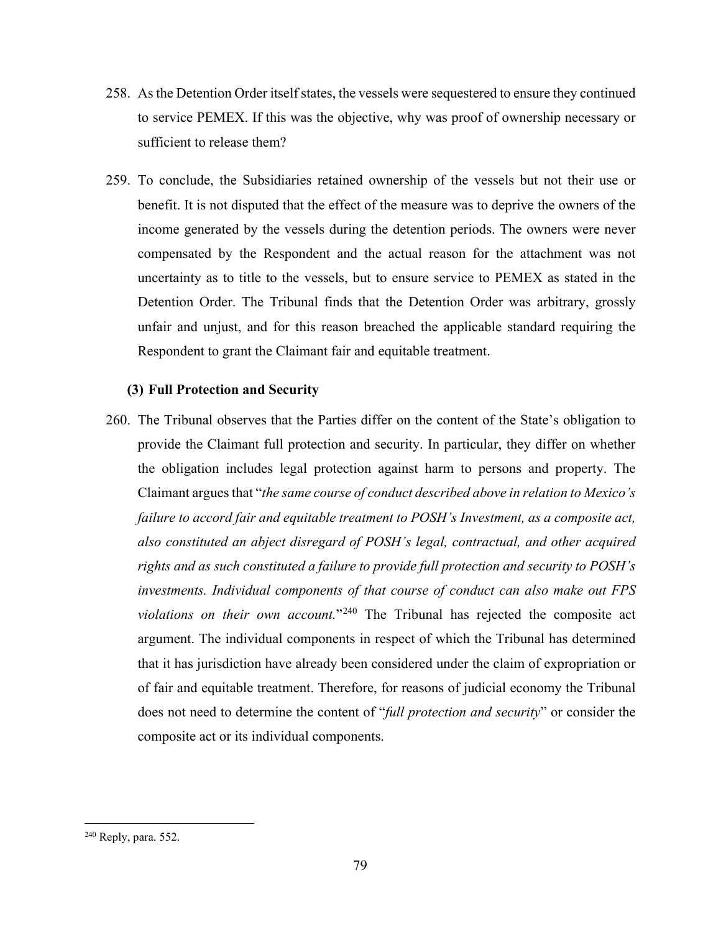- 258. As the Detention Order itself states, the vessels were sequestered to ensure they continued to service PEMEX. If this was the objective, why was proof of ownership necessary or sufficient to release them?
- 259. To conclude, the Subsidiaries retained ownership of the vessels but not their use or benefit. It is not disputed that the effect of the measure was to deprive the owners of the income generated by the vessels during the detention periods. The owners were never compensated by the Respondent and the actual reason for the attachment was not uncertainty as to title to the vessels, but to ensure service to PEMEX as stated in the Detention Order. The Tribunal finds that the Detention Order was arbitrary, grossly unfair and unjust, and for this reason breached the applicable standard requiring the Respondent to grant the Claimant fair and equitable treatment.

### **(3) Full Protection and Security**

260. The Tribunal observes that the Parties differ on the content of the State's obligation to provide the Claimant full protection and security. In particular, they differ on whether the obligation includes legal protection against harm to persons and property. The Claimant argues that "*the same course of conduct described above in relation to Mexico's failure to accord fair and equitable treatment to POSH's Investment, as a composite act, also constituted an abject disregard of POSH's legal, contractual, and other acquired rights and as such constituted a failure to provide full protection and security to POSH's investments. Individual components of that course of conduct can also make out FPS violations on their own account.*"[240](#page-85-0) The Tribunal has rejected the composite act argument. The individual components in respect of which the Tribunal has determined that it has jurisdiction have already been considered under the claim of expropriation or of fair and equitable treatment. Therefore, for reasons of judicial economy the Tribunal does not need to determine the content of "*full protection and security*" or consider the composite act or its individual components.

<span id="page-85-0"></span><sup>240</sup> Reply, para. 552.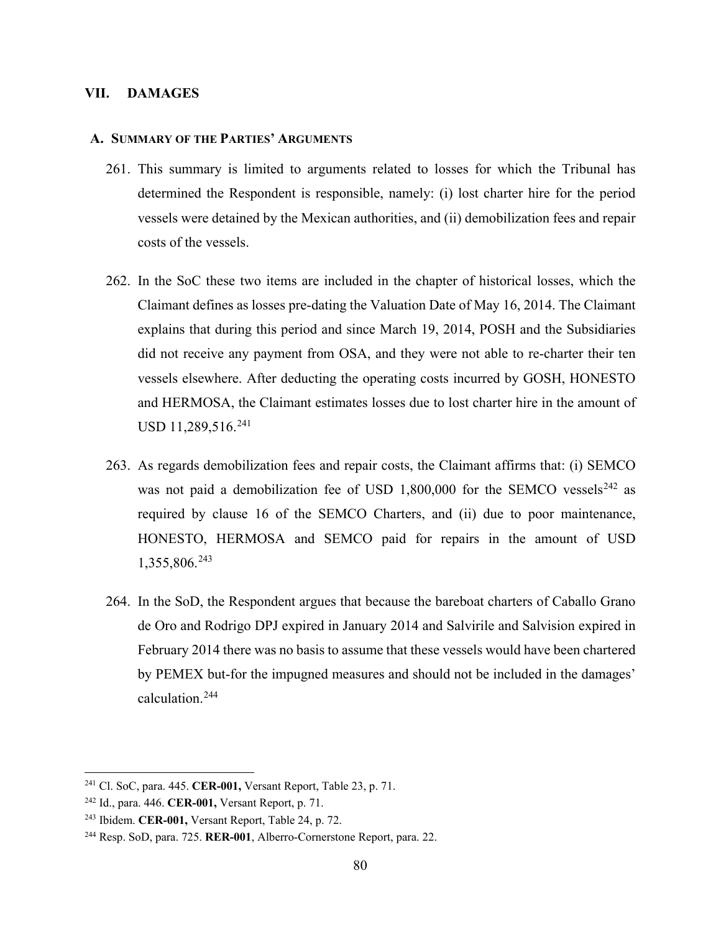#### **VII. DAMAGES**

#### **A. SUMMARY OF THE PARTIES' ARGUMENTS**

- 261. This summary is limited to arguments related to losses for which the Tribunal has determined the Respondent is responsible, namely: (i) lost charter hire for the period vessels were detained by the Mexican authorities, and (ii) demobilization fees and repair costs of the vessels.
- 262. In the SoC these two items are included in the chapter of historical losses, which the Claimant defines as losses pre-dating the Valuation Date of May 16, 2014. The Claimant explains that during this period and since March 19, 2014, POSH and the Subsidiaries did not receive any payment from OSA, and they were not able to re-charter their ten vessels elsewhere. After deducting the operating costs incurred by GOSH, HONESTO and HERMOSA, the Claimant estimates losses due to lost charter hire in the amount of USD 11,289,516.<sup>[241](#page-86-0)</sup>
- 263. As regards demobilization fees and repair costs, the Claimant affirms that: (i) SEMCO was not paid a demobilization fee of USD 1,800,000 for the SEMCO vessels<sup>[242](#page-86-1)</sup> as required by clause 16 of the SEMCO Charters, and (ii) due to poor maintenance, HONESTO, HERMOSA and SEMCO paid for repairs in the amount of USD 1,355,806.[243](#page-86-2)
- 264. In the SoD, the Respondent argues that because the bareboat charters of Caballo Grano de Oro and Rodrigo DPJ expired in January 2014 and Salvirile and Salvision expired in February 2014 there was no basis to assume that these vessels would have been chartered by PEMEX but-for the impugned measures and should not be included in the damages' calculation.[244](#page-86-3)

<span id="page-86-0"></span><sup>241</sup> Cl. SoC, para. 445. **CER-001,** Versant Report, Table 23, p. 71.

<span id="page-86-1"></span><sup>242</sup> Id., para. 446. **CER-001,** Versant Report, p. 71.

<span id="page-86-2"></span><sup>243</sup> Ibidem. **CER-001,** Versant Report, Table 24, p. 72.

<span id="page-86-3"></span><sup>244</sup> Resp. SoD, para. 725. **RER-001**, Alberro-Cornerstone Report, para. 22.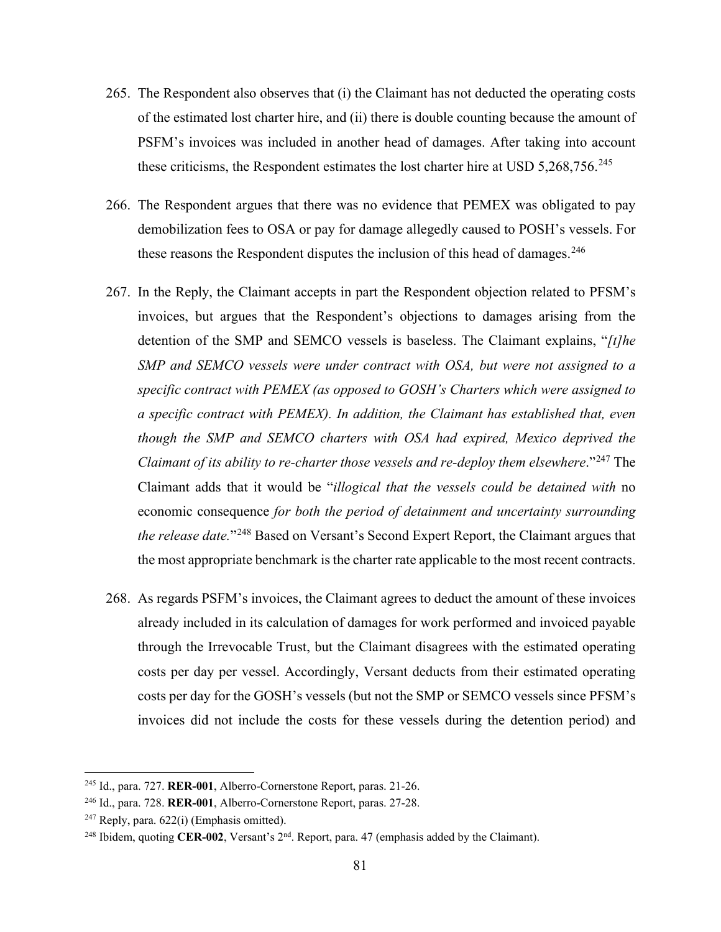- 265. The Respondent also observes that (i) the Claimant has not deducted the operating costs of the estimated lost charter hire, and (ii) there is double counting because the amount of PSFM's invoices was included in another head of damages. After taking into account these criticisms, the Respondent estimates the lost charter hire at USD  $5,268,756$ .<sup>[245](#page-87-0)</sup>
- 266. The Respondent argues that there was no evidence that PEMEX was obligated to pay demobilization fees to OSA or pay for damage allegedly caused to POSH's vessels. For these reasons the Respondent disputes the inclusion of this head of damages.<sup>[246](#page-87-1)</sup>
- 267. In the Reply, the Claimant accepts in part the Respondent objection related to PFSM's invoices, but argues that the Respondent's objections to damages arising from the detention of the SMP and SEMCO vessels is baseless. The Claimant explains, "*[t]he SMP and SEMCO vessels were under contract with OSA, but were not assigned to a specific contract with PEMEX (as opposed to GOSH's Charters which were assigned to a specific contract with PEMEX). In addition, the Claimant has established that, even though the SMP and SEMCO charters with OSA had expired, Mexico deprived the Claimant of its ability to re-charter those vessels and re-deploy them elsewhere.*"<sup>[247](#page-87-2)</sup> The Claimant adds that it would be "*illogical that the vessels could be detained with* no economic consequence *for both the period of detainment and uncertainty surrounding the release date.*"[248](#page-87-3) Based on Versant's Second Expert Report, the Claimant argues that the most appropriate benchmark is the charter rate applicable to the most recent contracts.
- 268. As regards PSFM's invoices, the Claimant agrees to deduct the amount of these invoices already included in its calculation of damages for work performed and invoiced payable through the Irrevocable Trust, but the Claimant disagrees with the estimated operating costs per day per vessel. Accordingly, Versant deducts from their estimated operating costs per day for the GOSH's vessels (but not the SMP or SEMCO vessels since PFSM's invoices did not include the costs for these vessels during the detention period) and

<span id="page-87-0"></span><sup>245</sup> Id., para. 727. **RER-001**, Alberro-Cornerstone Report, paras. 21-26.

<span id="page-87-1"></span><sup>246</sup> Id., para. 728. **RER-001**, Alberro-Cornerstone Report, paras. 27-28.

<span id="page-87-2"></span> $247$  Reply, para.  $622(i)$  (Emphasis omitted).

<span id="page-87-3"></span><sup>&</sup>lt;sup>248</sup> Ibidem, quoting **CER-002**, Versant's 2<sup>nd</sup>. Report, para. 47 (emphasis added by the Claimant).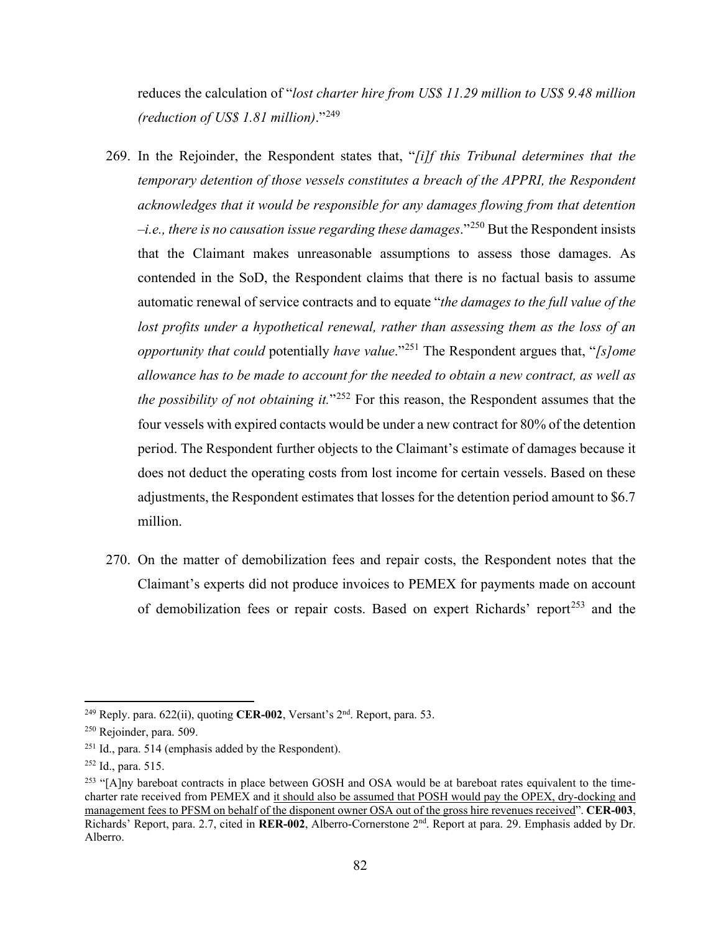reduces the calculation of "*lost charter hire from US\$ 11.29 million to US\$ 9.48 million (reduction of US\$ 1.81 million)*."[249](#page-88-0)

- 269. In the Rejoinder, the Respondent states that, "*[i]f this Tribunal determines that the temporary detention of those vessels constitutes a breach of the APPRI, the Respondent acknowledges that it would be responsible for any damages flowing from that detention –i.e., there is no causation issue regarding these damages*."[250](#page-88-1) But the Respondent insists that the Claimant makes unreasonable assumptions to assess those damages. As contended in the SoD, the Respondent claims that there is no factual basis to assume automatic renewal of service contracts and to equate "*the damages to the full value of the lost profits under a hypothetical renewal, rather than assessing them as the loss of an opportunity that could* potentially *have value*."[251](#page-88-2) The Respondent argues that, "*[s]ome allowance has to be made to account for the needed to obtain a new contract, as well as the possibility of not obtaining it.*"<sup>[252](#page-88-3)</sup> For this reason, the Respondent assumes that the four vessels with expired contacts would be under a new contract for 80% of the detention period. The Respondent further objects to the Claimant's estimate of damages because it does not deduct the operating costs from lost income for certain vessels. Based on these adjustments, the Respondent estimates that losses for the detention period amount to \$6.7 million.
- 270. On the matter of demobilization fees and repair costs, the Respondent notes that the Claimant's experts did not produce invoices to PEMEX for payments made on account of demobilization fees or repair costs. Based on expert Richards' report<sup>[253](#page-88-4)</sup> and the

<span id="page-88-0"></span><sup>249</sup> Reply. para. 622(ii), quoting **CER-002**, Versant's 2nd. Report, para. 53.

<span id="page-88-1"></span><sup>250</sup> Rejoinder, para. 509.

<span id="page-88-2"></span><sup>251</sup> Id., para. 514 (emphasis added by the Respondent).

<span id="page-88-3"></span><sup>252</sup> Id., para. 515.

<span id="page-88-4"></span><sup>&</sup>lt;sup>253</sup> "[A]ny bareboat contracts in place between GOSH and OSA would be at bareboat rates equivalent to the timecharter rate received from PEMEX and it should also be assumed that POSH would pay the OPEX, dry-docking and management fees to PFSM on behalf of the disponent owner OSA out of the gross hire revenues received". **CER-003**, Richards' Report, para. 2.7, cited in **RER-002**, Alberro-Cornerstone 2nd. Report at para. 29. Emphasis added by Dr. Alberro.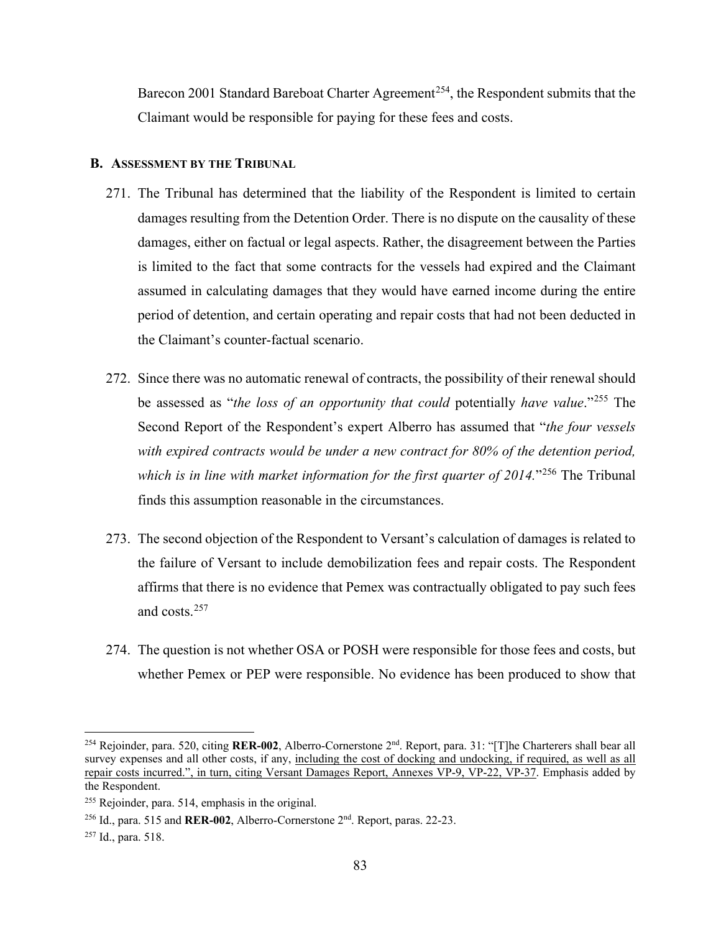Barecon 2001 Standard Bareboat Charter Agreement<sup>[254](#page-89-0)</sup>, the Respondent submits that the Claimant would be responsible for paying for these fees and costs.

#### **B. ASSESSMENT BY THE TRIBUNAL**

- 271. The Tribunal has determined that the liability of the Respondent is limited to certain damages resulting from the Detention Order. There is no dispute on the causality of these damages, either on factual or legal aspects. Rather, the disagreement between the Parties is limited to the fact that some contracts for the vessels had expired and the Claimant assumed in calculating damages that they would have earned income during the entire period of detention, and certain operating and repair costs that had not been deducted in the Claimant's counter-factual scenario.
- 272. Since there was no automatic renewal of contracts, the possibility of their renewal should be assessed as "*the loss of an opportunity that could* potentially *have value*."[255](#page-89-1) The Second Report of the Respondent's expert Alberro has assumed that "*the four vessels with expired contracts would be under a new contract for 80% of the detention period, which is in line with market information for the first quarter of 2014.*"[256](#page-89-2) The Tribunal finds this assumption reasonable in the circumstances.
- 273. The second objection of the Respondent to Versant's calculation of damages is related to the failure of Versant to include demobilization fees and repair costs. The Respondent affirms that there is no evidence that Pemex was contractually obligated to pay such fees and costs.[257](#page-89-3)
- 274. The question is not whether OSA or POSH were responsible for those fees and costs, but whether Pemex or PEP were responsible. No evidence has been produced to show that

<span id="page-89-0"></span><sup>254</sup> Rejoinder, para. 520, citing **RER-002**, Alberro-Cornerstone 2nd. Report, para. 31: "[T]he Charterers shall bear all survey expenses and all other costs, if any, including the cost of docking and undocking, if required, as well as all repair costs incurred.", in turn, citing Versant Damages Report, Annexes VP-9, VP-22, VP-37. Emphasis added by the Respondent.

<span id="page-89-1"></span><sup>255</sup> Rejoinder, para. 514, emphasis in the original.

<span id="page-89-2"></span><sup>256</sup> Id., para. 515 and **RER-002**, Alberro-Cornerstone 2nd. Report, paras. 22-23.

<span id="page-89-3"></span><sup>257</sup> Id., para. 518.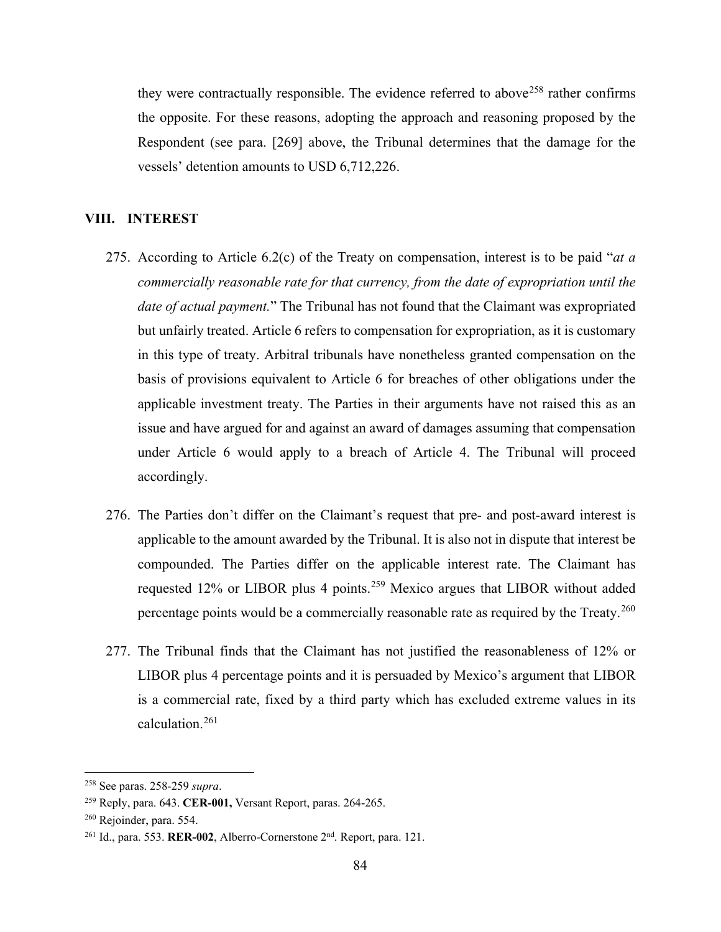they were contractually responsible. The evidence referred to above<sup>[258](#page-90-0)</sup> rather confirms the opposite. For these reasons, adopting the approach and reasoning proposed by the Respondent (see para. [269] above, the Tribunal determines that the damage for the vessels' detention amounts to USD 6,712,226.

#### **VIII. INTEREST**

- 275. According to Article 6.2(c) of the Treaty on compensation, interest is to be paid "*at a commercially reasonable rate for that currency, from the date of expropriation until the date of actual payment.*" The Tribunal has not found that the Claimant was expropriated but unfairly treated. Article 6 refers to compensation for expropriation, as it is customary in this type of treaty. Arbitral tribunals have nonetheless granted compensation on the basis of provisions equivalent to Article 6 for breaches of other obligations under the applicable investment treaty. The Parties in their arguments have not raised this as an issue and have argued for and against an award of damages assuming that compensation under Article 6 would apply to a breach of Article 4. The Tribunal will proceed accordingly.
- 276. The Parties don't differ on the Claimant's request that pre- and post-award interest is applicable to the amount awarded by the Tribunal. It is also not in dispute that interest be compounded. The Parties differ on the applicable interest rate. The Claimant has requested 12% or LIBOR plus 4 points.[259](#page-90-1) Mexico argues that LIBOR without added percentage points would be a commercially reasonable rate as required by the Treaty.<sup>[260](#page-90-2)</sup>
- 277. The Tribunal finds that the Claimant has not justified the reasonableness of 12% or LIBOR plus 4 percentage points and it is persuaded by Mexico's argument that LIBOR is a commercial rate, fixed by a third party which has excluded extreme values in its calculation.[261](#page-90-3)

<span id="page-90-0"></span><sup>258</sup> See paras. 258-259 *supra*.

<span id="page-90-1"></span><sup>259</sup> Reply, para. 643. **CER-001,** Versant Report, paras. 264-265.

<span id="page-90-2"></span><sup>260</sup> Rejoinder, para. 554.

<span id="page-90-3"></span><sup>261</sup> Id., para. 553. **RER-002**, Alberro-Cornerstone 2nd. Report, para. 121.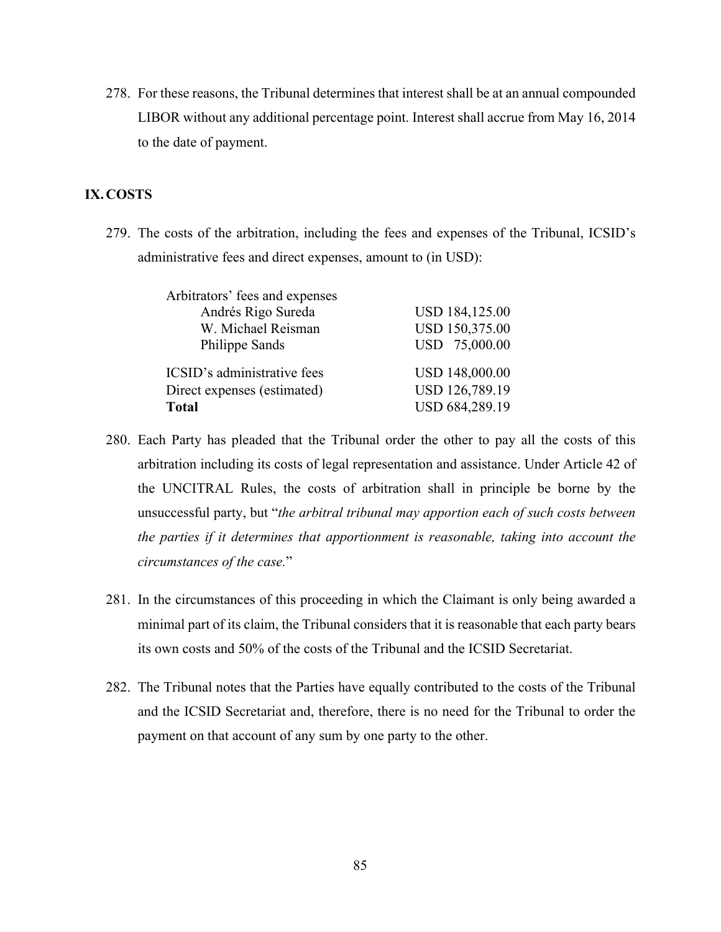278. For these reasons, the Tribunal determines that interest shall be at an annual compounded LIBOR without any additional percentage point. Interest shall accrue from May 16, 2014 to the date of payment.

## **IX.COSTS**

279. The costs of the arbitration, including the fees and expenses of the Tribunal, ICSID's administrative fees and direct expenses, amount to (in USD):

| <b>USD 184,125.00</b> |
|-----------------------|
| USD 150,375.00        |
| USD 75,000.00         |
| USD 148,000.00        |
| USD 126,789.19        |
| USD 684,289.19        |
|                       |

- 280. Each Party has pleaded that the Tribunal order the other to pay all the costs of this arbitration including its costs of legal representation and assistance. Under Article 42 of the UNCITRAL Rules, the costs of arbitration shall in principle be borne by the unsuccessful party, but "*the arbitral tribunal may apportion each of such costs between the parties if it determines that apportionment is reasonable, taking into account the circumstances of the case.*"
- 281. In the circumstances of this proceeding in which the Claimant is only being awarded a minimal part of its claim, the Tribunal considers that it is reasonable that each party bears its own costs and 50% of the costs of the Tribunal and the ICSID Secretariat.
- 282. The Tribunal notes that the Parties have equally contributed to the costs of the Tribunal and the ICSID Secretariat and, therefore, there is no need for the Tribunal to order the payment on that account of any sum by one party to the other.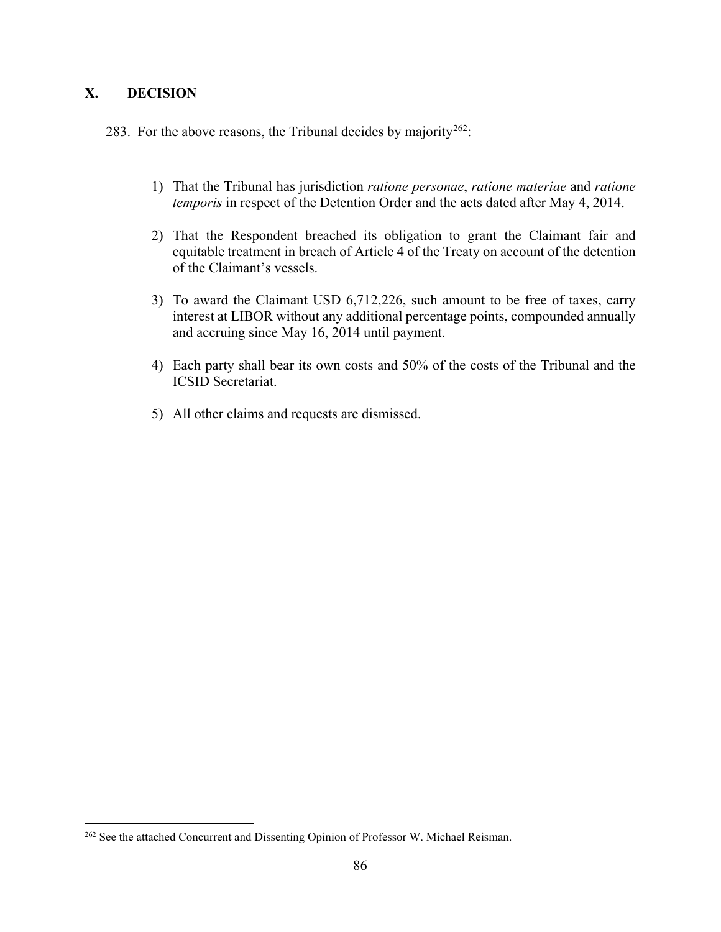# **X. DECISION**

283. For the above reasons, the Tribunal decides by majority<sup>[262](#page-92-0)</sup>:

- 1) That the Tribunal has jurisdiction *ratione personae*, *ratione materiae* and *ratione temporis* in respect of the Detention Order and the acts dated after May 4, 2014.
- 2) That the Respondent breached its obligation to grant the Claimant fair and equitable treatment in breach of Article 4 of the Treaty on account of the detention of the Claimant's vessels.
- 3) To award the Claimant USD 6,712,226, such amount to be free of taxes, carry interest at LIBOR without any additional percentage points, compounded annually and accruing since May 16, 2014 until payment.
- 4) Each party shall bear its own costs and 50% of the costs of the Tribunal and the ICSID Secretariat.
- 5) All other claims and requests are dismissed.

<span id="page-92-0"></span><sup>&</sup>lt;sup>262</sup> See the attached Concurrent and Dissenting Opinion of Professor W. Michael Reisman.